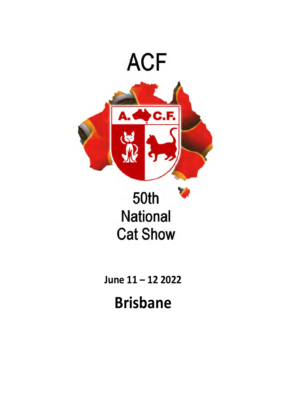

# **50th National Cat Show**

**June 11 – 12 2022**

**Brisbane**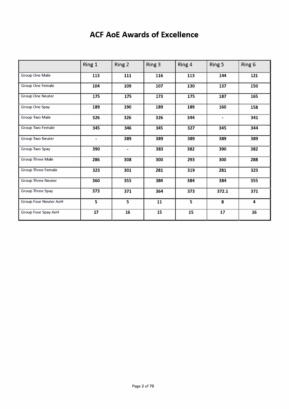## **ACF AoE Awards of Excellence**

|                              | Ring 1                   | Ring 2            | Ring 3 | Ring 4 | Ring 5         | Ring 6                  |
|------------------------------|--------------------------|-------------------|--------|--------|----------------|-------------------------|
| Group One Male               | 113                      | 111               | 116    | 113    | 144            | 121                     |
| Group One Female             | 104                      | 109               | 107    | 130    | 137            | 150                     |
| <b>Group One Neuter</b>      | 175                      | 175               | 173    | 175    | 187            | 165                     |
| Group One Spay               | 189                      | 190               | 189    | 189    | 160            | 158                     |
| Group Two Male               | 326                      | 326               | 326    | 344    | $\blacksquare$ | 341                     |
| <b>Group Two Female</b>      | 345                      | 346               | 345    | 327    | 345            | 344                     |
| <b>Group Two Neuter</b>      | $\overline{\phantom{a}}$ | 389               | 389    | 389    | 389            | 389                     |
| Group Two Spay               | 390                      | $\hbox{\small -}$ | 383    | 382    | 390            | 382                     |
| <b>Group Three Male</b>      | 286                      | 308               | 300    | 293    | 300            | 288                     |
| <b>Group Three Female</b>    | 323                      | 301               | 281    | 319    | 281            | 323                     |
| <b>Group Three Neuter</b>    | 360                      | 355               | 384    | 384    | 384            | 355                     |
| Group Three Spay             | 373                      | 371               | 364    | 373    | 372.1          | 371                     |
| <b>Group Four Neuter AoH</b> | 5                        | 5                 | 11     | 5      | 8              | $\overline{\mathbf{4}}$ |
| Group Four Spay AoH          | 17                       | 16                | 15     | 15     | 17             | 16                      |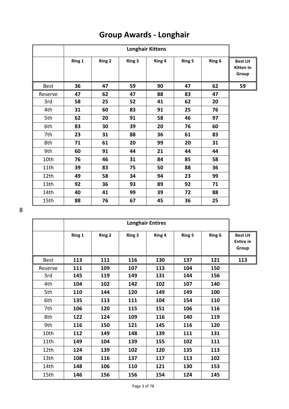|             |        |               |        | <b>Longhair Kittens</b> |               |        |                                      |
|-------------|--------|---------------|--------|-------------------------|---------------|--------|--------------------------------------|
|             | Ring 1 | <b>Ring 2</b> | Ring 3 | Ring 4                  | <b>Ring 5</b> | Ring 6 | <b>Best LH</b><br>Kitten in<br>Group |
| <b>Best</b> | 36     | 47            | 59     | 90                      | 47            | 62     | 59                                   |
| Reserve     | 47     | 62            | 47     | 88                      | 83            | 47     |                                      |
| 3rd         | 58     | 25            | 52     | 41                      | 62            | 20     |                                      |
| 4th         | 31     | 60            | 83     | 91                      | 25            | 76     |                                      |
| 5th         | 62     | 20            | 91     | 58                      | 46            | 97     |                                      |
| 6th         | 83     | 30            | 39     | 20                      | 76            | 60     |                                      |
| 7th         | 23     | 31            | 88     | 36                      | 61            | 83     |                                      |
| 8th         | 71     | 61            | 20     | 99                      | 20            | 31     |                                      |
| 9th         | 60     | 91            | 44     | 21                      | 44            | 44     |                                      |
| 10th        | 76     | 46            | 31     | 84                      | 85            | 58     |                                      |
| 11th        | 39     | 83            | 75     | 50                      | 88            | 36     |                                      |
| 12th        | 49     | 58            | 34     | 94                      | 23            | 99     |                                      |
| 13th        | 92     | 36            | 93     | 89                      | 92            | 71     |                                      |
| 14th        | 40     | 41            | 99     | 39                      | 72            | 88     |                                      |
| 15th        | 88     | 76            | 67     | 45                      | 36            | 25     |                                      |

# **Group Awards - Longhair**

8

|             |        |               |        | <b>Longhair Entires</b> |               |        |                                             |
|-------------|--------|---------------|--------|-------------------------|---------------|--------|---------------------------------------------|
|             | Ring 1 | <b>Ring 2</b> | Ring 3 | Ring 4                  | <b>Ring 5</b> | Ring 6 | <b>Best LH</b><br><b>Entire in</b><br>Group |
| <b>Best</b> | 113    | 111           | 116    | 130                     | 137           | 121    | 113                                         |
| Reserve     | 111    | 109           | 107    | 113                     | 104           | 150    |                                             |
| 3rd         | 145    | 119           | 149    | 131                     | 144           | 156    |                                             |
| 4th         | 104    | 102           | 142    | 102                     | 107           | 140    |                                             |
| 5th         | 110    | 144           | 120    | 149                     | 149           | 100    |                                             |
| 6th         | 135    | 113           | 111    | 104                     | 154           | 110    |                                             |
| 7th         | 106    | 120           | 115    | 151                     | 106           | 116    |                                             |
| 8th         | 122    | 124           | 109    | 116                     | 140           | 119    |                                             |
| 9th         | 116    | 150           | 121    | 145                     | 116           | 120    |                                             |
| 10th        | 112    | 149           | 148    | 139                     | 111           | 131    |                                             |
| 11th        | 149    | 104           | 139    | 155                     | 102           | 111    |                                             |
| 12th        | 124    | 139           | 102    | 120                     | 135           | 113    |                                             |
| 13th        | 108    | 116           | 137    | 117                     | 113           | 102    |                                             |
| 14th        | 148    | 106           | 110    | 121                     | 130           | 153    |                                             |
| 15th        | 146    | 156           | 156    | 154                     | 124           | 145    |                                             |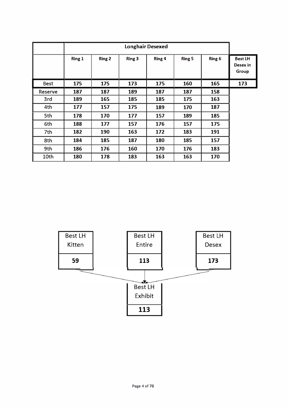|             |        |        | <b>Longhair Desexed</b> |        |        |        |                                     |
|-------------|--------|--------|-------------------------|--------|--------|--------|-------------------------------------|
|             | Ring 1 | Ring 2 | Ring 3                  | Ring 4 | Ring 5 | Ring 6 | <b>Best LH</b><br>Desex in<br>Group |
| <b>Best</b> | 175    | 175    | 173                     | 175    | 160    | 165    | 173                                 |
| Reserve     | 187    | 187    | 189                     | 187    | 187    | 158    |                                     |
| 3rd         | 189    | 165    | 185                     | 185    | 175    | 163    |                                     |
| 4th         | 177    | 157    | 175                     | 189    | 170    | 187    |                                     |
| 5th         | 178    | 170    | 177                     | 157    | 189    | 185    |                                     |
| 6th         | 188    | 177    | 157                     | 176    | 157    | 175    |                                     |
| 7th         | 182    | 190    | 163                     | 172    | 183    | 191    |                                     |
| 8th         | 184    | 185    | 187                     | 180    | 185    | 157    |                                     |
| 9th         | 186    | 176    | 160                     | 170    | 176    | 183    |                                     |
| 10th        | 180    | 178    | 183                     | 163    | 163    | 170    |                                     |

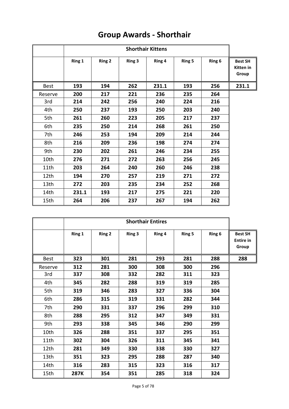|             |        |               |        | <b>Shorthair Kittens</b> |               |        |                                             |
|-------------|--------|---------------|--------|--------------------------|---------------|--------|---------------------------------------------|
|             | Ring 1 | <b>Ring 2</b> | Ring 3 | Ring 4                   | <b>Ring 5</b> | Ring 6 | <b>Best SH</b><br><b>Kitten</b> in<br>Group |
| <b>Best</b> | 193    | 194           | 262    | 231.1                    | 193           | 256    | 231.1                                       |
| Reserve     | 200    | 217           | 221    | 236                      | 235           | 264    |                                             |
| 3rd         | 214    | 242           | 256    | 240                      | 224           | 216    |                                             |
| 4th         | 250    | 237           | 193    | 250                      | 203           | 240    |                                             |
| 5th         | 261    | 260           | 223    | 205                      | 217           | 237    |                                             |
| 6th         | 235    | 250           | 214    | 268                      | 261           | 250    |                                             |
| 7th         | 246    | 253           | 194    | 209                      | 214           | 244    |                                             |
| 8th         | 216    | 209           | 236    | 198                      | 274           | 274    |                                             |
| 9th         | 230    | 202           | 261    | 246                      | 234           | 255    |                                             |
| 10th        | 276    | 271           | 272    | 263                      | 256           | 245    |                                             |
| 11th        | 203    | 264           | 240    | 260                      | 246           | 238    |                                             |
| 12th        | 194    | 270           | 257    | 219                      | 271           | 272    |                                             |
| 13th        | 272    | 203           | 235    | 234                      | 252           | 268    |                                             |
| 14th        | 231.1  | 193           | 217    | 275                      | 221           | 220    |                                             |
| 15th        | 264    | 206           | 237    | 267                      | 194           | 262    |                                             |

# **Group Awards - Shorthair**

|             |        |               |        | <b>Shorthair Entires</b> |               |        |                                             |
|-------------|--------|---------------|--------|--------------------------|---------------|--------|---------------------------------------------|
|             | Ring 1 | <b>Ring 2</b> | Ring 3 | Ring 4                   | <b>Ring 5</b> | Ring 6 | <b>Best SH</b><br><b>Entire in</b><br>Group |
| <b>Best</b> | 323    | 301           | 281    | 293                      | 281           | 288    | 288                                         |
| Reserve     | 312    | 281           | 300    | 308                      | 300           | 296    |                                             |
| 3rd         | 337    | 308           | 332    | 282                      | 311           | 323    |                                             |
| 4th         | 345    | 282           | 288    | 319                      | 319           | 285    |                                             |
| 5th         | 319    | 346           | 283    | 327                      | 336           | 304    |                                             |
| 6th         | 286    | 315           | 319    | 331                      | 282           | 344    |                                             |
| 7th         | 290    | 331           | 337    | 296                      | 299           | 310    |                                             |
| 8th         | 288    | 295           | 312    | 347                      | 349           | 331    |                                             |
| 9th         | 293    | 338           | 345    | 346                      | 290           | 299    |                                             |
| 10th        | 326    | 288           | 351    | 337                      | 295           | 351    |                                             |
| 11th        | 302    | 304           | 326    | 311                      | 345           | 341    |                                             |
| 12th        | 281    | 349           | 330    | 338                      | 330           | 327    |                                             |
| 13th        | 351    | 323           | 295    | 288                      | 287           | 340    |                                             |
| 14th        | 316    | 283           | 315    | 323                      | 316           | 317    |                                             |
| 15th        | 287K   | 354           | 351    | 285                      | 318           | 324    |                                             |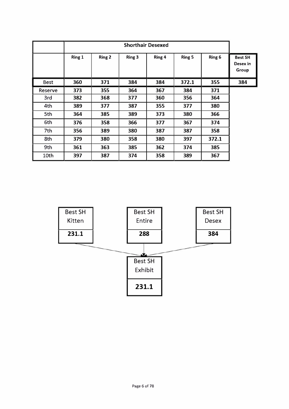|             |        |               |        | <b>Shorthair Desexed</b> |        |        |                                     |
|-------------|--------|---------------|--------|--------------------------|--------|--------|-------------------------------------|
|             | Ring 1 | <b>Ring 2</b> | Ring 3 | Ring 4                   | Ring 5 | Ring 6 | <b>Best SH</b><br>Desex in<br>Group |
| <b>Best</b> | 360    | 371           | 384    | 384                      | 372.1  | 355    | 384                                 |
| Reserve     | 373    | 355           | 364    | 367                      | 384    | 371    |                                     |
| 3rd         | 382    | 368           | 377    | 360                      | 356    | 364    |                                     |
| 4th         | 389    | 377           | 387    | 355                      | 377    | 380    |                                     |
| 5th         | 364    | 385           | 389    | 373                      | 380    | 366    |                                     |
| 6th         | 376    | 358           | 366    | 377                      | 367    | 374    |                                     |
| 7th         | 356    | 389           | 380    | 387                      | 387    | 358    |                                     |
| 8th         | 379    | 380           | 358    | 380                      | 397    | 372.1  |                                     |
| 9th         | 361    | 363           | 385    | 362                      | 374    | 385    |                                     |
| 10th        | 397    | 387           | 374    | 358                      | 389    | 367    |                                     |

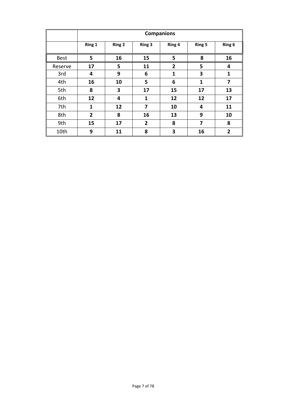|             |                |        |                | <b>Companions</b> |               |                |
|-------------|----------------|--------|----------------|-------------------|---------------|----------------|
|             | Ring 1         | Ring 2 | Ring 3         | Ring 4            | <b>Ring 5</b> | Ring 6         |
| <b>Best</b> | 5              | 16     | 15             | 5                 | 8             | 16             |
| Reserve     | 17             | 5      | 11             | $\overline{2}$    | 5             | 4              |
| 3rd         | 4              | 9      | 6              | $\mathbf{1}$      | 3             | 1              |
| 4th         | 16             | 10     | 5              | 6                 | 1             | 7              |
| 5th         | 8              | 3      | 17             | 15                | 17            | 13             |
| 6th         | 12             | 4      | 1              | 12                | 12            | 17             |
| 7th         | 1              | 12     | 7              | 10                | 4             | 11             |
| 8th         | $\overline{2}$ | 8      | 16             | 13                | 9             | 10             |
| 9th         | 15             | 17     | $\overline{2}$ | 8                 | 7             | 8              |
| 10th        | 9              | 11     | 8              | 3                 | 16            | $\overline{2}$ |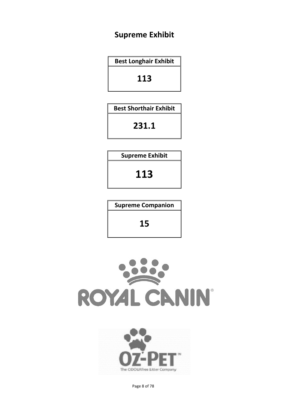## **Supreme Exhibit**

**Best Longhair Exhibit**

**113**

**Best Shorthair Exhibit** 

**231.1**

**Supreme Exhibit** 

**113**

**Supreme Companion**

**15**





Page 8 of 78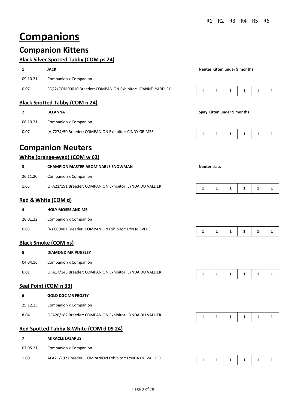# **Companions**

## **Companion Kittens**

#### **Black Silver Spotted Tabby (COM ps 24)**

|          | <b>JACK</b>                                                | Neuter Kitten under 9 months |  |  |  |  |  |
|----------|------------------------------------------------------------|------------------------------|--|--|--|--|--|
| 09.10.21 | Companion x Companion                                      |                              |  |  |  |  |  |
| 0.07     | FQ22/COM00010 Breeder: COMPANION Exhibitor: JOANNE YARDLEY |                              |  |  |  |  |  |

#### **Black Spotted Tabby (COM n 24)**

|          | <b>BELANNA</b>                                        | Spay Kitten under 9 months |  |              |  |  |  |  |  |
|----------|-------------------------------------------------------|----------------------------|--|--------------|--|--|--|--|--|
| 08.10.21 | Companion x Companion                                 |                            |  |              |  |  |  |  |  |
| 0.07     | (V)7274/50 Breeder: COMPANION Exhibitor: CINDY GRIMES |                            |  | $\mathbf{1}$ |  |  |  |  |  |

## **Companion Neuters**

#### **White (orange-eyed) (COM w 62)**

|          | <b>CHAMPION MASTER ABOMINABLE SNOWMAN</b>                | Neuter class |  |    |  |  |  |  |  |
|----------|----------------------------------------------------------|--------------|--|----|--|--|--|--|--|
| 26.11.20 | Companion x Companion                                    |              |  |    |  |  |  |  |  |
| 1.05     | QFA21/191 Breeder: COMPANION Exhibitor: LYNDA DU VALLIER |              |  | л. |  |  |  |  |  |

#### **Red & White (COM d)**

| 4        | <b>HOLY MOSES AND ME</b>                             |  |                               |  |
|----------|------------------------------------------------------|--|-------------------------------|--|
| 26.01.22 | Companion x Companion                                |  |                               |  |
| 0.03     | (N) CC0407 Breeder: COMPANION Exhibitor: LYN KEEVERS |  | $1 \mid 1 \mid 1 \mid 1 \mid$ |  |

#### **Black Smoke (COM ns)**

| 5        | <b>DIAMOND MR PUGSLEY</b>                                |  |  |                                        |  |
|----------|----------------------------------------------------------|--|--|----------------------------------------|--|
| 04.04.16 | Companion x Companion                                    |  |  |                                        |  |
| 6.01     | QFA17/143 Breeder: COMPANION Exhibitor: LYNDA DU VALLIER |  |  | $1 \mid 1 \mid 1 \mid 1 \mid 1 \mid 1$ |  |

#### **Seal Point (COM n 33)**

| -6       | <b>GOLD DGC MR FROSTY</b>                                |  |                                        |  |
|----------|----------------------------------------------------------|--|----------------------------------------|--|
| 25.12.13 | Companion x Companion                                    |  |                                        |  |
| 8.04     | QFA20/182 Breeder: COMPANION Exhibitor: LYNDA DU VALLIER |  | $1 \mid 1 \mid 1 \mid 1 \mid 1 \mid 1$ |  |

#### **Red Spotted Tabby & White (COM d 09 24)**

#### **7 MIRACLE LAZARUS**

07.05.21 Companion x Companion

1.00 AFA21/197 Breeder: COMPANION Exhibitor: LYNDA DU VALLIER **1** 1 1 1 1 1 1 1 1 1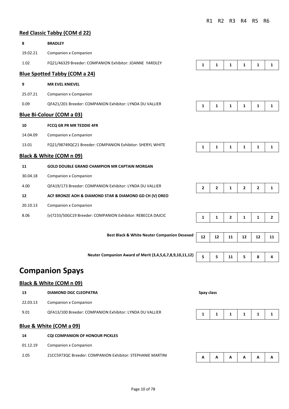#### **Red Classic Tabby (COM d 22)**

| 8        | <b>BRADLEY</b>                                              |              |                |                |                |                |              |
|----------|-------------------------------------------------------------|--------------|----------------|----------------|----------------|----------------|--------------|
| 19.02.21 | <b>Companion x Companion</b>                                |              |                |                |                |                |              |
| 1.02     | FQ21/46329 Breeder: COMPANION Exhibitor: JOANNE YARDLEY     | $\mathbf{1}$ | $\mathbf{1}$   | $\mathbf{1}$   | $\mathbf{1}$   | $\mathbf{1}$   | $\mathbf{1}$ |
|          | <b>Blue Spotted Tabby (COM a 24)</b>                        |              |                |                |                |                |              |
| 9        | <b>MR EVEL KNIEVEL</b>                                      |              |                |                |                |                |              |
| 25.07.21 | <b>Companion x Companion</b>                                |              |                |                |                |                |              |
| 0.09     | QFA21/201 Breeder: COMPANION Exhibitor: LYNDA DU VALLIER    | 1            | 1              | 1              | 1              | 1              | 1            |
|          | Blue Bi-Colour (COM a 03)                                   |              |                |                |                |                |              |
| 10       | FCCQ GR PR MR TEDDIE 4FR                                    |              |                |                |                |                |              |
| 14.04.09 | <b>Companion x Companion</b>                                |              |                |                |                |                |              |
| 13.01    | FQ21/98749QC21 Breeder: COMPANION Exhibitor: SHERYL WHITE   | $\mathbf{1}$ | $\mathbf{1}$   | $\mathbf{1}$   | $\mathbf{1}$   | $\mathbf{1}$   | $\mathbf{1}$ |
|          | Black & White (COM n 09)                                    |              |                |                |                |                |              |
| 11       | <b>GOLD DOUBLE GRAND CHAMPION MR CAPTAIN MORGAN</b>         |              |                |                |                |                |              |
| 30.04.18 | <b>Companion x Companion</b>                                |              |                |                |                |                |              |
| 4.00     | QFA19/173 Breeder: COMPANION Exhibitor: LYNDA DU VALLIER    | $\mathbf{2}$ | $\overline{2}$ | $\mathbf{1}$   | $\overline{2}$ | $\overline{2}$ | $\mathbf{1}$ |
| 12       | ACF BRONZE AOH & DIAMOND STAR & DIAMOND GD CH (V) OREO      |              |                |                |                |                |              |
| 20.10.13 | Companion x Companion                                       |              |                |                |                |                |              |
| 8.06     | (v)7233/50GC19 Breeder: COMPANION Exhibitor: REBECCA DAJCIC | $\mathbf{1}$ | $\mathbf{1}$   | $\overline{2}$ | $\mathbf{1}$   | $\mathbf{1}$   | $\mathbf{2}$ |
|          |                                                             |              |                |                |                |                |              |
|          | <b>Best Black &amp; White Neuter Companion Desexed</b>      | 12           | 12             | 11             | 12             | 12             | 11           |

**Neuter Companion Award of Merit (3,4,5,6,7,8,9,10,11,12) 5 5 11 5 8 4** 

## **Companion Spays**

#### **Black & White (COM n 09)**

| 13       | <b>DIAMOND DGC CLEOPATRA</b>                             | Spay class |  |  |  |  |  |
|----------|----------------------------------------------------------|------------|--|--|--|--|--|
| 22.03.13 | Companion x Companion                                    |            |  |  |  |  |  |
| 9.01     | QFA13/100 Breeder: COMPANION Exhibitor: LYNDA DU VALLIER |            |  |  |  |  |  |

#### **Blue & White (COM a 09)**

| 14       | <b>COI COMPANION OF HONOUR PICKLES</b>                     |   |              |   |   |   |   |
|----------|------------------------------------------------------------|---|--------------|---|---|---|---|
| 01.12.19 | Companion x Companion                                      |   |              |   |   |   |   |
| 2.05     | 21CC5973QC Breeder: COMPANION Exhibitor: STEPHANIE MARTINI | A | $\mathbf{A}$ | Α | Α | A | A |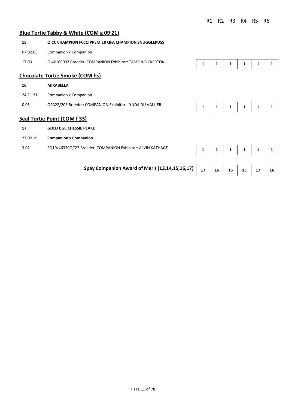## **Blue Tortie Tabby & White (COM g 09 21)**

| 15       | <b>QICC CHAMPION FCCQ PREMIER QFA CHAMPION SNUGGLEPUSS</b> |   |   |   |   |   |   |
|----------|------------------------------------------------------------|---|---|---|---|---|---|
| 07.02.05 | Companion x Companion                                      |   |   |   |   |   |   |
| 17.03    | QI42106002 Breeder: COMPANION Exhibitor: TAMSIN BICKERTON  | 1 | 1 | 1 | 1 | 1 | 1 |
|          | <b>Chocolate Tortie Smoke (COM hs)</b>                     |   |   |   |   |   |   |
| 16       | <b>MIRABELLA</b>                                           |   |   |   |   |   |   |
| 24.11.21 | <b>Companion x Companion</b>                               |   |   |   |   |   |   |
| 0.05     | QFA22/203 Breeder: COMPANION Exhibitor: LYNDA DU VALLIER   | 1 | 1 | 1 | 1 | 1 | 1 |
|          | <b>Seal Tortie Point (COM f 33)</b>                        |   |   |   |   |   |   |
| 17       | <b>GOLD DGC CHESSIE PEAKE</b>                              |   |   |   |   |   |   |
| 27.02.19 | <b>Companion x Companion</b>                               |   |   |   |   |   |   |
| 3.02     | FQ19/46330QC22 Breeder: COMPANION Exhibitor: ALVIN KATHAGE | 1 | 1 | 1 | 1 |   |   |

**Spay Companion Award of Merit (13,14,15,16,17)** 17 16 15 15 15 17 16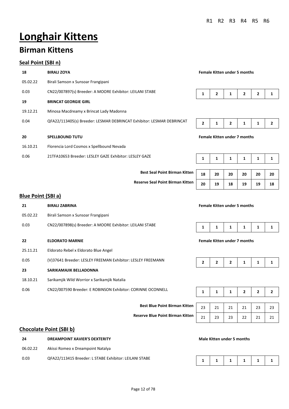# **Longhair Kittens**

## **Birman Kittens**

#### **Seal Point (SBI n)**

| 18       | <b>BIRALI ZOYA</b>                                                    | <b>Female Kitten under 5 months</b> |                |   |                |                |  |
|----------|-----------------------------------------------------------------------|-------------------------------------|----------------|---|----------------|----------------|--|
| 05.02.22 | Birali Samson x Sunsoar Frangipani                                    |                                     |                |   |                |                |  |
| 0.03     | CN22/007897(s) Breeder: A MOORE Exhibitor: LEILANI STABE              |                                     | $\overline{2}$ | 1 | $\overline{2}$ | $\overline{2}$ |  |
| 19       | <b>BRINCAT GEORGIE GIRL</b>                                           |                                     |                |   |                |                |  |
| 19.12.21 | Minosa Macdreamy x Brincat Lady Madonna                               |                                     |                |   |                |                |  |
| 0.04     | QFA22/113405(s) Breeder: LESMAR DEBRINCAT Exhibitor: LESMAR DEBRINCAT | $\overline{2}$                      | 1              | 2 | 1              | 1              |  |
| 20       | <b>SPELLBOUND TUTU</b>                                                | <b>Female Kitten under 7 months</b> |                |   |                |                |  |
| 16.10.21 | Florencia Lord Cosmos x Spellbound Nevada                             |                                     |                |   |                |                |  |
| 0.06     | 21TFA10653 Breeder: LESLEY GAZE Exhibitor: LESLEY GAZE                |                                     | 1              | 1 | 1              | 1              |  |



|  |  |  |  | Female Kitten under 7 months |  |
|--|--|--|--|------------------------------|--|
|--|--|--|--|------------------------------|--|

| SLEY GAZE                            | 1  |    |    |    |    |    |
|--------------------------------------|----|----|----|----|----|----|
| <b>Best Seal Point Birman Kitten</b> | 18 | 20 | 20 | 20 | 20 | 20 |
| Reserve Seal Point Birman Kitten     | 20 | 19 | 18 | 19 | 19 | 18 |

#### **Blue Point (SBI a)**

| 21       | <b>BIRALI ZABRINA</b>                                                                              |                                     | <b>Female Kitten under 5 months</b> |    |              |                |    |  |  |
|----------|----------------------------------------------------------------------------------------------------|-------------------------------------|-------------------------------------|----|--------------|----------------|----|--|--|
| 05.02.22 | Birali Samson x Sunsoar Frangipani                                                                 |                                     |                                     |    |              |                |    |  |  |
| 0.03     | CN22/007898(s) Breeder: A MOORE Exhibitor: LEILANI STABE                                           | 1                                   | 1                                   | 1  | 1            | 1              | 1  |  |  |
| 22       | <b>ELDORATO MARNIE</b>                                                                             | <b>Female Kitten under 7 months</b> |                                     |    |              |                |    |  |  |
| 25.11.21 | Eldorato Rebel x Eldorato Blue Angel                                                               |                                     |                                     |    |              |                |    |  |  |
| 0.05     | (V)37641 Breeder: LESLEY FREEMAN Exhibitor: LESLEY FREEMANN<br>2<br>$\overline{2}$<br>$\mathbf{2}$ |                                     |                                     |    |              |                | 1  |  |  |
| 23       | SARIKAMAJIK BELLADONNA                                                                             |                                     |                                     |    |              |                |    |  |  |
| 18.10.21 | Sarikamjik Wild Worrior x Sarikamjik Natalia                                                       |                                     |                                     |    |              |                |    |  |  |
| 0.06     | CN22/007590 Breeder: E ROBINSON Exhibitor: CORINNE OCONNELL                                        | 1                                   | 1                                   | 1  | $\mathbf{2}$ | $\overline{2}$ | 2  |  |  |
|          |                                                                                                    |                                     |                                     |    |              |                |    |  |  |
|          | <b>Best Blue Point Birman Kitten</b>                                                               | 23                                  | 21                                  | 21 | 21           | 23             | 23 |  |  |
|          | <b>Reserve Blue Point Birman Kitten</b>                                                            | 21                                  | 23                                  | 23 | 22           | 21             | 21 |  |  |
|          | <b>Chocolate Point (SBI b)</b>                                                                     |                                     |                                     |    |              |                |    |  |  |

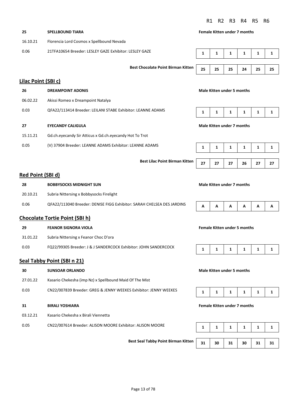## **25 SPELLBOUND TIARA Female Kitten under 7 months** 16.10.21 Florencia Lord Cosmos x Spellbound Nevada 0.06 21TFA10654 Breeder: LESLEY GAZE Exhibitor: LESLEY GAZE **1** 1 1 1 1 1 1 1 1 **Best Chocolate Point Birman Kitten** 25 25 25 24 25 25 **Lilac Point (SBI c) 26 DREAMPOINT ADONIS Male Kitten under 5 months**

| 27 | <b>EYECANDY CALIGULA</b> | Male Kitten under 7 months |
|----|--------------------------|----------------------------|
|    |                          |                            |

| 27 | 27 | 27 | 26 | 27 | 27 |
|----|----|----|----|----|----|

#### **Red Point (SBI d)**

| 28       | <b>BOBBYSOCKS MIDNIGHT SUN</b>                                         |  |     | Male Kitten under 7 months |                |              |          |  |  |
|----------|------------------------------------------------------------------------|--|-----|----------------------------|----------------|--------------|----------|--|--|
| 20.10.21 | Subria Nittersing x Bobbysocks Firelight                               |  |     |                            |                |              |          |  |  |
| 0.06     | QFA22/113040 Breeder: DENISE FIGG Exhibitor: SARAH CHELSEA DES JARDINS |  | A A |                            | $\overline{A}$ | $\mathbf{A}$ | <b>A</b> |  |  |

#### **Chocolate Tortie Point (SBI h)**

06.02.22 Akissi Romeo x Dreampoint Natalya

0.03 QFA22/113414 Breeder: LEILANI STABE Exhibitor: LEANNE ADAMS

15.11.21 Gd.ch.eyecandy Sir Atticus x Gd.ch.eyecandy Hot To Trot

0.05 (V) 37904 Breeder: LEANNE ADAMS Exhibitor: LEANNE ADAMS

| 29       | <b>FEANOR SIGNORA VIOLA</b>                                     |  |  | <b>Female Kitten under 5 months</b> |  |                                        |  |  |  |
|----------|-----------------------------------------------------------------|--|--|-------------------------------------|--|----------------------------------------|--|--|--|
| 31.01.22 | Subria Nittersing x Feanor Choc D'ora                           |  |  |                                     |  |                                        |  |  |  |
| 0.03     | FQ22/99305 Breeder: J & J SANDERCOCK Exhibitor: JOHN SANDERCOCK |  |  |                                     |  | $1 \mid 1 \mid 1 \mid 1 \mid 1 \mid 1$ |  |  |  |

#### **Seal Tabby Point (SBI n 21)**

- **30 SUNSOAR ORLANDO Male Kitten under 5 months** 27.01.22 Kasario Chekesha (imp Nz) x Spellbound Maid Of The Mist 0.03 CN22/007839 Breeder: GREG & JENNY WEEKES Exhibitor: JENNY WEEKES **31 BIRALI YOSHIARA Female Kitten under 7 months** 03.12.21 Kasario Chekesha x Birali Viennetta
- 0.05 CN22/007614 Breeder: ALISON MOORE Exhibitor: ALISON MOORE

**Best Seal Tabby Point Birman Kitten** 

**Best Lilac Point Birman Kitten** 

| - - | n | . . | <br>. . | ~ |
|-----|---|-----|---------|---|
|     |   |     |         |   |

#### **Female Kitten under 5 months**

| 31 | 30 | 31 | 30 | 31 | 31 |
|----|----|----|----|----|----|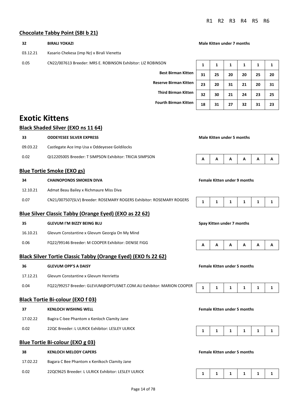#### **Chocolate Tabby Point (SBI b 21)**

| 32       | <b>BIRALI YOKAZI</b>                                                  | <b>Male Kitten under 7 months</b>   |                                     |    |              |    |              |
|----------|-----------------------------------------------------------------------|-------------------------------------|-------------------------------------|----|--------------|----|--------------|
| 03.12.21 | Kasario Chekesa (imp Nz) x Birali Vienetta                            |                                     |                                     |    |              |    |              |
| 0.05     | CN22/007613 Breeder: MRS E. ROBINSON Exhibitor: LIZ ROBINSON          | 1                                   | 1                                   | 1  | 1            | 1  | 1            |
|          | <b>Best Birman Kitten</b>                                             | 31                                  | 25                                  | 20 | 20           | 25 | 20           |
|          | <b>Reserve Birman Kitten</b>                                          | 23                                  | 20                                  | 31 | 21           | 20 | 31           |
|          | <b>Third Birman Kitten</b>                                            | 32                                  | 30                                  | 21 | 24           | 23 | 25           |
|          | <b>Fourth Birman Kitten</b>                                           | 18                                  | 31                                  | 27 | 32           | 31 | 23           |
|          |                                                                       |                                     |                                     |    |              |    |              |
|          | <b>Exotic Kittens</b>                                                 |                                     |                                     |    |              |    |              |
|          | <b>Black Shaded Silver (EXO ns 11 64)</b>                             |                                     |                                     |    |              |    |              |
| 33       | <b>ODDEYESEE SILVER EXPRESS</b>                                       |                                     | <b>Male Kitten under 5 months</b>   |    |              |    |              |
| 09.03.22 | Castlegate Ace Imp Usa x Oddeyesee Goldilocks                         |                                     |                                     |    |              |    |              |
| 0.02     | QI12205005 Breeder: T SIMPSON Exhibitor: TRICIA SIMPSON               | А                                   | А                                   | Α  | А            | Α  | Α            |
|          | <b>Blue Tortie Smoke (EXO gs)</b>                                     |                                     |                                     |    |              |    |              |
| 34       | <b>CHAINOPONDS SMOKEN DIVA</b>                                        | <b>Female Kitten under 9 months</b> |                                     |    |              |    |              |
| 12.10.21 | Admat Beau Bailey x Richmaure Miss Diva                               |                                     |                                     |    |              |    |              |
| 0.07     | CN21/007507(SLV) Breeder: ROSEMARY ROGERS Exhibitor: ROSEMARY ROGERS  | 1                                   | 1                                   | 1  | 1            | 1  | 1            |
|          | Blue Silver Classic Tabby (Orange Eyed) (EXO as 22 62)                |                                     |                                     |    |              |    |              |
| 35       | <b>GLEVUM I'M BIZZY BEING BLU</b>                                     |                                     | Spay Kitten under 7 months          |    |              |    |              |
| 16.10.21 | Glevum Constantine x Glevum Georgia On My Mind                        |                                     |                                     |    |              |    |              |
| 0.06     | FQ22/99146 Breeder: M COOPER Exhibitor: DENISE FIGG                   | Α                                   | А                                   | Α  | А            | А  | Α            |
|          | <b>Black Silver Tortie Classic Tabby (Orange Eyed) (EXO fs 22 62)</b> |                                     |                                     |    |              |    |              |
| 36       | <b>GLEVUM OPP'S A DAISY</b>                                           |                                     | <b>Female Kitten under 5 months</b> |    |              |    |              |
| 17.12.21 | Glevum Constantine x Glevum Henrietta                                 |                                     |                                     |    |              |    |              |
| 0.04     | FQ22/99257 Breeder: GLEVUM@OPTUSNET.COM.AU Exhibitor: MARION COOPER   | 1                                   | 1                                   | 1  | $\mathbf{1}$ | 1  | $\mathbf{1}$ |
|          | <b>Black Tortie Bi-colour (EXO f 03)</b>                              |                                     |                                     |    |              |    |              |
| 37       | <b>KENLOCH WISHING WELL</b>                                           |                                     | <b>Female Kitten under 5 months</b> |    |              |    |              |
| 17.02.22 | Bagira C-bee Phantom x Kenloch Clamity Jane                           |                                     |                                     |    |              |    |              |
| 0.02     | 22QC Breeder: L ULRICK Exhibitor: LESLEY ULRICK                       | 1                                   | 1                                   | 1  | 1            | 1  | 1            |
|          | <b>Blue Tortie Bi-colour (EXO g 03)</b>                               |                                     |                                     |    |              |    |              |
| 38       | <b>KENLOCH MELODY CAPERS</b>                                          |                                     | <b>Female Kitten under 5 months</b> |    |              |    |              |
| 17.02.22 | Bagara C Bee Phantom x Kenlkoch Clamity Jane                          |                                     |                                     |    |              |    |              |
| 0.02     | 22QC9625 Breeder: L ULRICK Exhibitor: LESLEY ULRICK                   | 1                                   | 1                                   | 1  | 1            | 1  | 1            |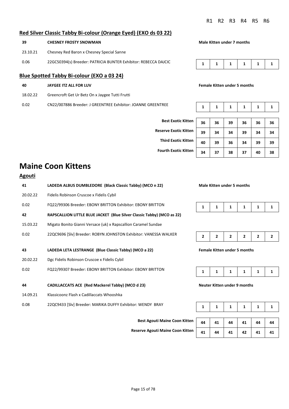#### **Red Silver Classic Tabby Bi-colour (Orange Eyed) (EXO ds 03 22)**

| -39      | <b>CHESNEY FROSTY SNOWMAN</b>             |
|----------|-------------------------------------------|
| 23.10.21 | Chesney Red Baron x Chesney Special Sanne |

0.06 22GC50394(s) Breeder: PATRICIA BUNTER Exhibitor: REBECCA DAJCIC

#### **Blue Spotted Tabby Bi-colour (EXO a 03 24)**

| 40 | JAYGEE ITZ ALL FOR LUV |
|----|------------------------|
|    |                        |

18.02.22 Greencroft Get Ur Betz On x Jaygee Tutti Frutti

0.02 CN22/007886 Breeder: J GREENTREE Exhibitor: JOANNE GREENTREE

**Male Kitten under 7 months** 

|--|--|--|--|

#### **Female Kitten under 5 months**

**Best Exotic Kitte Reserve Exotic Kitte Third Exotic Kitte Fourth Exotic Kitte** 

| 'n | 36 | 36 | 39 | 36 | 36 | 36 |
|----|----|----|----|----|----|----|
| 'n | 39 | 34 | 34 | 39 | 34 | 34 |
| 'n | 40 | 39 | 36 | 34 | 39 | 39 |
| 'n | 34 | 37 | 38 | 37 | 40 | 38 |

## **Maine Coon Kittens**

| <b>Agouti</b> |                                                                        |   |                            |   |                                     |              |  |
|---------------|------------------------------------------------------------------------|---|----------------------------|---|-------------------------------------|--------------|--|
| 41            | LADEDA ALBUS DUMBLEDORE (Black Classic Tabby) (MCO n 22)               |   | Male Kitten under 5 months |   |                                     |              |  |
| 20.02.22      | Fidelis Robinson Cruscoe x Fidelis Cybil                               |   |                            |   |                                     |              |  |
| 0.02          | FQ22/99306 Breeder: EBONY BRITTON Exhibitor: EBONY BRITTON             | 1 | 1                          | 1 | 1                                   | 1            |  |
| 42            | RAPSCALLION LITTLE BLUE JACKET (Blue Silver Classic Tabby) (MCO as 22) |   |                            |   |                                     |              |  |
| 15.03.22      | Migato Bonito Gianni Versace (uk) x Rapscallion Caramel Sundae         |   |                            |   |                                     |              |  |
| 0.02          | 22QC9696 [Slv] Breeder: ROBYN JOHNSTON Exhibitor: VANESSA WALKER       | 2 | 2                          | 2 | $\overline{2}$                      | $\mathbf{2}$ |  |
| 43            | LADEDA LETA LESTRANGE (Blue Classic Tabby) (MCO a 22)                  |   |                            |   | <b>Female Kitten under 5 months</b> |              |  |
| 20.02.22      | Dgc Fidelis Robinson Cruscoe x Fidelis Cybil                           |   |                            |   |                                     |              |  |
| 0.02          | FQ22/99307 Breeder: EBONY BRITTON Exhibitor: EBONY BRITTON             | 1 | 1                          | 1 | 1                                   | 1            |  |
| 44            | CADILLACCATS ACE (Red Mackerel Tabby) (MCO d 23)                       |   |                            |   | Neuter Kitten under 9 months        |              |  |
| 14.09.21      | Klassicoonz Flash x Cadillaccats Whooshka                              |   |                            |   |                                     |              |  |
| 0.08          | 22QC9433 [Slv] Breeder: MARIKA DUFFY Exhibitor: WENDY BRAY             | 1 | 1                          | 1 | 1                                   | 1            |  |





#### **43 LADEDA LETA LESTRANGE (Blue Classic Tabby) (MCO a 22) Female Kitten under 5 months**



| 44 | 41 | 44 | 41 | 44 | 44 |
|----|----|----|----|----|----|

| Best Agouti Maine Coon Kitten    | $\overline{a}$   | 41 |    | 44   41      | 44 | 44 |
|----------------------------------|------------------|----|----|--------------|----|----|
| Reserve Agouti Maine Coon Kitten | $\overline{a}$ 1 | 44 | 41 | $42 \quad  $ |    |    |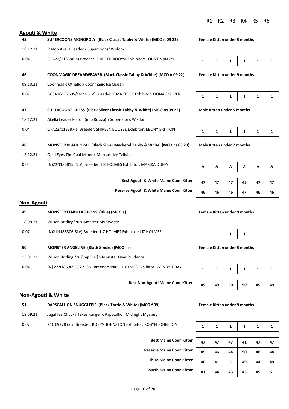#### **Agouti & White**

# **45 SUPERCOONS MONOPOLY (Black Classic Tabby & White) (MCO n 09 22) Female Kitten under 5 months** 18.12.21 Platon Akella Leader x Supercoons Wisdom 0.04 QFA22/113396(a) Breeder: SHIREEN BOOYSE Exhibitor: LOUIZE VAN ZYL **46 COONMAGIC DREAMWEAVER (Black Classic Tabby & White) (MCO n 09 22) Female Kitten under 9 months** 09.10.21 Coonmagic Othello x Coonmagic Ice Queen 0.07 GCSA1G13769S/CN22(SLV) Breeder: K MATTOCK Exhibitor: FIONA COOPER **47 SUPERCOONS CHESS (Black Silver Classic Tabby & White) (MCO ns 09 22) Male Kitten under 5 months** 18.12.21 Akella Leader Platon (imp Russia) x Supercoons Wisdom

0.04 QFA22/113397(s) Breeder: SHIREEN BOOYSE Exhibitor: EBONY BRITTON

**48 MONSTER BLACK OPAL (Black Silver Mackerel Tabby & White) (MCO ns 09 23) Male Kitten under 7 months**

- 12.12.21 Opal Eyes The Coal Miner x Monster Ivy Tellulah
- 0.05 (N)22N186815 (SLV) Breeder: LIZ HOLMES Exhibitor: MARIKA DUFFY

**Best Agouti & White Maine Coon Kitten** 

**Reserve Agouti & White Maine Coon Kitten 46 46 46 47 46 46** 

|--|--|--|--|--|--|--|

| - - | - - | . . | . . |  |
|-----|-----|-----|-----|--|
|     |     |     |     |  |

| 47 | 47 | 47 | 45 | 47 | 47 |
|----|----|----|----|----|----|
| 46 | 46 | 46 | 47 | 46 | 46 |

#### **Non-Agouti**

| 49       | <b>MONSTER FENDI FASHIONS (Blue) (MCO a)</b>                        | <b>Female Kitten under 9 months</b> |   |   |                                     |   |  |
|----------|---------------------------------------------------------------------|-------------------------------------|---|---|-------------------------------------|---|--|
| 18.09.21 | Wilson Britling*ru x Monster My Sweety                              |                                     |   |   |                                     |   |  |
| 0.07     | (N)21N186306(SLV) Breeder: LIZ HOLMES Exhibitor: LIZ HOLMES         |                                     | 1 | 1 | 1                                   | 1 |  |
| 50       | <b>MONSTER ANGELINE (Black Smoke) (MCO ns)</b>                      |                                     |   |   | <b>Female Kitten under 5 months</b> |   |  |
| 13.01.22 | Wilson Britling *ru [imp Rus] x Monster Dear Prudence               |                                     |   |   |                                     |   |  |
| 0.04     | [N] 22N186905QC22 [Slv] Breeder: MRS L HOLMES Exhibitor: WENDY BRAY |                                     |   | 1 | 1                                   |   |  |
|          |                                                                     |                                     |   |   |                                     |   |  |

#### **Non-Agouti & White**

- **51 RAPSCALLION SNUGGLEPIE (Black Tortie & White) (MCO f 09) Female Kitten under 9 months**
- 19.09.21 Jagahlee Chucky Texas Ranger x Rapscallion Midnight Mystery
- 0.07 21QC9278 (Slv) Breeder: ROBYN JOHNSTON Exhibitor: ROBYN JOHNSTON

|--|--|--|--|--|--|

#### **Female Kitten under 5 months**



| <b>Best Maine Coon Kitten</b>    | 47 | 47 | 47 | 41 | 47 | 47 |
|----------------------------------|----|----|----|----|----|----|
| <b>Reserve Maine Coon Kitten</b> | 49 | 46 | 44 | 50 | 46 | 44 |
| <b>Third Maine Coon Kitten</b>   | 46 | 41 | 51 | 49 | 44 | 49 |
| <b>Fourth Maine Coon Kitten</b>  | 41 | 44 | 43 | 45 | 49 | 51 |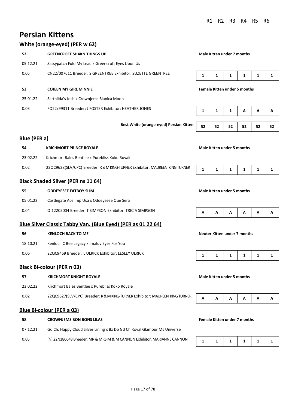## **Persian Kittens**

## **White (orange-eyed) (PER w 62)**

|                     | $\frac{1}{2}$                                                               |                                   |    |                                     |    |    |    |
|---------------------|-----------------------------------------------------------------------------|-----------------------------------|----|-------------------------------------|----|----|----|
| 52                  | <b>GREENCROFT SHAKN THINGS UP</b>                                           |                                   |    | <b>Male Kitten under 7 months</b>   |    |    |    |
| 05.12.21            | Sassypatch Folo My Lead x Greencroft Eyes Upon Us                           |                                   |    |                                     |    |    |    |
| 0.05                | CN22/007611 Breeder: S GREENTREE Exhibitor: SUZETTE GREENTREE               | 1                                 | 1  | 1                                   | 1  | 1  | 1  |
| 53                  | <b>COJEEN MY GIRL MINNIE</b>                                                |                                   |    | <b>Female Kitten under 5 months</b> |    |    |    |
| 25.01.22            | Sarthilda's Josh x Crownjems Bianica Moon                                   |                                   |    |                                     |    |    |    |
| 0.03                | FQ22/99311 Breeder: J FOSTER Exhibitor: HEATHER JONES                       | 1                                 | 1  | 1                                   | А  | А  | А  |
|                     | Best White (orange-eyed) Persian Kitten                                     | 52                                | 52 | 52                                  | 52 | 52 | 52 |
| <b>Blue (PER a)</b> |                                                                             |                                   |    |                                     |    |    |    |
| 54                  | <b>KRICHMORT PRINCE ROYALE</b>                                              |                                   |    | <b>Male Kitten under 5 months</b>   |    |    |    |
| 23.02.22            | Krichmort Bales Bentlee x Purebliss Koko Royale                             |                                   |    |                                     |    |    |    |
| 0.02                | 22QC9628(SLV/CPC) Breeder: R & M KING-TURNER Exhibitor: MAUREEN KING TURNER | 1                                 | 1  | 1                                   | 1  | 1  | 1  |
|                     | <b>Black Shaded Silver (PER ns 11 64)</b>                                   |                                   |    |                                     |    |    |    |
| 55                  | <b>ODDEYESEE FATBOY SLIM</b>                                                | <b>Male Kitten under 5 months</b> |    |                                     |    |    |    |
| 05.01.22            | Castlegate Ace Imp Usa x Oddeyesee Que Sera                                 |                                   |    |                                     |    |    |    |
| 0.04                | QI12205004 Breeder: T SIMPSON Exhibitor: TRICIA SIMPSON                     | А                                 | А  | А                                   | А  | А  | А  |
|                     | Blue Silver Classic Tabby Van. (Blue Eyed) (PER as 01 22 64)                |                                   |    |                                     |    |    |    |
| 56                  | <b>KENLOCH BACK TO ME</b>                                                   |                                   |    | <b>Neuter Kitten under 7 months</b> |    |    |    |
| 18.10.21            | Kenloch C Bee Legacy x Imaluv Eyes For You                                  |                                   |    |                                     |    |    |    |
| 0.06                | 22QC9469 Breeder: L ULRICK Exhibitor: LESLEY ULRICK                         | 1                                 | 1  | 1                                   | 1  | 1  | 1  |
|                     | <b>Black Bi-colour (PER n 03)</b>                                           |                                   |    |                                     |    |    |    |
| 57                  | <b>KRICHMORT KNIGHT ROYALE</b>                                              |                                   |    | <b>Male Kitten under 5 months</b>   |    |    |    |
| 23.02.22            | Krichmort Bales Bentlee x Purebliss Koko Royale                             |                                   |    |                                     |    |    |    |
| 0.02                | 22QC9627(SLV/CPC) Breeder: R & M KING-TURNER Exhibitor: MAUREEN KING TURNER | А                                 | А  | А                                   | А  | А  | А  |
|                     | <b>Blue Bi-colour (PER a 03)</b>                                            |                                   |    |                                     |    |    |    |
| 58                  | <b>CROWNJEMS BON BONS LILAS</b>                                             |                                   |    | <b>Female Kitten under 7 months</b> |    |    |    |

07.12.21 Gd Ch. Happy Cloud Silver Lining x Bz Db Gd Ch Royal Glamour Ms Universe 0.05 (N) 22N186648 Breeder: MR & MRS M & M CANNON Exhibitor: MARIANNE CANNON **1 1 1 1 1 1 1 1 1 1**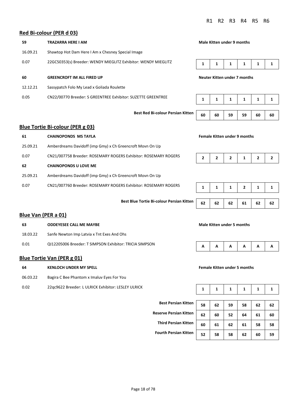#### **Red Bi-colour (PER d 03)**

| 59       | <b>TRAZARRA HERE I AM</b>                                      | Male Kitten under 9 months          |   |   |   |   |  |
|----------|----------------------------------------------------------------|-------------------------------------|---|---|---|---|--|
| 16.09.21 | Shawtop Hot Dam Here I Am x Chesney Special Image              |                                     |   |   |   |   |  |
| 0.07     | 22GC50353(s) Breeder: WENDY MIEGLITZ Exhibitor: WENDY MIEGLITZ |                                     | 1 | 1 | 1 | 1 |  |
| 60       | <b>GREENCROFT IM ALL FIRED UP</b>                              | <b>Neuter Kitten under 7 months</b> |   |   |   |   |  |
| 12.12.21 | Sassypatch Folo My Lead x Goliada Roulette                     |                                     |   |   |   |   |  |
| 0.05     | CN22/00770 Breeder: S GREENTREE Exhibitor: SUZETTE GREENTREE   | 1                                   |   | 1 | 1 | 1 |  |
|          |                                                                |                                     |   |   |   |   |  |

**Best Red Bi-colour Persian Kitten** 60 60 59 59 60 60

#### **Blue Tortie Bi-colour (PER g 03)**

| 61       | <b>CHAINOPONDS MS TAYLA</b>                                     | <b>Female Kitten under 9 months</b> |  |  |  |  |  |
|----------|-----------------------------------------------------------------|-------------------------------------|--|--|--|--|--|
| 25.09.21 | Amberdreams Davidoff (imp Gmy) x Ch Greencroft Movn On Up       |                                     |  |  |  |  |  |
| 0.07     | CN21/007758 Breeder: ROSEMARY ROGERS Exhibitor: ROSEMARY ROGERS | 2                                   |  |  |  |  |  |
| 62       | <b>CHAINOPONDS U LOVE ME</b>                                    |                                     |  |  |  |  |  |
| 25.09.21 | Amberdreams Davidoff (imp Gmy) x Ch Greencroft Movn On Up       |                                     |  |  |  |  |  |
| 0.07     | CN21/007760 Breeder: ROSEMARY ROGERS Exhibitor: ROSEMARY ROGERS |                                     |  |  |  |  |  |

**Best Blue Tortie Bi-colour Persian Kitten** 

#### **Female Kitten under 9 months**



|    |    |    | 2  |    |    |
|----|----|----|----|----|----|
|    |    |    |    |    |    |
| 62 | 62 | 62 | 61 | 62 | 62 |

#### **Blue Van (PER a 01)**

| 63       | <b>ODDEYESEE CALL ME MAYBE</b>                          | Male Kitten under 5 months |  |   |   |   |   |
|----------|---------------------------------------------------------|----------------------------|--|---|---|---|---|
| 18.03.22 | Sanfe Newton Imp Latvia x Tnt Exes And Ohs              |                            |  |   |   |   |   |
| 0.01     | QI12205006 Breeder: T SIMPSON Exhibitor: TRICIA SIMPSON | A                          |  | A | A | A | A |

#### **Blue Tortie Van (PER g 01)**

**64 KENLOCH UNDER MY SPELL Female Kitten under 5 months** 06.03.22 Bagira C Bee Phantom x Imaluv Eyes For You

0.02 22qc9622 Breeder: L ULRICK Exhibitor: LESLEY ULRICK



|                               | 1  | 1  | 1  | 1  | 1  |    |
|-------------------------------|----|----|----|----|----|----|
|                               |    |    |    |    |    |    |
| <b>Best Persian Kitten</b>    | 58 | 62 | 59 | 58 | 62 | 62 |
| <b>Reserve Persian Kitten</b> | 62 | 60 | 52 | 64 | 61 | 60 |
| <b>Third Persian Kitten</b>   | 60 | 61 | 62 | 61 | 58 | 58 |
| <b>Fourth Persian Kitten</b>  | 52 | 58 | 58 | 62 | 60 | 59 |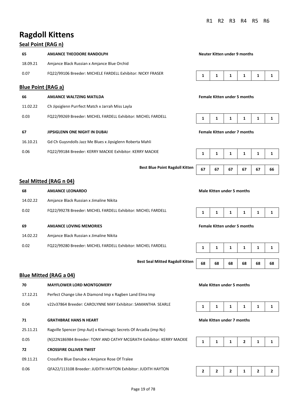## **Ragdoll Kittens**

## **Seal Point (RAG n)**

|                                                                              | 65                                                                  | AMJANCE THEODORE RANDOLPH                        | Neuter Kitten under 9 months |  |   |   |   |  |
|------------------------------------------------------------------------------|---------------------------------------------------------------------|--------------------------------------------------|------------------------------|--|---|---|---|--|
|                                                                              | 18.09.21                                                            | Amjance Black Russian x Amjance Blue Orchid      |                              |  |   |   |   |  |
|                                                                              | FQ22/99106 Breeder: MICHELE FARDELL Exhibitor: NICKY FRASER<br>0.07 |                                                  |                              |  | 1 | 1 | 1 |  |
|                                                                              | <b>Blue Point (RAG a)</b>                                           |                                                  |                              |  |   |   |   |  |
| 66<br><b>Female Kitten under 5 months</b><br><b>AMJANCE WALTZING MATILDA</b> |                                                                     |                                                  |                              |  |   |   |   |  |
|                                                                              | 11.02.22                                                            | Ch Jipsiglenn Purrfect Match x Jarrah Miss Layla |                              |  |   |   |   |  |

| FQ22/99269 Breeder: MICHEL FARDELL Exhibitor: MICHEL FARDELL<br>0.03 |  |  |  |  |  |  |
|----------------------------------------------------------------------|--|--|--|--|--|--|
|----------------------------------------------------------------------|--|--|--|--|--|--|

#### **67 JIPSIGLENN ONE NIGHT IN DUBAI Female Kitten under 7 months**

- 16.10.21 Gd Ch Guysndolls Jazz Me Blues x Jipsiglenn Roberta Mahli
- 0.06 FQ22/99184 Breeder: KERRY MACKIE Exhibitor: KERRY MACKIE **1 1 1 1 1 1**

**Best Blue Point Ragdoll Kitten** | 67 | 67 | 67 | 67 | 66

#### **Seal Mitted (RAG n 04)**

| 68       | <b>AMJANCE LEONARDO</b>                                      | Male Kitten under 5 months          |  |  |  |  |  |
|----------|--------------------------------------------------------------|-------------------------------------|--|--|--|--|--|
| 14.02.22 | Amjance Black Russian x Jimaline Nikita                      |                                     |  |  |  |  |  |
| 0.02     | FQ22/99278 Breeder: MICHEL FARDELL Exhibitor: MICHEL FARDELL |                                     |  |  |  |  |  |
| 69       | <b>AMJANCE LOVING MEMORIES</b>                               | <b>Female Kitten under 5 months</b> |  |  |  |  |  |
| 14.02.22 | Amjance Black Russian x Jimaline Nikita                      |                                     |  |  |  |  |  |
| റ റാ     | E022/99280 Breeder: MICHEL EARDELL Exhibitor: MICHEL EARDELL |                                     |  |  |  |  |  |



# **Best Seal Mitted Ragdoll Kitten** | 68 | 68 | 68 | 68 | 68 | 68

#### **Male Kitten under 5 months**

#### **Male Kitten under 7 months**





0.02 FQ22/99280 Breeder: MICHEL FARDELL Exhibitor: MICHEL FARDELL **1 1 1 1 1 1** 

#### **Blue Mitted (RAG a 04)**

| 70            | <b>MAYFLOWER LORD MONTGOMERY</b>                                     | Male Kitten under 5 months |   |   |   |   |  |
|---------------|----------------------------------------------------------------------|----------------------------|---|---|---|---|--|
| 17.12.21      | Perfect Change Like A Diamond Imp x Ragben Land Elma Imp             |                            |   |   |   |   |  |
| 0.04          | v22v37864 Breeder: CAROLYNNE MAY Exhibitor: SAMANTHA SEARLE          | 1<br>1<br>1<br>1<br>1      |   |   |   |   |  |
| 71            | <b>GRATHBRAE HANS N HEART</b>                                        | Male Kitten under 7 months |   |   |   |   |  |
| 25.11.21      | Ragville Spencer (imp Aut) x Kiwimagic Secrets Of Arcadia (imp Nz)   |                            |   |   |   |   |  |
| 0.05          | (N)22N186984 Breeder: TONY AND CATHY MCGRATH Exhibitor: KERRY MACKIE | 1                          | 1 | 1 | 2 | 1 |  |
| 72            | <b>CROSSFIRE OLLIVER TWIST</b>                                       |                            |   |   |   |   |  |
| 09.11.21      | Crossfire Blue Danube x Amjance Rose Of Tralee                       |                            |   |   |   |   |  |
| $\sim$ $\sim$ |                                                                      |                            |   |   |   |   |  |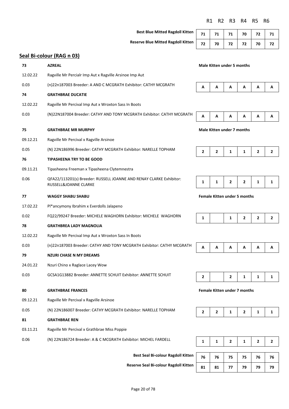**Best Blue Mitted Ragdoll Kitten** 

**Reserve Blue Mitted Ragdoll Kitten 72 70 72 72 70 72** 

| 71 | 71   71   70   72   71 |  |  |
|----|------------------------|--|--|
|    | 72 70 72 72 70 72      |  |  |

## **Seal Bi-colour (RAG n 03)**

| 73       | <b>AZREAL</b>                                                                                | Male Kitten under 5 months |                                     |                            |                              |                |                |  |
|----------|----------------------------------------------------------------------------------------------|----------------------------|-------------------------------------|----------------------------|------------------------------|----------------|----------------|--|
| 12.02.22 | Ragville Mr Percialr Imp Aut x Ragville Arsinoe Imp Aut                                      |                            |                                     |                            |                              |                |                |  |
| 0.03     | (n)22n187003 Breeder: A AND C MCGRATH Exhibitor: CATHY MCGRATH                               | A                          | А                                   | А                          | Α                            | А              | А              |  |
| 74       | <b>GRATHBRAE DUCATIE</b>                                                                     |                            |                                     |                            |                              |                |                |  |
| 12.02.22 | Ragville Mr Percival Imp Aut x Wroxton Sass In Boots                                         |                            |                                     |                            |                              |                |                |  |
| 0.03     | (N)22N187004 Breeder: CATHY AND TONY MCGRATH Exhibitor: CATHY MCGRATH                        | Α                          | А                                   | А                          | Α                            | Α              | А              |  |
| 75       | <b>GRATHBRAE MR MURPHY</b>                                                                   |                            |                                     | Male Kitten under 7 months |                              |                |                |  |
| 09.12.21 | Ragville Mr Percival x Ragville Arsinoe                                                      |                            |                                     |                            |                              |                |                |  |
| 0.05     | (N) 22N186996 Breeder: CATHY MCGRATH Exhibitor: NARELLE TOPHAM                               | 2                          | 2                                   | 1                          | $\mathbf{1}$                 | $\overline{2}$ | $\overline{2}$ |  |
| 76       | <b>TIPASHEENA TRY TO BE GOOD</b>                                                             |                            |                                     |                            |                              |                |                |  |
| 09.11.21 | Tipasheena Freeman x Tipasheena Clytemnestra                                                 |                            |                                     |                            |                              |                |                |  |
| 0.06     | QFA22/113201(s) Breeder: RUSSELL JOANNE AND RENAY CLARKE Exhibitor:<br>RUSSELL&JOANNE CLARKE | 1                          | 1                                   | 2                          | $\overline{2}$               | $\mathbf{1}$   | 1              |  |
| 77       | <b>WAGGY SHABU SHABU</b>                                                                     |                            | <b>Female Kitten under 5 months</b> |                            |                              |                |                |  |
| 17.02.22 | Pl*ancymony Ibrahim x Everdolls Jalapeno                                                     |                            |                                     |                            |                              |                |                |  |
| 0.02     | FQ22/99247 Breeder: MICHELE WAGHORN Exhibitor: MICHELE WAGHORN                               | $\mathbf{1}$               |                                     | 1                          | $\overline{2}$               | $\overline{2}$ | $\mathbf{2}$   |  |
| 78       | <b>GRATHBREA LADY MAGNOLIA</b>                                                               |                            |                                     |                            |                              |                |                |  |
| 12.02.22 | Ragville Mr Percival Imp Aut x Wroxton Sass In Boots                                         |                            |                                     |                            |                              |                |                |  |
| 0.03     | (n)22n187003 Breeder: CATHY AND TONY MCGRATH Exhibitor: CATHY MCGRATH                        | Α                          | А                                   | А                          | Α                            | А              | А              |  |
| 79       | <b>NZURI CHASE N MY DREAMS</b>                                                               |                            |                                     |                            |                              |                |                |  |
| 24.01.22 | Nzuri Chino x Raglace Lacey Wow                                                              |                            |                                     |                            |                              |                |                |  |
| 0.03     | GCSA1G13882 Breeder: ANNETTE SCHUIT Exhibitor: ANNETTE SCHUIT                                | 2                          |                                     | 2                          | 1                            | 1              | 1              |  |
| 80       | <b>GRATHBRAE FRANCES</b>                                                                     |                            |                                     |                            | Female Kitten under 7 months |                |                |  |
| 09.12.21 | Ragville Mr Percival x Ragville Arsinoe                                                      |                            |                                     |                            |                              |                |                |  |
| 0.05     | (N) 22N186007 Breeder: CATHY MCGRATH Exhibitor: NARELLE TOPHAM                               | $\mathbf{2}$               | $\mathbf{2}$                        | $\mathbf{1}$               | $\overline{2}$               | $\mathbf{1}$   | $\mathbf{1}$   |  |
| 81       | <b>GRATHBRAE REN</b>                                                                         |                            |                                     |                            |                              |                |                |  |
| 03.11.21 | Ragville Mr Percival x Grathbrae Miss Poppie                                                 |                            |                                     |                            |                              |                |                |  |
| 0.06     | (N) 22N186724 Breeder: A & C MCGRATH Exhibitor: MICHEL FARDELL                               | $\mathbf{1}$               | 1                                   | $\mathbf{2}$               | $\mathbf 1$                  | $\mathbf{2}$   | $\overline{2}$ |  |

**Best Seal Bi-colour Ragdoll Kitten 76 76 75 75 76 76** 

**Reserve Seal Bi-colour Ragdoll Kitten** 

| 1  | 1  | $\overline{2}$ | 1  | 2  | $\overline{2}$ |
|----|----|----------------|----|----|----------------|
|    |    |                |    |    |                |
| 76 | 76 | 75             | 75 | 76 | 76             |
| 81 | 81 | 77             | 79 | 79 | 79             |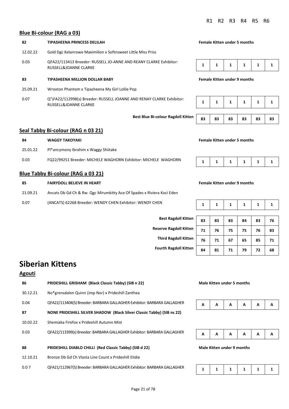#### **Blue Bi-colour (RAG a 03)**

## **82 TIPASHEENA PRINCESS DELILAH Female Kitten under 5 months** 12.02.22 Gold Dgc Kelanrowe Maximilion x Softnsweet Little Miss Priss 0.03 QFA22/113413 Breeder: RUSSELL JO-ANNE AND REANY CLARKE Exhibitor: **RUSSELL&JOANNE CLARKE 83 TIPASHEENA MILLION DOLLAR BABY Female Kitten under 9 months** 25.09.21 Wroxton Phantom x Tipasheena My Girl Lollie Pop

0.07 Q'\FA22/112998(s) Breeder: RUSSELL JOANNE AND RENAY CLARKE Exhibitor: RUSSELL&JOANNE CLARKE **1 1 1 1 1 1** 



#### **Seal Tabby Bi-colour (RAG n 03 21)**

| 84       | <b>WAGGY TAKOYAKI</b>                                          |  |  | <b>Female Kitten under 5 months</b> |  |  |  |  |  |  |
|----------|----------------------------------------------------------------|--|--|-------------------------------------|--|--|--|--|--|--|
| 25.01.22 | Pl*ancymony Ibrahim x Waggy Shiitake                           |  |  |                                     |  |  |  |  |  |  |
| 0.03     | FQ22/99251 Breeder: MICHELE WAGHORN Exhibitor: MICHELE WAGHORN |  |  |                                     |  |  |  |  |  |  |

#### **Blue Tabby Bi-colour (RAG a 03 21)**

| 85       | <b>FAIRYDOLL BELIEVE IN HEART</b>                                      | <b>Female Kitten under 9 months</b> |  |  |                 |  |  |  |
|----------|------------------------------------------------------------------------|-------------------------------------|--|--|-----------------|--|--|--|
| 21.09.21 | Ancats Db Gd Ch & Rw. Qgc Mirumkitty Ace Of Spades x Riviera Koci Eden |                                     |  |  |                 |  |  |  |
| 0.07     | (ANCATS) 62268 Breeder: WENDY CHEN Exhibitor: WENDY CHEN               |                                     |  |  | 1 1 1 1 1 1 1 1 |  |  |  |

|--|--|--|--|--|--|--|

**Female Kitten under 9 months** 

**Best Ragdoll Kitte Reserve Ragdoll Kitte Third Ragdoll Kitte Fourth Ragdoll Kitte** 

| 9Ŋ  | 83 | 83 | 83 | 84 | 83 | 76 |
|-----|----|----|----|----|----|----|
| 9Ŋ  | 71 | 76 | 75 | 75 | 76 | 83 |
| 9IJ | 76 | 71 | 67 | 65 | 85 | 71 |
| 9IJ | 84 | 81 | 71 | 79 | 72 | 68 |

## **Siberian Kittens**

#### **Agouti**

| 86       | PRIDESHILL GRISHAM (Black Classic Tabby) (SIB n 22)                     | <b>Male Kitten under 5 months</b> |    |   |   |   |   |
|----------|-------------------------------------------------------------------------|-----------------------------------|----|---|---|---|---|
| 30.12.21 | No*grensdalen Quinn (imp Nor) x Prideshill Zanthea                      |                                   |    |   |   |   |   |
| 0.04     | QFA22/113404(S) Breeder: BARBARA GALLAGHER Exhibitor: BARBARA GALLAGHER | A                                 | A  | A | A | A | А |
| 87       | NONE PRIDESHILL SILVER SHADOW (Black Silver Classic Tabby) (SIB ns 22)  |                                   |    |   |   |   |   |
| 10.02.22 | Shemiaka Firefox x Prideshill Autumn Mist                               |                                   |    |   |   |   |   |
| 0.03     | QFA22/113399(s) Breeder: BARBARA GALLAGHER Exhibitor: BARBARA GALLAGHER | A                                 | A  | A | A | A | А |
| 88       | PRIDESHILL DIABLO CHILLI (Red Classic Tabby) (SIB d 22)                 | Male Kitten under 9 months        |    |   |   |   |   |
| 12.10.21 | Bronze Db Gd Ch Vlasta Line Count x Prideshill Elidie                   |                                   |    |   |   |   |   |
| 0.07     | OFA21/112967(S) Breeder: BARBARA GALLAGHER Exhibitor: BARBARA GALLAGHER |                                   | п. |   |   |   |   |





|--|--|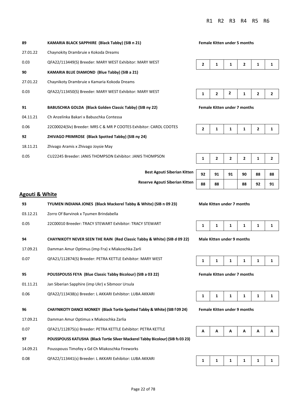| 89       | KAMARIA BLACK SAPPHIRE (Black Tabby) (SIB n 21)                    | <b>Female Kitten under 5 months</b> |                          |              |              |                |  |
|----------|--------------------------------------------------------------------|-------------------------------------|--------------------------|--------------|--------------|----------------|--|
| 27.01.22 | Chaynokity Drambruie x Kokoda Dreams                               |                                     |                          |              |              |                |  |
| 0.03     | QFA22/113449(S) Breeder: MARY WEST Exhibitor: MARY WEST            | $\overline{2}$                      |                          | 1            | 2            | 1              |  |
| 90       | <b>KAMARIA BLUE DIAMOND (Blue Tabby) (SIB a 21)</b>                |                                     |                          |              |              |                |  |
| 27.01.22 | Chaynikoty Drambruie x Kamaria Kokoda Dreams                       |                                     |                          |              |              |                |  |
| 0.03     | QFA22/113450(S) Breeder: MARY WEST Exhibitor: MARY WEST            |                                     | $\overline{2}$           | 2            | 1            | $\overline{2}$ |  |
| 91       | BABUSCHKA GOLDA (Black Golden Classic Tabby) (SIB ny 22)           | <b>Female Kitten under 7 months</b> |                          |              |              |                |  |
| 04.11.21 | Ch Anzelinka Bakari x Babuschka Contessa                           |                                     |                          |              |              |                |  |
| 0.06     | 22C00024(Slv) Breeder: MRS C & MR P COOTES Exhibitor: CAROL COOTES | $\overline{2}$                      | 1                        | 1            | 1            | $\overline{2}$ |  |
| 92       | ZHIVAGO PRIMROSE (Black Spotted Tabby) (SIB ny 24)                 |                                     |                          |              |              |                |  |
| 18.11.21 | Zhivago Aramis x Zhivago Joysie May                                |                                     |                          |              |              |                |  |
| 0.05     | CU22245 Breeder: JANIS THOMPSON Exhibitor: JANIS THOMPSON          | 1                                   | $\overline{\phantom{a}}$ | $\mathbf{z}$ | $\mathbf{z}$ | 1              |  |

#### **Female Kitten under 5 months**





|--|--|--|--|--|--|--|

| <b>Best Agouti Siberian Kitten</b> | 92 | 91 | 91 | 90 | 88 | 88 |
|------------------------------------|----|----|----|----|----|----|
| Reserve Agouti Siberian Kitten     | 88 | 88 |    | 88 |    | 91 |

#### **Agouti & White**

| 93       | TYUMEN INDIANA JONES (Black Mackerel Tabby & White) (SIB n 09 23)                     |   | Male Kitten under 7 months          |   |   |   |   |
|----------|---------------------------------------------------------------------------------------|---|-------------------------------------|---|---|---|---|
| 03.12.21 | Zorro Of Barvinok x Tyumen Brindabella                                                |   |                                     |   |   |   |   |
| 0.05     | 22C00010 Breeder: TRACY STEWART Exhibitor: TRACY STEWART                              | 1 | 1                                   | 1 | 1 | 1 | 1 |
| 94       | CHAYNIKOTY NEVER SEEN THE RAIN (Red Classic Tabby & White) (SIB d 09 22)              |   | <b>Male Kitten under 9 months</b>   |   |   |   |   |
| 17.09.21 | Damman Amur Optimus (imp Fra) x Miakoschka Zarli                                      |   |                                     |   |   |   |   |
| 0.07     | QFA21/112874(S) Breeder: PETRA KETTLE Exhibitor: MARY WEST                            | 1 | 1                                   | 1 | 1 | 1 | 1 |
| 95       | POUSSPOUSS FEYA (Blue Classic Tabby Bicolour) (SIB a 03 22)                           |   | <b>Female Kitten under 7 months</b> |   |   |   |   |
| 01.11.21 | Jan Siberian Sapphire (imp Ukr) x Sibmoor Ursula                                      |   |                                     |   |   |   |   |
| 0.06     | QFA22/113438(s) Breeder: L AKKARI Exhibitor: LUBA AKKARI                              | 1 | 1                                   | 1 | 1 | 1 | 1 |
| 96       | <b>CHAYNIKOTY DANCE MONKEY (Black Tortie Spotted Tabby &amp; White) (SIB f 09 24)</b> |   | <b>Female Kitten under 9 months</b> |   |   |   |   |
| 17.09.21 | Damman Amur Optimus x Miakoschka Zarlia                                               |   |                                     |   |   |   |   |
| 0.07     | QFA21/112875(s) Breeder: PETRA KETTLE Exhibitor: PETRA KETTLE                         | A | А                                   | A | Α | Α | А |
| 97       | POUSSPOUSS KATUSHA (Black Tortie Silver Mackerel Tabby Bicolour) (SIB fs 03 23)       |   |                                     |   |   |   |   |
| 14.09.21 | Pousspouss Timofey x Gd Ch Miakoschka Fireworks                                       |   |                                     |   |   |   |   |
| 0.08     | QFA22/113441(s) Breeder: L AKKARI Exhibitor: LUBA AKKARI                              | 1 | 1                                   | 1 | 1 | 1 | 1 |

**Male Kitten under 7 months** 

|--|--|





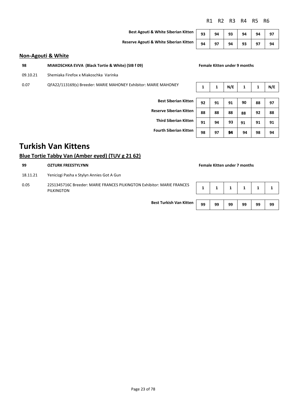#### **Non-Agouti & White**

| -98 | MIAKOSCHKA EVVA (Black Tortie & White) (SIB f 09) |  |
|-----|---------------------------------------------------|--|
|     |                                                   |  |

09.10.21 Shemiaka Firefox x Miakoschka Varinka

0.07 QFA22/113169(s) Breeder: MARIE MAHONEY Exhibitor: MARIE MAHONEY

## **Best Agouti & White Siberian Kitten** 93 94 93 94 94 97 **Reserve Agouti & White Siberian Kitten** 94 97 94 93 97 94

| E MAHONEY                   |    |    | N/E |    |    | N/E |
|-----------------------------|----|----|-----|----|----|-----|
|                             |    |    |     |    |    |     |
| <b>Best Siberian Kitten</b> | 92 | 91 | 91  | 90 | 88 | 97  |

**Female Kitten under 9 months** 

| <b>Fourth Siberian Kitten</b> |  |
|-------------------------------|--|
|-------------------------------|--|

|                                | 34 | JІ | JІ | ◡  | 00 | <b>JI</b> |
|--------------------------------|----|----|----|----|----|-----------|
| <b>Reserve Siberian Kitten</b> | 88 | 88 | 88 | 88 | 92 | 88        |
| <b>Third Siberian Kitten</b>   | 91 | 94 | 93 | 91 | 91 | 91        |
| <b>Fourth Siberian Kitten</b>  | 98 | 97 | 94 | 94 | 98 | 94        |
|                                |    |    |    |    |    |           |

## **Turkish Van Kittens**

#### **Blue Tortie Tabby Van (Amber eyed) (TUV g 21 62)**

| 99                                                                                           | <b>OZTURK FREESTYLYNN</b>                 |    |    |    |    | <b>Female Kitten under 7 months</b> |    |  |  |  |  |
|----------------------------------------------------------------------------------------------|-------------------------------------------|----|----|----|----|-------------------------------------|----|--|--|--|--|
| 18.11.21                                                                                     | Yenicizgi Pasha x Stylyn Annies Got A Gun |    |    |    |    |                                     |    |  |  |  |  |
| 0.05<br>22S1345716C Breeder: MARIE FRANCES PILKINGTON Exhibitor: MARIE FRANCES<br>PILKINGTON |                                           |    |    |    |    |                                     |    |  |  |  |  |
|                                                                                              | <b>Best Turkish Van Kitten</b>            | 99 | 99 | 99 | 99 | 99                                  | 99 |  |  |  |  |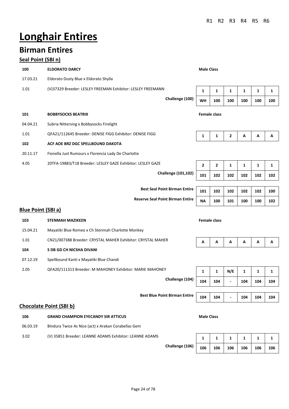# **Longhair Entires**

## **Birman Entires**

## **Seal Point (SBI n)**

| 100<br><b>ELDORATO DARCY</b>                                        | <b>Male Class</b> |                     |              |              |              |     |
|---------------------------------------------------------------------|-------------------|---------------------|--------------|--------------|--------------|-----|
| 17.03.21<br>Eldorato Dusty Blue x Eldorato Shylla                   |                   |                     |              |              |              |     |
| (V)37329 Breeder: LESLEY FREEMAN Exhibitor: LESLEY FREEMANN<br>1.01 | 1                 | $\mathbf{1}$        | $\mathbf{1}$ | $\mathbf{1}$ | $\mathbf{1}$ | 1   |
| Challenge (100)                                                     | <b>WH</b>         | 100                 | 100          | 100          | 100          | 100 |
| 101<br><b>BOBBYSOCKS BEATRIX</b>                                    |                   | <b>Female class</b> |              |              |              |     |
| 04.04.21<br>Subria Nittersing x Bobbysocks Firelight                |                   |                     |              |              |              |     |
| QFA21/112645 Breeder: DENISE FIGG Exhibitor: DENISE FIGG<br>1.01    | 1                 | 1                   | 2            | Α            | А            | А   |
| 102<br>ACF AOE BRZ DGC SPELLBOUND DAKOTA                            |                   |                     |              |              |              |     |
| 20.11.17<br>Fionella Just Rumours x Florencia Lady De Charlotte     |                   |                     |              |              |              |     |
| 20TFA-19883/T18 Breeder: LESLEY GAZE Exhibitor: LESLEY GAZE<br>4.05 | 2                 | $\mathbf{2}$        | 1            | 1            | 1            | 1   |
| <b>Challenge (101,102)</b>                                          | 101               | 102                 | 102          | 102          | 102          | 102 |
|                                                                     |                   |                     |              |              |              |     |
| <b>Best Seal Point Birman Entire</b>                                | 101               | 102                 | 102          | 102          | 102          | 100 |
| <b>Reserve Seal Point Birman Entire</b>                             | <b>NA</b>         | 100                 | 101          | 100          | 100          | 102 |
| <b>Blue Point (SBI a)</b>                                           |                   |                     |              |              |              |     |
| 103<br><b>STENMAH MAZIKEEN</b>                                      |                   | <b>Female class</b> |              |              |              |     |
| 15.04.21<br>Mayatiki Blue Romeo x Ch Stenmah Charlotte Monkey       |                   |                     |              |              |              |     |
| CN21/007388 Breeder: CRYSTAL MAHER Exhibitor: CRYSTAL MAHER<br>1.01 | Α                 | Α                   | Α            | Α            | Α            | А   |
| S DB GD CH NICSHA DIVANI<br>104                                     |                   |                     |              |              |              |     |
| 07.12.19<br>Spellbound Kanti x Mayatiki Blue Chandi                 |                   |                     |              |              |              |     |
| QFA20/111313 Breeder: M MAHONEY Exhibitor: MARIE MAHONEY<br>2.05    | 1                 | $\mathbf{1}$        | N/E          | 1            | 1            | 1   |
| Challenge (104)                                                     | 104               | 104                 |              | 104          | 104          | 104 |
| <b>Best Blue Point Birman Entire</b>                                | 104               | 104                 |              | 104          | 104          | 104 |
| <b>Chocolate Point (SBI b)</b>                                      |                   |                     |              |              |              |     |
| 106<br><b>GRAND CHAMPION EYECANDY SIR ATTICUS</b>                   | <b>Male Class</b> |                     |              |              |              |     |
| 06.03.19<br>Bindura Twice As Nice (act) x Arakan Corabellas Gem     |                   |                     |              |              |              |     |
| 3.02<br>(V) 35851 Breeder: LEANNE ADAMS Exhibitor: LEANNE ADAMS     | 1                 | 1                   | 1            | 1            | 1            | 1   |
| Challenge (106)                                                     | 106               | 106                 | 106          | 106          | 106          | 106 |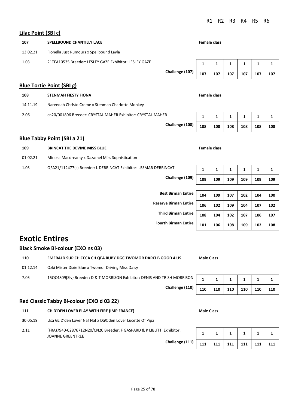#### **Lilac Point (SBI c)**

| Liiat Fuillt (JDI t)      |                                                             |                 |                     |              |     |     |     |     |  |  |  |
|---------------------------|-------------------------------------------------------------|-----------------|---------------------|--------------|-----|-----|-----|-----|--|--|--|
| 107                       | <b>SPELLBOUND CHANTILLY LACE</b>                            |                 | <b>Female class</b> |              |     |     |     |     |  |  |  |
| 13.02.21                  | Fionella Just Rumours x Spellbound Layla                    |                 |                     |              |     |     |     |     |  |  |  |
| 1.03                      | 21TFA10535 Breeder: LESLEY GAZE Exhibitor: LESLEY GAZE      |                 | 1                   | $\mathbf{1}$ | 1   | 1   | 1   | 1   |  |  |  |
|                           |                                                             | Challenge (107) | 107                 | 107          | 107 | 107 | 107 | 107 |  |  |  |
| Blue Tortie Point (SBI g) |                                                             |                 |                     |              |     |     |     |     |  |  |  |
| 108                       | <b>Female class</b><br><b>STENMAH FIESTY FIONA</b>          |                 |                     |              |     |     |     |     |  |  |  |
| 14.11.19                  | Nareedah Christo Creme x Stenmah Charlotte Monkey           |                 |                     |              |     |     |     |     |  |  |  |
| 2.06                      | cn20/001806 Breeder: CRYSTAL MAHER Exhibitor: CRYSTAL MAHER |                 | $\mathbf{1}$        | $\mathbf{1}$ | 1   | 1   | 1   | 1   |  |  |  |
|                           |                                                             | Challenge (108) | 108                 | 108          | 108 | 108 | 108 | 108 |  |  |  |
|                           | <b>Blue Tabby Point (SBI a 21)</b>                          |                 |                     |              |     |     |     |     |  |  |  |
| 109                       | <b>BRINCAT THE DEVINE MISS BLUE</b>                         |                 | <b>Female class</b> |              |     |     |     |     |  |  |  |

1.03 QFA21/112477(s) Breeder: L DEBRINCAT Exhibitor: LESMAR DEBRINCAT **1** 1 1 1 1 1 1 1 **Challenge (109) 109 109 109 109 109 109 Best Birman Entire 104 109 107 102 104 100** 

**Reserve Birman Entire 106 102 109 104 107 102 Third Birman Entire 108 104 102 107 106 107 Fourth Birman Entire 101 106 108 109 102 108** 

## **Exotic Entires**

#### **Black Smoke Bi-colour (EXO ns 03)**

**110 EMERALD SUP CH CCCA CH QFA RUBY DGC TWOMOR DARCI B GOOD 4 US Male Class** 01.12.14 Ozki Mister Dixie Blue x Twomor Driving Miss Daisy 7.05 15QC4809[Slv} Breeder: D & T MORRISON Exhibitor: DENIS AND TRISH MORRISON **1 1 1 1 1 1 Challenge (110) 110 110 110 110 110 110** 

#### **Red Classic Tabby Bi-colour (EXO d 03 22)**

| 111 | CH D'DEN LOVER PLAY WITH FIRE (IMP FRANCE) | <b>Male Class</b> |  |  |
|-----|--------------------------------------------|-------------------|--|--|
|     |                                            |                   |  |  |

01.02.21 Minosa Macdreamy x Dazamel Miss Sophistication

- 30.05.19 Usa Gc D'den Lover Naf Naf x Dã©den Lover Lucette Of Pipa
- 2.11 (FRA)7940-02876712N20/CN20 Breeder: F GASPARD & P LIBUTTI Exhibitor: JOANNE GREENTREE

| :xhibitor:      |     |     |     |     |     |     |
|-----------------|-----|-----|-----|-----|-----|-----|
| Challenge (111) | 111 | 111 | 111 | 111 | 111 | 111 |

| Male Class |  |
|------------|--|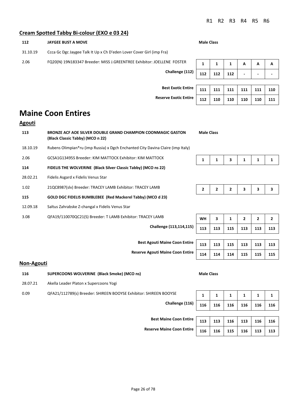## **Cream Spotted Tabby Bi-colour (EXO e 03 24)**

| 112                                                                              | <b>JAYGEE BUST A MOVE</b>                                              |     |     |     | <b>Male Class</b>        |                          |  |  |  |  |
|----------------------------------------------------------------------------------|------------------------------------------------------------------------|-----|-----|-----|--------------------------|--------------------------|--|--|--|--|
| 31.10.19<br>Ccca Gc Dgc Jaygee Talk It Up x Ch D'eden Lover Cover Girl (imp Fra) |                                                                        |     |     |     |                          |                          |  |  |  |  |
| 2.06                                                                             | FQ20(N) 19N183347 Breeder: MISS J.GREENTREE Exhibitor: JOELLENE FOSTER |     |     |     | A                        | А                        |  |  |  |  |
|                                                                                  | Challenge (112)                                                        | 112 | 112 | 112 | $\overline{\phantom{0}}$ | $\overline{\phantom{0}}$ |  |  |  |  |

**Best Exotic Entire Reserve Exotic Entir** 

| L) | 112 | 112 | 112 |     |     |     |
|----|-----|-----|-----|-----|-----|-----|
|    |     |     |     |     |     |     |
| e  | 111 | 111 | 111 | 111 | 111 | 110 |
| e  | 112 | 110 | 110 | 110 | 110 | 111 |

## **Maine Coon Entires**

#### **Agouti**

| 113      | <b>BRONZE ACF AOE SILVER DOUBLE GRAND CHAMPION COONMAGIC GASTON</b><br>(Black Classic Tabby) (MCO n 22) | <b>Male Class</b> |              |              |                |              |                |
|----------|---------------------------------------------------------------------------------------------------------|-------------------|--------------|--------------|----------------|--------------|----------------|
| 18.10.19 | Rubens Olimpian*ru (imp Russia) x Dgch Enchanted City Davina Claire (imp Italy)                         |                   |              |              |                |              |                |
| 2.06     | GCSA1G13495S Breeder: KIM MATTOCK Exhibitor: KIM MATTOCK                                                | 1                 | 1            | 3            | 1              | 1            | 1              |
| 114      | FIDELIS THE WOLVERINE (Black Silver Classic Tabby) (MCO ns 22)                                          |                   |              |              |                |              |                |
| 28.02.21 | Fidelis Asgard x Fidelis Venus Star                                                                     |                   |              |              |                |              |                |
| 1.02     | 21QC8987(slv) Breeder: TRACEY LAMB Exhibitor: TRACEY LAMB                                               | $\overline{2}$    | $\mathbf{2}$ | $\mathbf{2}$ | 3              | 3            | 3              |
| 115      | GOLD DGC FIDELIS BUMBLEBEE (Red Mackerel Tabby) (MCO d 23)                                              |                   |              |              |                |              |                |
| 12.09.18 | Saltus Zahrabske Z-changal x Fidelis Venus Star                                                         |                   |              |              |                |              |                |
| 3.08     | QFA19/110070QC21(S) Breeder: T LAMB Exhibitor: TRACEY LAMB                                              | <b>WH</b>         | 3            | 1            | $\overline{2}$ | $\mathbf{2}$ | $\overline{2}$ |
|          | Challenge (113,114,115)                                                                                 | 113               | 113          | 115          | 113            | 113          | 113            |
|          |                                                                                                         |                   |              |              |                |              |                |
|          | <b>Best Agouti Maine Coon Entire</b>                                                                    | 113               | 113          | 115          | 113            | 113          | 113            |
|          | <b>Reserve Agouti Maine Coon Entire</b>                                                                 | 114               | 114          | 114          | 115            | 115          | 115            |

#### **Non-Agouti**

| 116      | SUPERCOONS WOLVERINE (Black Smoke) (MCO ns)                       | <b>Male Class</b> |  |  |  |     |    |  |
|----------|-------------------------------------------------------------------|-------------------|--|--|--|-----|----|--|
| 28.07.21 | Akella Leader Platon x Supercoons Yogi                            |                   |  |  |  |     |    |  |
| 0.09     | QFA21/112789(s) Breeder: SHIREEN BOOYSE Exhibitor: SHIREEN BOOYSE |                   |  |  |  |     | 1  |  |
|          | Challenge (116)<br>116                                            |                   |  |  |  | 116 | 11 |  |
|          |                                                                   |                   |  |  |  |     |    |  |
|          | <b>Best Maine Coon Entire</b>                                     |                   |  |  |  |     |    |  |

| 113 | 113 | $115$ 113 |     | $\vert$ 113 | 113 |
|-----|-----|-----------|-----|-------------|-----|
| 114 | 114 | 114       | 115 | 115         | 115 |

| <b>DOYSE</b>    |     |     |     |     |     |     |
|-----------------|-----|-----|-----|-----|-----|-----|
| Challenge (116) | 116 | 116 | 116 | 116 | 116 | 116 |
|                 |     |     |     |     |     |     |

| Best Maine Coon Entire   113   113   116   113   116   116    |  |  |  |
|---------------------------------------------------------------|--|--|--|
| Reserve Maine Coon Entire   116   116   115   116   113   113 |  |  |  |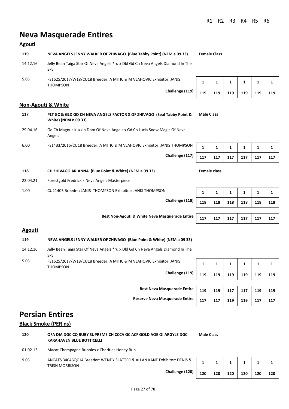## **Neva Masquerade Entires**

#### **Agouti**

| 119      | NEVA ANGELS JENNY WALKER OF ZHIVAGO (Blue Tabby Point) (NEM a 09 33)                   |  |  |  |  |
|----------|----------------------------------------------------------------------------------------|--|--|--|--|
| 14.12.16 | Jelly Bean Taiga Star Of Neva Angels *ru x Dbl Gd Ch Neva Angels Diamond In The<br>Skv |  |  |  |  |
| 5.05     | FS1625/2017/W18/CU18 Breeder: A MITIC & M VLAHOVIC Exhibitor: JANIS<br><b>THOMPSON</b> |  |  |  |  |
|          | Challenge (119)                                                                        |  |  |  |  |

#### **Non-Agouti & White**

| 117      | PLT GC & GLD GD CH NEVA ANGELS FACTOR X OF ZHIVAGO (Seal Tabby Point &<br>White) (NEM n 09 33) |     | <b>Male Class</b>   |     |              |              |    |
|----------|------------------------------------------------------------------------------------------------|-----|---------------------|-----|--------------|--------------|----|
| 29.04.16 | Gd Ch Magnus Kuzkin Dom Of Neva Angels x Gd Ch Lucia Snow Magic Of Neva<br>Angels              |     |                     |     |              |              |    |
| 6.00     | FS1433/2016/CU18 Breeder: A MITIC & M VLAHOVIC Exhibitor: JANIS THOMPSON                       |     | 1                   | 1   | $\mathbf{1}$ | $\mathbf{1}$ |    |
|          | Challenge (117)                                                                                | 117 | 117                 | 117 | 117          | 117          | 11 |
| 118      | CH ZHIVAGO ARIANNA (Blue Point & White) (NEM a 09 33)                                          |     | <b>Female class</b> |     |              |              |    |
| 22.04.21 | Forestgold Fredrick x Neva Angels Masterpiece                                                  |     |                     |     |              |              |    |
| 1.00     | CU21405 Breeder: JANIS THOMPSON Exhibitor: JANIS THOMPSON                                      | 1   | 1                   | 1   | 1            | 1            |    |

**Best Non-Agouti & White Neva Masquerade Entire** 

| Challenge (118) | 118 | 118 | 118 | 118 | 118 | 118 |
|-----------------|-----|-----|-----|-----|-----|-----|
|                 |     |     |     |     |     |     |
| squerade Entire | 117 | 117 | 117 | 117 | 117 |     |

#### **Agouti**

#### **119 NEVA ANGELS JENNY WALKER OF ZHIVAGO (Blue Point & White) (NEM a 09 33)**

| 14.12.16 | Jelly Bean Taiga Star Of Neva Angels *ru x Dbl Gd Ch Neva Angels Diamond In The<br>Skv |  |
|----------|----------------------------------------------------------------------------------------|--|
| 5.05     | FS1625/2017/W18/CU18 Breeder: A MITIC & M VLAHOVIC Exhibitor: JANIS<br><b>THOMPSON</b> |  |
|          |                                                                                        |  |

**Challenge (119) 119 119 119 119 119 119** 

| <b>Best Neva Masquerade Entire</b>    | 119 | 119 | 117 | 117 | 119 | 119 |
|---------------------------------------|-----|-----|-----|-----|-----|-----|
| <b>Reserve Neva Masquerade Entire</b> |     | 117 | 119 | 119 |     |     |

**1** | **1** | **1** | **1** | **1** | **1** 

## **Persian Entires**

#### **Black Smoke (PER ns)**

| 120 | OFA DIA DGC CO RUBY SUPREME CH CCCA GC ACF GOLD AOE OI ARGYLE DGC | <b>Male Class</b> |
|-----|-------------------------------------------------------------------|-------------------|
|     | KARAHAVEN BLUE BOTTICELLI                                         |                   |

01.02.13 Macat Champagne Bubbles x Charities Honey Bun

9.03 ANCATS 34046QC14 Breeder: WENDY SLATTER & ALLAN KANE Exhibitor: DENIS & TRISH MORRISON

**Challenge (120) 120 120 120 120 120 120** 

| 120 | 120 120 120 120 |  | $\vert$ 120 |  |
|-----|-----------------|--|-------------|--|

**1** | **1** | **1** | **1** | **1** | **1 Challenge (119) 119 119 119 119 119 119**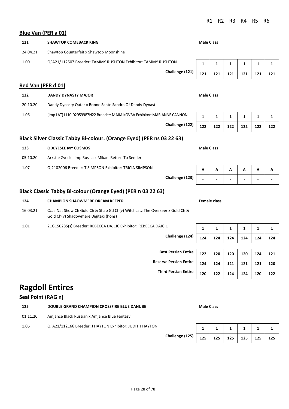24.04.21 Shawtop Counterfeit x Shawtop Moonshine 1.00 QFA21/112507 Breeder: TAMMY RUSHTON Exhibitor: TAMMY RUSHTON **1** 1 1 1 1 1 1 1 **Red Van (PER d 01)**

**121 SHAWTOP COMEBACK KING Male Class Male Class** 

| 122      | <b>DANDY DYNASTY MAJOR</b>                                                | <b>Male Class</b> |                   |  |  |
|----------|---------------------------------------------------------------------------|-------------------|-------------------|--|--|
| 20.10.20 | Dandy Dynasty Qatar x Bonne Sante Sandra Of Dandy Dynast                  |                   |                   |  |  |
| 1.06     | (Imp LAT)1110-02959987N22 Breeder: MAIJA KOVBA Exhibitor: MARIANNE CANNON |                   | 1 1 1 1 1 1 1 1 1 |  |  |

#### **Black Silver Classic Tabby Bi-colour. (Orange Eyed) (PER ns 03 22 63)**

| 123      | <b>ODEYESEE MY COSMOS</b>                              |                 | <b>Male Class</b> |   |   |   |   |   |
|----------|--------------------------------------------------------|-----------------|-------------------|---|---|---|---|---|
| 05.10.20 | Arkstar Zvedza Imp Russia x Mikael Return To Sender    |                 |                   |   |   |   |   |   |
| 1.07     | QI2102006 Breeder: T SIMPSON Exhibitor: TRICIA SIMPSON |                 | А                 | А | А | А | А | A |
|          |                                                        | Challenge (123) |                   |   |   |   |   |   |

#### **Black Classic Tabby Bi-colour (Orange Eyed) (PER n 03 22 63)**

| 124      | CHAMPION SHAOWMERE DREAM KEEPER                                                                                      |     | Female class |     |     |     |    |  |  |  |
|----------|----------------------------------------------------------------------------------------------------------------------|-----|--------------|-----|-----|-----|----|--|--|--|
| 16.03.21 | Ccca Nat Show Ch Gold Ch & Shap Gd Ch(v) Witchcatz The Overseer x Gold Ch &<br>Gold Ch(y) Shadowmere Digitaki (hons) |     |              |     |     |     |    |  |  |  |
| 1.01     | 21GC50285(s) Breeder: REBECCA DAJCIC Exhibitor: REBECCA DAJCIC                                                       |     |              |     |     |     |    |  |  |  |
|          | Challenge (124)                                                                                                      | 171 | 124          | 124 | 124 | 124 | 12 |  |  |  |

**Ragdoll Entires**

**Seal Point (RAG n)**

**Blue Van (PER a 01)**

| ---      | <b>DOODLE GIVAND CHAINT TON CITOSSI INE DEOE DANODE</b> | נכושים שומוזו |                 |  |  |
|----------|---------------------------------------------------------|---------------|-----------------|--|--|
| 01.11.20 | Amjance Black Russian x Amjance Blue Fantasy            |               |                 |  |  |
| 1.06     | QFA21/112166 Breeder: J HAYTON Exhibitor: JUDITH HAYTON |               | 1 1 1 1 1 1 1 1 |  |  |

**125 DOUBLE GRAND CHAMPION CROSSFIRE BLUE DANUBE Male Class**

| ◡               |     |     |     |     |     |     |
|-----------------|-----|-----|-----|-----|-----|-----|
| Challenge (124) | 124 | 124 | 124 | 124 | 124 | 124 |
|                 |     |     |     |     |     |     |

**Third Persian Entire 120 122 124 124 120 122** 

**Challenge (125) 125 125 125 125 125 125** 

**Reserve Persian Entire** 124 124 121 121 121 120

**Best Persian Entire** | 122 | 120 | 120 | 120 | 124 | 121

**Challenge (123) - - - - - -** 

**Challenge (121) 121 121 121 121 121 121** 

**Challenge (122) 122 122 122 122 122 122** 

| <b>Male Class</b> |  |  |  |
|-------------------|--|--|--|
|                   |  |  |  |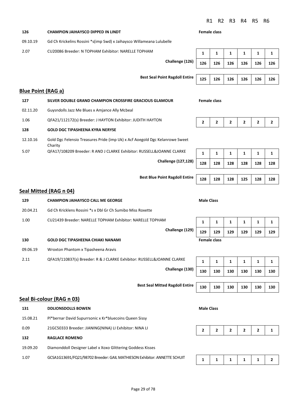|  | R1 R2 R3 R4 R5 R6 |  |
|--|-------------------|--|
|  |                   |  |

**126 CHAMPION JAIHAYSCO DIPPED IN LINDT Female class** 09.10.19 Gd Ch Krickelins Rossini \*s(imp Swd) x Jaihaysco Willameana Lulubelle 2.07 CU20086 Breeder: N TOPHAM Exhibitor: NARELLE TOPHAM **1** 1 1 1 1 1 1 1 1 1 1 1 **Challenge (126) 126 126 126 126 126 126 Best Seal Point Ragdoll Entire** | 125 | 126 | 126 | 126 | 126 | 126 **Blue Point (RAG a) 127 SILVER DOUBLE GRAND CHAMPION CROSSFIRE GRACIOUS GLAMOUR Female class** 02.11.20 Guysndolls Jazz Me Blues x Amjance Ally Mcbeal 1.06 QFA21/112172(s) Breeder: J HAYTON Exhibitor: JUDITH HAYTON **2 2 2 2 2 2 2** 2 **128 GOLD DGC TIPASHEENA KYRA NERYSE** 12.10.16 Gold Dgc Felensio Treasures Pride (imp Uk) x Acf Aoegold Dgc Kelanrowe Sweet Charity 5.07 QFA17/108209 Breeder: R AND J CLARKE Exhibitor: RUSSELL&JOANNE CLARKE 1 1 1 1 1 1 1 **Challenge (127,128) 128 128 128 128 128 128 Best Blue Point Ragdoll Entire** | 128 | 128 | 128 | 128 | 128 | 128

#### **Seal Mitted (RAG n 04)**

| 129      | <b>CHAMPION JAIHAYSCO CALL ME GEORGE</b>                               | <b>Male Class</b> |                     |     |     |     |                 |
|----------|------------------------------------------------------------------------|-------------------|---------------------|-----|-----|-----|-----------------|
| 20.04.21 | Gd Ch Kricklens Rossini *s x Dbl Gr Ch Sumibo Miss Roxette             |                   |                     |     |     |     |                 |
| 1.00     | CU21439 Breeder: NARELLE TOPHAM Exhibitor: NARELLE TOPHAM              |                   |                     | 1   | 1   | 1   | 1               |
|          | Challenge (129)                                                        | 129               | 129                 | 129 | 129 | 129 | 12 <sub>2</sub> |
| 130      | <b>GOLD DGC TIPASHEENA CHIAKI NANAMI</b>                               |                   | <b>Female class</b> |     |     |     |                 |
| 09.06.19 | Wroxton Phantom x Tipasheena Aravis                                    |                   |                     |     |     |     |                 |
| 2.11     | QFA19/110837(s) Breeder: R & J CLARKE Exhibitor: RUSSELL&JOANNE CLARKE | 1                 | 1                   | 1   | 1   | 1   |                 |
|          | Challenge (130)                                                        | 130               | 130                 | 130 | 130 | 130 | 13              |

#### **Seal Bi-colour (RAG n 03)**

| 131      | <b>DDLIONSDOLLS BOWEN</b>                                                | <b>Male Class</b> |  |  |  |  |  |
|----------|--------------------------------------------------------------------------|-------------------|--|--|--|--|--|
| 15.08.21 | Pl*bernar David Supurrsonic x Kr*bluecoins Queen Sissy                   |                   |  |  |  |  |  |
| 0.09     | 21GC50333 Breeder: JIANING(NINA) LI Exhibitor: NINA LI                   |                   |  |  |  |  |  |
| 132      | <b>RAGLACE ROMENO</b>                                                    |                   |  |  |  |  |  |
| 19.09.20 | Diamonddoll Designer Label x Xoxo Glittering Goddess Kisses              |                   |  |  |  |  |  |
| 1.07     | GCSA1G13691/FQ21/98702 Breeder: GAIL MATHIESON Exhibitor: ANNETTE SCHUIT |                   |  |  |  |  |  |

| Challenge (129) | 129 | 129                 | 129 | 129 | 129 | 129 |
|-----------------|-----|---------------------|-----|-----|-----|-----|
|                 |     | <b>Female class</b> |     |     |     |     |

**Challenge (130) 130 130 130 130 130 130 Best Seal Mitted Ragdoll Entire** 130 130 130 130 130 130 130

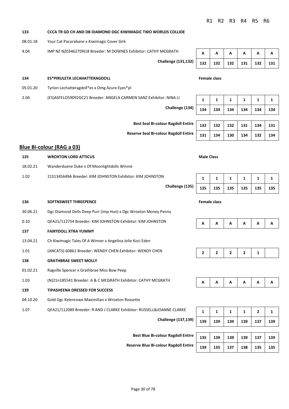#### **133 CCCA TR GD CH AND DB DIAMOND DGC KIWIMAGIC TWO WORLDS COLLIDE**

08.01.18 Your Cat Pacorabane x Kiwimagic Cover Girk

4.04 IMP NZ NZ034627DN18 Breeder: M DOWNES Exhibitor: CATHY MCGRATH **A A A A A** A **A** A

**Challenge (131,132) 132 132 132 131 132 131** 

#### **134 ES\*PIRULETA LECAHATTERAGDOLL Female class**

05.01.20 Tyrion Lechatteragdoll\*es x Omg Azure Eyes\*pl

2.04 (ES)ASFELO59092GC21 Breeder: ANGELA CARMEN SANZ Exhibitor: NINA LI **<sup>1</sup> <sup>1</sup> <sup>1</sup> <sup>1</sup> <sup>1</sup> <sup>1</sup>**

**Challenge (134) 134 134 134 134 134 134** 

**Best Seal Bi-colour Ragdoll Entire** 

**Reserve Seal Bi-colour Ragdoll Entire** 

#### **Blue Bi-colour (RAG a 03)**

## **135 WROXTON LORD ATTICUS Male Class Male Class** 18.02.21 Wanderduene Duke x Of Moonlightdolls Winnie 1.02 21S1345649A Breeder: KIM JOHNSTON Exhibitor: KIM JOHNSTON **1 1 1 1 1 1 Challenge (135) 135 135 135 135 135 135 136 SOFTNSWEET THREEPENCE Female class** 30.06.21 Dgc Diamond Dolls Deep Purr (imp Hun) x Dgc Wroxton Money Penny 0.10 QFA21/112754 Breeder: KIM JOHNSTON Exhibitor: KIM JOHNSTON **137 FAIRYDOLL XTRA YUMMY** 13.04.21 Ch Kiwimagic Tales Of A Winner x Angelina Jolie Koci Eden 1.01 (ANCATS) 60861 Breeder: WENDY CHEN Exhibitor: WENDY CHEN **2 2 2 2 1 2 2 1 138 GRATHBRAE SWEET MOLLY** 01.02.21 Ragville Spencer x Grathbrae Miss Bow Peep 1.03 (N)21n185541 Breeder: A & C MCGRATH Exhibitor: CATHY MCGRATH **A A A A A A A A 139 TIPASHEENA DRESSED FOR SUCCESS** 04.10.20 Gold Dgc Kelenrowe Maximilian x Wroxton Roxsette 1.07 QFA21/112089 Breeder: R AND J CLARKE Exhibitor: RUSSELL&JOANNE CLARKE

**Challenge (137,139) 139 139 139 139 137 139** 

**Best Blue Bi-colour Ragdoll Entire** 

**Reserve Blue Bi-colour Ragdoll Entire** 

|              | 132 132 132 131 132 131 |  |
|--------------|-------------------------|--|
| Esmala alass |                         |  |

| 134 | 134 | $134$ | 134 | 134 | 134 |
|-----|-----|-------|-----|-----|-----|
|     |     |       |     |     |     |

| 132   132   132   131   134   131 |  |  |
|-----------------------------------|--|--|
| 131   134   130   134   132   134 |  |  |

|  | 135   135   135   135   135   135 |  |
|--|-----------------------------------|--|

|  | - |  |  |
|--|---|--|--|





|  | 139   139   139   139   137   139 |  |  |
|--|-----------------------------------|--|--|

| 135 | 139 | $139$ 139           |         | $\vert$ 137 | 139 |
|-----|-----|---------------------|---------|-------------|-----|
| 139 | 135 | 137<br>$\mathbf{1}$ | 138 135 |             | 135 |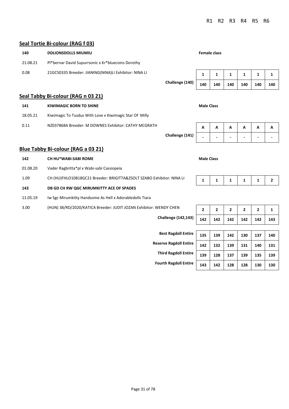#### **Seal Tortie Bi-colour (RAG f 03)**

**Blue Tabby Bi-colour (RAG a 03 21)**

01.08.20 Vader Ragbritta\*pl x Wabi-sabi Cassiopeia

**143 DB GD CH RW QGC MIRUMKITTY ACE OF SPADES**

11.05.19 Iw Sgc Mirumkitty Handsome As Hell x Adorabledolls Tiara

| 140      | <b>DDLIONSDOLLS MIUMIU</b>                            |                 |     | Female class |     |     |     |     |
|----------|-------------------------------------------------------|-----------------|-----|--------------|-----|-----|-----|-----|
| 21.08.21 | Pl*bernar David Supurrsonic x Kr*bluecoins Dorothy    |                 |     |              |     |     |     |     |
| 0.08     | 21GC50335 Breeder: JIANING(NINA)LI Exhibitor: NINA LI |                 | 1   |              |     |     |     |     |
|          |                                                       | Challenge (140) | 140 | 140          | 140 | 140 | 140 | 140 |
|          | Seal Tabby Bi-colour (RAG n 03 21)                    |                 |     |              |     |     |     |     |

| 141      | <b>Male Class</b><br>KIWIMAGIC BORN TO SHINE            |  |   |   |                |                           |                |
|----------|---------------------------------------------------------|--|---|---|----------------|---------------------------|----------------|
| 18.05.21 | Kiwimagic To Tusdus With Love x Kiwimagic Star Of Milly |  |   |   |                |                           |                |
| 0.11     | NZ037868A Breeder: M DOWNES Exhibitor: CATHY MCGRATH    |  | A | A | $\overline{A}$ | $\boldsymbol{\mathsf{A}}$ | $\overline{A}$ |

1.09 CH (HU)FHLO10818GC21 Breeder: BRIGITTA&ZSOLT SZABO Exhibitor: NINA LI **1 1 1 1 1 2** 

3.00 (HUN) 38/RD/2020/KATICA Breeder: JUDIT JOZAN Exhibitor: WENDY CHEN

# **Challenge (141) - - - - - - 142 CH HU\*WABI-SABI ROME Male Class Male Class**

| VENDY CHEN                  | $\overline{2}$ | $\mathbf{z}$ | $\overline{2}$ | $\overline{2}$ | $\mathbf{2}$ | 1   |
|-----------------------------|----------------|--------------|----------------|----------------|--------------|-----|
| <b>Challenge (142,143)</b>  | 142            | 142          | 142            | 142            | 142          | 143 |
|                             |                |              |                |                |              |     |
| <b>Best Ragdoll Entire</b>  | 135            | 139          | 142            | 130            | 137          | 140 |
| serve Ragdoll Entire        | 142            | 132          | 139            | 131            | 140          | 131 |
| <b>Third Ragdoll Entire</b> | 139            | 128          | 137            | 139            | 135          | 139 |

**Best Ragdoll Entire Reserve Ragdoll Entire 13 Third Ragdoll Entire** 

**Fourth Ragdoll Entire 143 142 128 128 130 130**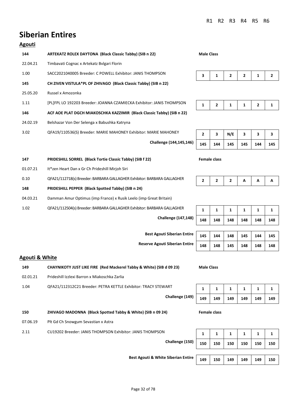## **Siberian Entires**

#### **Agouti**

| 144      | ARTEKATZ ROLEX DAYTONA (Black Classic Tabby) (SIB n 22)                | <b>Male Class</b> |              |     |   |                |  |
|----------|------------------------------------------------------------------------|-------------------|--------------|-----|---|----------------|--|
| 22.04.21 | Timbavati Cognac x Artekatz Bylgari Florin                             |                   |              |     |   |                |  |
| 1.00     | SACC2021040005 Breeder: C POWELL Exhibitor: JANIS THOMPSON             | 3                 |              | 2   | 2 | 1              |  |
| 145      | CH ZIVEN VISTULA*PL OF ZHIVAGO (Black Classic Tabby) (SIB n 22)        |                   |              |     |   |                |  |
| 25.05.20 | Russel x Amozonka                                                      |                   |              |     |   |                |  |
| 1.11     | [PL]FPL LO 192203 Breeder: JOANNA CZAMIECKA Exhibitor: JANIS THOMPSON  | 1                 | $\mathbf{z}$ | 1   | 1 | $\overline{2}$ |  |
| 146      | ACF AOE PLAT DGCH MIAKOSCHKA KAZZIMIR (Black Classic Tabby) (SIB n 22) |                   |              |     |   |                |  |
| 24.02.19 | Belshazar Von Der Selenga x Babushka Katryna                           |                   |              |     |   |                |  |
| 3.02     | QFA19/110536(S) Breeder: MARIE MAHONEY Exhibitor: MARIE MAHONEY        | 2                 | 3            | N/E | 3 | 3              |  |

**Challenge (144,145,146) 145 144 145 145 144 145** 

|     | 3   | N/E     | 3 | 3   | з   |
|-----|-----|---------|---|-----|-----|
| 145 | 144 | 145 145 |   | 144 | 145 |

## **147 PRIDESHILL SORREL (Black Tortie Classic Tabby) (SIB f 22) Female class** 01.07.21 It\*zen Heart Dan x Gr Ch Prideshill Mirjoh Siri 0.10 QFA21/112718(s) Breeder: BARBARA GALLAGHER Exhibitor: BARBARA GALLAGHER **2 2 A** A **A 148 PRIDESHILL PEPPER (Black Spotted Tabby) (SIB n 24)** 04.03.21 Damman Amur Optimus (imp France) x Rusik Leelo (imp Great Britain)

1.02 QFA21/112504(s) Breeder: BARBARA GALLAGHER Exhibitor: BARBARA GALLAGHER **1** 1 1 1 1 1 1 1

 $Challenge (147, 148)$ 

**Best Agouti Siberian Entire Reserve Agouti Siberian Entire** 

| 148 | 148 | 148 | 148 | 148 | 148 |
|-----|-----|-----|-----|-----|-----|
|     |     |     |     |     |     |
| 145 | 144 | 148 | 145 | 144 | 145 |
| 148 | 148 | 145 | 148 | 148 | 148 |

#### **Agouti & White**

**149 CHAYNIKOTY JUST LIKE FIRE (Red Mackerel Tabby & White) (SIB d 09 23) Male Class** 02.01.21 Prideshill Izzlexi Barron x Miakoschka Zarlia

## 1.04 QFA21/112312C21 Breeder: PETRA KETTLE Exhibitor: TRACY STEWART **1 1 1 1 1 1**

07.06.19 Plt Gd Ch Snowgum Sevastian x Astra

**Challenge (149) 149 149 149 149 149 149** 

| )) | 149 | 149   149   149 | 149 | 149 |
|----|-----|-----------------|-----|-----|

#### **150 ZHIVAGO MADONNA (Black Spotted Tabby & White) (SIB n 09 24) Female class**

2.11 CU19202 Breeder: JANIS THOMPSON Exhibitor: JANIS THOMPSON **1** 1 1 1 1 1 1 1 **Challenge (150) 150 150 150 150 150 150 Best Agouti & White Siberian Entire 149 150 149 149 149 150**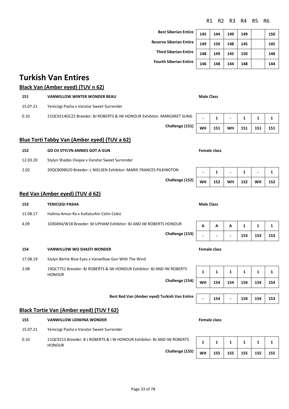| Best Siberian Entire          | 145 |
|-------------------------------|-----|
| Reserve Siberian Entire       | 149 |
| <b>Third Siberian Entire</b>  | 148 |
| <b>Fourth Siberian Entire</b> |     |

| <b>Best Siberian Entire</b>    | 145 | 144 | 149 | 149 | 150 |
|--------------------------------|-----|-----|-----|-----|-----|
| <b>Reserve Siberian Entire</b> | 149 | 150 | 148 | 145 | 145 |
| <b>Third Siberian Entire</b>   | 148 | 149 | 145 | 150 | 148 |
| <b>Fourth Siberian Entire</b>  | 146 | 148 | 144 | 148 | 144 |

## **Turkish Van Entires**

## **Black Van (Amber eyed) (TUV n 62)**

| 151                                          | <b>VANWILLOW WINTER WONDER BEAU</b>                                   | <b>Male Class</b> |     |                          |     |     |     |  |  |
|----------------------------------------------|-----------------------------------------------------------------------|-------------------|-----|--------------------------|-----|-----|-----|--|--|
| 15.07.21                                     | Yenicizgi Pasha x Vanstar Sweet Surrender                             |                   |     |                          |     |     |     |  |  |
| 0.10                                         | 21QC9214GC22 Breeder: BJ ROBERTS & IW HONOUR Exhibitor: MARGARET SUNG |                   |     | $\overline{\phantom{0}}$ |     |     |     |  |  |
|                                              | Challenge (151)                                                       | WH                | 151 | <b>WH</b>                | 151 | 151 | 151 |  |  |
| Blue Torti Tabby Van (Amber eyed) (TUV a 62) |                                                                       |                   |     |                          |     |     |     |  |  |

# **152 GD CH STYLYN ANNIES GOT A GUN Female class** 12.03.20 Stylyn Shades Ovajax x Vanstar Sweet Surrender

2.02 20QC8098S20 Breeder: L NIELSEN Exhibitor: MARIE FRANCES PILKINGTON **- 1 - 1 - 1** 

#### **Red Van (Amber eyed) (TUV d 62)**

| 153      | YENICIZGI PASHA                                                                        | <b>Male Class</b>   |     |     |     |     |     |
|----------|----------------------------------------------------------------------------------------|---------------------|-----|-----|-----|-----|-----|
| 11.08.17 | Halima Amun Ra x Kultaturkin Cetin Cebiz                                               |                     |     |     |     |     |     |
| 4.09     | 1030494/W18 Breeder: M UPHAM Exhibitor: BJ AND IW ROBERTS HONOUR                       | A                   | A   | A   | 1   | 1   | 1   |
|          | Challenge (153)                                                                        |                     |     |     | 153 | 153 | 153 |
| 154      | <b>VANWILLOW WO SHASTI WONDER</b>                                                      | <b>Female class</b> |     |     |     |     |     |
| 17.08.19 | Stylyn Bertie Blue Eyes x Vanwillow Gon With The Wind                                  |                     |     |     |     |     |     |
| 2.08     | 19QC7751 Breeder: BJ ROBERTS & IW HONOUR Exhibitor: BJ AND IW ROBERTS<br><b>HONOUR</b> | 1                   | 1   | 1   | 1   | 1   | 1   |
|          | Challenge (154)                                                                        | <b>WH</b>           | 154 | 154 | 154 | 154 | 154 |
|          |                                                                                        |                     |     |     |     |     |     |
|          | Best Red Van (Amber eyed) Turkish Van Entire                                           | $\blacksquare$      | 154 |     | 154 | 154 | 153 |

#### **Black Tortie Van (Amber eyed) (TUV f 62)**

#### **155 VANWILLOW LIDWINA WONDER Female class**

15.07.21 Yenicizgi Pasha x Vanstar Sweet Surrender

0.10 21QC9213 Breeder: B J ROBERTS & I W HONOUR Exhibitor: BJ AND IW ROBERTS HONOUR **Challenge (15** 

| i5) | <b>WH</b> | 155   155   155   155 |  | 155 |
|-----|-----------|-----------------------|--|-----|

**Challenge (152)** WH 152 WH 152 WH 152

**1** | **1** | **1** | **1** | **1** | **1**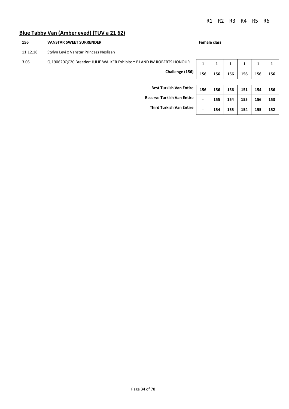#### **Blue Tabby Van (Amber eyed) (TUV a 21 62)**

#### **156 VANSTAR SWEET SURRENDER Female class**

11.12.18 Stylyn Levi x Vanstar Princess Neslisah

## 3.05 QI190620QC20 Breeder: JULIE WALKER Exhibitor: BJ AND IW ROBERTS HONOUR

**Challenge (156) 156 156 156 156 156 156** 

|   | 1   |     | 1   | 1   | 1   |     |
|---|-----|-----|-----|-----|-----|-----|
|   | 156 | 156 | 156 | 156 | 156 | 156 |
|   |     |     |     |     |     |     |
| ì | 156 | 156 | 156 | 151 | 154 | 156 |

**Best Turkish Van Entire** 

**Reserve Turkish Van Entire - 155 154 155 156 153** 

**Third Turkish Van Entire - 154 155 154 155 152**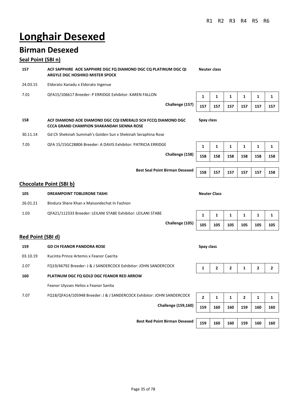# **Longhair Desexed**

## **Birman Desexed**

#### **Seal Point (SBI n)**

**157 ACF SAPPHIRE AOE SAPPHIRE DGC FQ DIAMOND DGC CQ PLATINUM DGC QI ARGYLE DGC HOSHIKO MISTER SPOCK**

- 24.03.15 Eldorato Xanadu x Eldorato Ingenue
- 7.01 QFA15/106617 Breeder: P ERRIDGE Exhibitor: KAREN FALLON **<sup>1</sup> <sup>1</sup> <sup>1</sup> <sup>1</sup> <sup>1</sup> <sup>1</sup>**
	- **Challenge (157) 157 157 157 157 157 157**

| 157 | 157 | 157 | 157 | 157 | 157 |
|-----|-----|-----|-----|-----|-----|

**Neuter class**

**Spay class**

- **158 ACF DIAMOND AOE DIAMOND DGC CQI EMERALD SCH FCCQ DIAMOND DGC CCCA GRAND CHAMPION SHAKANDAH SIENNA ROSE**
- 30.11.14 Gd Ch Shekinah Summah's Golden Sun x Shekinah Seraphina Rose
- 7.05 QFA 15/15GC28806 Breeder: A DAVIS Exhibitor: PATRICIA ERRIDGE **<sup>1</sup> <sup>1</sup> <sup>1</sup> <sup>1</sup> <sup>1</sup> <sup>1</sup>**

**Challenge (158) 158 158 158 158 158 158** 

**Best Seal Point Birman Desexed 158 157 157 157 157 158** 

## **Chocolate Point (SBI b)**

| 105      | <b>DREAMPOINT TOBLERONE TASHI</b>                            |                 |     | <b>Neuter Class</b> |     |     |     |     |
|----------|--------------------------------------------------------------|-----------------|-----|---------------------|-----|-----|-----|-----|
| 26.01.21 | Bindura Shere Khan x Maisondechat In Fashion                 |                 |     |                     |     |     |     |     |
| 1.03     | QFA21/112333 Breeder: LEILANI STABE Exhibitor: LEILANI STABE |                 |     |                     |     |     |     |     |
|          |                                                              | Challenge (105) | 105 | 105                 | 105 | 105 | 105 | 105 |

#### **Red Point (SBI d)**

| 159      | <b>GD CH FEANOR PANDORA ROSE</b>                                       | Spay class     |              |              |              |                |     |
|----------|------------------------------------------------------------------------|----------------|--------------|--------------|--------------|----------------|-----|
| 03.10.19 | Kucinta Prince Artemis x Feanor Caerita                                |                |              |              |              |                |     |
| 2.07     | FQ19/46792 Breeder: J & J SANDERCOCK Exhibitor: JOHN SANDERCOCK        |                | $\mathbf{z}$ | $\mathbf{z}$ |              | $\overline{2}$ | 2   |
| 160      | PLATINUM DGC FQ GOLD DGC FEANOR RED ARROW                              |                |              |              |              |                |     |
|          | Feanor Ulysses Helios x Feanor Sanita                                  |                |              |              |              |                |     |
| 7.07     | FQ18/QFA14/105948 Breeder: J & J SANDERCOCK Exhibitor: JOHN SANDERCOCK | $\overline{2}$ | 1            | 1            | $\mathbf{z}$ | 1              |     |
|          | <b>Challenge (159,160)</b>                                             | 159            | 160          | 160          | 159          | 160            | 160 |
|          |                                                                        |                |              |              |              |                |     |

**Best Red Point Birman Desexed** 159 160 160 160 160 160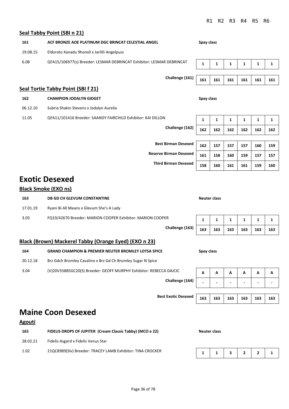#### **Seal Tabby Point (SBI n 21)**

| 161      | ACF BRONZE AOE PLATINUM DGC BRINCAT CELESTIAL ANGEL                   |            |     | Spay class |     |     |     |  |  |  |
|----------|-----------------------------------------------------------------------|------------|-----|------------|-----|-----|-----|--|--|--|
| 19.08.15 | Eldorato Xanadu 9hons0 x Jarlilli Angelpuss                           |            |     |            |     |     |     |  |  |  |
| 6.08     | QFA15/106977(s) Breeder: LESMAR DEBRINCAT Exhibitor: LESMAR DEBRINCAT | 1          | 1   | 1          | 1   | 1   | 1   |  |  |  |
|          | Challenge (161)                                                       |            |     | 161        | 161 | 161 | 161 |  |  |  |
|          | Seal Tortie Tabby Point (SBI f 21)                                    | 161        | 161 |            |     |     |     |  |  |  |
| 162      | <b>CHAMPION JODALYN GIDGET</b>                                        | Spay class |     |            |     |     |     |  |  |  |
| 06.12.10 | Subria Shakin Stevens x Jodalyn Aurelia                               |            |     |            |     |     |     |  |  |  |
| 11.05    | QFA11/101416 Breeder: SAANDY FAIRCHILD Exhibitor: KAI DILLON          | 1          | 1   | 1          | 1   | 1   | 1   |  |  |  |

**Challenge (162) 162 162 162 162 162 162** 

**Best Birman Desexed 162 157 157 157 160 159 Reserve Birman Desexed** |  $161$  |  $158$  |  $160$  |  $159$  |  $157$  |  $157$ **Third Birman Desexed 158 160 161 161 159 160** 

## **Exotic Desexed**

#### **Black Smoke (EXO ns)**

**163 DB GD CH GLEVUM CONSTANTINE Neuter class** 17.01.19 Ryani Bi All Means x Glevum She's A Lady 3.03 FQ19/42670 Breeder: MARION COOPER Exhibitor: MARION COOPER **1 1 1 1 1 1 Challenge (163) 163 163 163 163 163 163** 

## **Black (Brown) Mackerel Tabby (Orange Eyed) (EXO n 23)**

| <b>GRAND CHAMPION &amp; PREMIER NEUTER BROMLEY LOTSA SPICE</b><br>164 |                                                                    |              | Spay class |   |   |   |                |  |  |
|-----------------------------------------------------------------------|--------------------------------------------------------------------|--------------|------------|---|---|---|----------------|--|--|
| 20.12.18                                                              | Brz Gdch Bromley Cavalino x Brz Gd Ch Bromley Sugar N Spice        |              |            |   |   |   |                |  |  |
| 3.04                                                                  | (V)20V35885GC20(S) Breeder: GEOFF MURPHY Exhibitor: REBECCA DAJCIC | $\mathbf{A}$ | A          | A | A | A | $\overline{A}$ |  |  |

**Challenge (164) - - - - - -** 

**Best Exotic Desexed** 1

|  | 63   163   163   163   163   163 |  |  |
|--|----------------------------------|--|--|

## **Maine Coon Desexed**

#### **Agouti**

| 165      | FIDELIS DROPS OF JUPITER (Cream Classic Tabby) (MCO e 22)  |             |  | Neuter class |  |  |  |  |  |  |
|----------|------------------------------------------------------------|-------------|--|--------------|--|--|--|--|--|--|
| 28.02.21 | Fidelis Asgard x Fidelis Venus Star                        |             |  |              |  |  |  |  |  |  |
| 1.02     | 21QC8989(Slv) Breeder: TRACEY LAMB Exhibitor: TINA CROCKER | 1 1 3 2 2 1 |  |              |  |  |  |  |  |  |



Page 36 of 78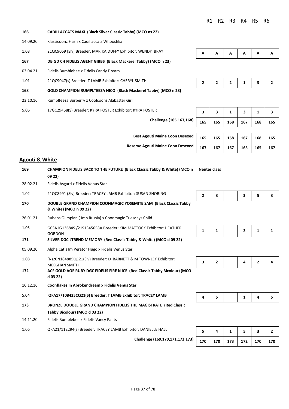| 1.08 | 21QC9069 [Slv] Breeder: MARIKA DUFFY Exhibitor: WENDY BRAY     |  |  | $A \mid A \mid A \mid A \mid A$ |  |
|------|----------------------------------------------------------------|--|--|---------------------------------|--|
| 167  | DB GD CH FIDELIS AGENT GIBBS (Black Mackerel Tabby) (MCO n 23) |  |  |                                 |  |

| 165 | 165 | 168 167 | 168 | 165 |
|-----|-----|---------|-----|-----|

**Best Agouti Maine Coon Desexed 165 165 168 167 168 165** 

**Challenge (165,167,168) 165 165 168 167 168 165** 

**Reserve Agouti Maine Coon Desexed** 167 167 167 165 165 167

#### **Agouti & White**

**166 CADILLACCATS MAXI (Black Silver Classic Tabby) (MCO ns 22)**

14.09.20 Klassicoonz Flash x Cadillaccats Whooshka

03.04.21 Fidelis Bumblebee x Fidelis Candy Dream

1.01 21QC9047(s) Breeder: T LAMB Exhibitor: CHERYL SMITH

5.06 17GC29468(S) Breeder: KYRA FOSTER Exhibitor: KYRA FOSTER **3 3 1 3 1 3** 

23.10.16 Rumplteeza Burberry x Coolcoons Alabaster Girl

**168 GOLD CHAMPION RUMPLTEEZA NICO (Black Mackerel Tabby) (MCO n 23)**

| 169      | <b>CHAMPION FIDELIS BACK TO THE FUTURE (Black Classic Tabby &amp; White) (MCO n</b><br>0922)      | <b>Neuter class</b> |                |     |                |              |                |
|----------|---------------------------------------------------------------------------------------------------|---------------------|----------------|-----|----------------|--------------|----------------|
| 28.02.21 | Fidelis Asgard x Fidelis Venus Star                                                               |                     |                |     |                |              |                |
| 1.02     | 21QC8991 (Slv) Breeder: TRACEY LAMB Exhibitor: SUSAN SHORING                                      | $\mathbf{2}$        | 3              |     | 3              | 5            | 3              |
| 170      | DOUBLE GRAND CHAMPION COONMAGIC YOSEMITE SAM (Black Classic Tabby<br>& White) (MCO n 09 22)       |                     |                |     |                |              |                |
| 26.01.21 | Rubens Olimpian (Imp Russia) x Coonmagic Tuesdays Child                                           |                     |                |     |                |              |                |
| 1.03     | GCSA1G13684S /21S1345658A Breeder: KIM MATTOCK Exhibitor: HEATHER<br><b>GORDON</b>                | 1                   | $\mathbf{1}$   |     | $\overline{2}$ | 1            | $\mathbf{1}$   |
| 171      | SILVER DGC LTREND MEMORY (Red Classic Tabby & White) (MCO d 09 22)                                |                     |                |     |                |              |                |
| 05.09.20 | Alpha Cat's Im Perator Hugo x Fidelis Venus Star                                                  |                     |                |     |                |              |                |
| 1.08     | (N)20N184885QC21(Slv) Breeder: D BARNETT & M TOWNLEY Exhibitor:<br><b>MEEGHAN SMITH</b>           | 3                   | $\overline{2}$ |     | 4              | $\mathbf{2}$ | 4              |
| 172      | ACF GOLD AOE RUBY DGC FIDELIS FIRE N ICE (Red Classic Tabby Bicolour) (MCO<br>d 03 22)            |                     |                |     |                |              |                |
| 16.12.16 | Coonflakes In Abrokendream x Fidelis Venus Star                                                   |                     |                |     |                |              |                |
| 5.04     | QFA17/108435CQ21(S) Breeder: T LAMB Exhibitor: TRACEY LAMB                                        | 4                   | 5              |     | 1              | 4            | 5.             |
| 173      | BRONZE DOUBLE GRAND CHAMPION FIDELIS THE MAGISTRATE (Red Classic<br>Tabby Bicolour) (MCO d 03 22) |                     |                |     |                |              |                |
| 14.11.20 | Fidelis Bumblebee x Fidelis Vancy Pants                                                           |                     |                |     |                |              |                |
| 1.06     | QFA21/112294(s) Breeder: TRACEY LAMB Exhibitor: DANIELLE HALL                                     | 5.                  | 4              | 1   | 5.             | 3            | $\overline{2}$ |
|          | Challenge (169,170,171,172,173)                                                                   | 170                 | 170            | 173 | 172            | 170          | 170            |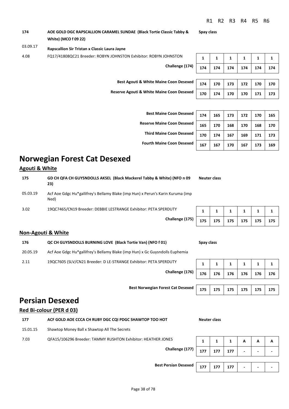#### 03.09.17 **Rapscallion Sir Tristan x Classic Laura Jayne**

4.08 FQ17/41808QC21 Breeder: ROBYN JOHNSTON Exhibitor: ROBYN JOHNSTON **1 1 1 1 1 1 1 1 1 1** 

**Challenge (174)**

**174 174 174 174 174 174 Best Agouti & White Maine Coon Desexed** | 174 | 170 | 173 | 172 | 170 | 170 **Reserve Agouti & White Maine Coon Desexed 170 174 170 170 171 173** 

> **Best Maine Coon Desexed Reserve Maine Coon Desexed Third Maine Coon Desexed Fourth Maine Coon Desexed**

| 174 | 165 | 173 | 172 | 170 | 165 |
|-----|-----|-----|-----|-----|-----|
| 165 | 170 | 168 | 170 | 168 | 170 |
| 170 | 174 | 167 | 169 | 171 | 173 |
| 167 | 167 | 170 | 167 | 173 | 169 |

## **Norwegian Forest Cat Desexed**

### **Agouti & White**

| 175      | GD CH QFA CH GUYSNDOLLS AKSEL (Black Mackerel Tabby & White) (NFO n 09<br>23)           | Neuter class |  |                                        |  |
|----------|-----------------------------------------------------------------------------------------|--------------|--|----------------------------------------|--|
| 05.03.19 | Acf Aoe Gdgc Hu*gallifrey's Bellamy Blake (imp Hun) x Perun's Karin Kuruma (imp<br>Ned) |              |  |                                        |  |
| 3.02     | 19QC7465/CN19 Breeder: DEBBIE LESTRANGE Exhibitor: PETA SPERDUTY                        |              |  | $1 \mid 1 \mid 1 \mid 1 \mid 1 \mid 1$ |  |

**Challenge (175) 175 175 175 175 175 175** 

|  | 175   175   175   175   175   175 |  |
|--|-----------------------------------|--|

#### **Non-Agouti & White**

| 176      | QC CH GUYSNDOLLS BURNING LOVE (Black Tortie Van) (NFO f 01)                  | Spay class |                                                                 |                 |                         |                |                         |
|----------|------------------------------------------------------------------------------|------------|-----------------------------------------------------------------|-----------------|-------------------------|----------------|-------------------------|
| 20.05.19 | Acf Aoe Gdgc Hu*gallifrey's Bellamy Blake (imp Hun) x Gc Guysndolls Euphemia |            |                                                                 |                 |                         |                |                         |
| 2.11     | 19QC7605 (SLV/CN21 Breeder: D LE-STRANGE Exhibitor: PETA SPERDUTY            |            | $\begin{array}{ c c c c c } \hline 1 & 1 \\ \hline \end{array}$ |                 | $\overline{\mathbf{1}}$ | $\blacksquare$ | $\overline{\mathbf{1}}$ |
|          | Challenge (176)                                                              | 17C        | 176                                                             | 17 <sub>C</sub> | 17 <sub>C</sub>         | 17C            | $\overline{17}$         |

**Best Norwegian Forest Cat Desexed** 

## **Persian Desexed**

#### **Red Bi-colour (PER d 03)**

| 177 | ACF GOLD AOE CCCA CH RUBY DGC CQI PDGC SHAWTOP TOO HOT | <b>Neuter class</b> |
|-----|--------------------------------------------------------|---------------------|
|     |                                                        |                     |

15.01.15 Shawtop Money Ball x Shawtop All The Secrets

7.03 QFA15/106296 Breeder: TAMMY RUSHTON Exhibitor: HEATHER JONES **1** 1 1 1 A **A A** 

| 1   | 1   | 1   | 1   | 1   |     |  |
|-----|-----|-----|-----|-----|-----|--|
| 176 | 176 | 176 | 176 | 176 | 176 |  |
|     |     |     |     |     |     |  |
| 175 | 175 | 175 | 175 | 175 | 175 |  |

**Challenge (177)**  $\begin{array}{|c|c|c|c|c|}\n\hline\n177 & 177 & 177 & - & - & - \ \hline\n\end{array}$ **Best Persian Desexed** | 177 | 177 | 177 | -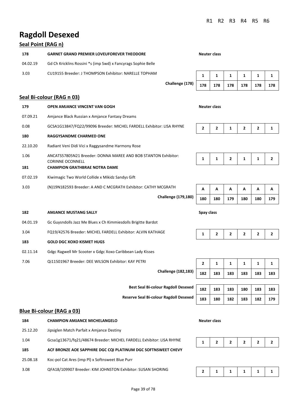# **Ragdoll Desexed**

### **Seal Point (RAG n)**

| 178      | <b>GARNET GRAND PREMIER LOVEUFOREVER THEODORE</b>             | Neuter class |  |  |  |
|----------|---------------------------------------------------------------|--------------|--|--|--|
| 04.02.19 | Gd Ch Kricklins Rossini *s (imp Swd) x Fancyrags Sophie Belle |              |  |  |  |
| 3.03     | CU19155 Breeder: J THOMPSON Exhibitor: NARELLE TOPHAM         |              |  |  |  |

### **Challenge (178) 178 178 178 178 178 178**

| 178 |  | 178   178   178   178   178 |  |
|-----|--|-----------------------------|--|

### **Seal Bi-colour (RAG n 03)**

| 179      | <b>OPEN AMJANCE VINCENT VAN GOGH</b>                                                      | <b>Neuter class</b> |                |   |                |   |   |
|----------|-------------------------------------------------------------------------------------------|---------------------|----------------|---|----------------|---|---|
| 07.09.21 | Amjance Black Russian x Amjance Fantasy Dreams                                            |                     |                |   |                |   |   |
| 0.08     | GCSA1G13847/FQ22/99096 Breeder: MICHEL FARDELL Exhibitor: LISA RHYNE                      | $\mathbf{2}$        | $\overline{2}$ | 1 | $\overline{2}$ | 2 |   |
| 180      | <b>RAGGYSANDME CHARMED ONE</b>                                                            |                     |                |   |                |   |   |
| 22.10.20 | Radiant Veni Didi Vici x Raggysandme Harmony Rose                                         |                     |                |   |                |   |   |
| 1.06     | ANCATS57805N21 Breeder: DONNA MAREE AND BOB STANTON Exhibitor:<br><b>CORINNE OCONNELL</b> |                     |                | 2 | 1              | 1 | 2 |
| 181      | <b>CHAMPION GRATHBRAE NOTRA DAME</b>                                                      |                     |                |   |                |   |   |
| 07.02.19 | Kiwimagic Two World Collide x Mikidz Sandys Gift                                          |                     |                |   |                |   |   |
| 3.03     | (N)19N182593 Breeder: A AND C MCGRATH Exhibitor: CATHY MCGRATH                            | A                   | A              | A | A              | A | А |
|          |                                                                                           |                     |                |   |                |   |   |

# **Challenge (179,180) 180 180 179 180 180 179**

#### **182 AMJANCE MUSTANG SALLY Spay class**

- 04.01.19 Gc Guysndolls Jazz Me Blues x Ch Kimmiesdolls Brigitte Bardot
- 3.04 FQ19/42576 Breeder: MICHEL FARDELL Exhibitor: ALVIN KATHAGE **1 2 2 2 2 2 2** 2

#### **183 GOLD DGC XOXO KISMET HUGS**

- 02.11.14 Gdgc Ragwell Mr Scooter x Gdgc Xoxo Caribbean Lady Kisses
- 7.06 Qi11501967 Breeder: DEE WILSON Exhibitor: KAY PETRI **2** 1 1 1 1 1 1 1

**Challenge (182,183) 182 183 183 183 183 183** 

**Best Seal Bi-colour Ragdoll Desexed** |  $182$  |  $183$  |  $183$  |  $180$  |  $183$  |  $183$ 

**Reserve Seal Bi-colour Ragdoll Desexed 183 180 182 183 182 179** 

### **Blue Bi-colour (RAG a 03)**

| 184      | Neuter class<br><b>CHAMPION AMJANCE MICHELANGELO</b>                 |  |  |  |  |   |  |
|----------|----------------------------------------------------------------------|--|--|--|--|---|--|
| 25.12.20 | Jipsiglen Match Parfait x Amjance Destiny                            |  |  |  |  |   |  |
| 1.04     | Gcsa1g13671/fq21/48674 Breeder: MICHEL FARDELL Exhibitor: LISA RHYNE |  |  |  |  | 2 |  |
| 185      | ACF BRONZE AOE SAPPHIRE DGC CQI PLATINUM DGC SOFTNSWEET CHEVY        |  |  |  |  |   |  |
| 25.08.18 | Koc-pol Cat Ares (imp PI) x Softnsweet Blue Purr                     |  |  |  |  |   |  |
| 3.08     | QFA18/109907 Breeder: KIM JOHNSTON Exhibitor: SUSAN SHORING          |  |  |  |  |   |  |



|--|--|--|--|--|--|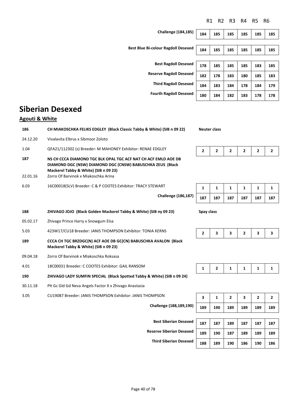|  | $3$ est Blue Bi-colour Ragdoll Desexed $\sqrt{ }$ |  |
|--|---------------------------------------------------|--|

**Challenge (184,185) 184 185 185 185 185 185** 

| <b>Best Blue Bi-colour Ragdoll Desexed</b> | 184 | 185 | 185 | 185 | 185 | 185 |
|--------------------------------------------|-----|-----|-----|-----|-----|-----|
|                                            |     |     |     |     |     |     |
| <b>Best Ragdoll Desexed</b>                | 178 | 185 | 185 | 185 | 183 | 185 |
| <b>Reserve Ragdoll Desexed</b>             | 182 | 178 | 183 | 180 | 185 | 183 |
| <b>Third Ragdoll Desexed</b>               | 184 | 183 | 184 | 178 | 184 | 179 |
| <b>Fourth Ragdoll Desexed</b>              | 180 | 184 | 182 | 183 | 178 | 178 |
|                                            |     |     |     |     |     |     |

# **Siberian Desexed**

### **Agouti & White**

| 186             | CH MIAKOSCHKA FELIKS EDGLEY (Black Classic Tabby & White) (SIB n 09 22)                                                                                                                                       | <b>Neuter class</b> |              |              |                |                |     |
|-----------------|---------------------------------------------------------------------------------------------------------------------------------------------------------------------------------------------------------------|---------------------|--------------|--------------|----------------|----------------|-----|
| 24.12.20        | Vivalavita Elbrus x Sibmoor Zoloto                                                                                                                                                                            |                     |              |              |                |                |     |
| 1.04            | QFA21/112302 (s) Breeder: M MAHONEY Exhibitor: RENAE EDGLEY                                                                                                                                                   | $\mathbf{2}$        | 2            | 2            | 2              | $\mathbf{2}$   | 2   |
| 187<br>22.01.16 | NS CH CCCA DIAMOND TGC BLK OPAL TGC ACF NAT CH ACF EMLD AOE DB<br>DIAMOND DGC (NSW) DIAMOND DGC (CNSW) BABUSCHKA ZEUS (Black<br>Mackerel Tabby & White) (SIB n 09 23)<br>Zorro Of Barvinok x Miakoschka Arina |                     |              |              |                |                |     |
|                 |                                                                                                                                                                                                               |                     |              |              |                |                |     |
| 6.03            | 16C00018(SLV) Breeder: C & P COOTES Exhibitor: TRACY STEWART                                                                                                                                                  | 1                   | 1            | 1            | 1              | 1              | 1   |
|                 | <b>Challenge (186,187)</b>                                                                                                                                                                                    | 187                 | 187          | 187          | 187            | 187            | 187 |
| 188             | ZHIVAGO JOJO (Black Golden Mackerel Tabby & White) (SIB ny 09 23)                                                                                                                                             | Spay class          |              |              |                |                |     |
| 05.02.17        | Zhivago Prince Harry x Snowgum Elsa                                                                                                                                                                           |                     |              |              |                |                |     |
| 5.03            | 423W17/CU18 Breeder: JANIS THOMPSON Exhibitor: TONIA KERNS                                                                                                                                                    | $\overline{2}$      | 3            | 3            | $\overline{2}$ | 3              | 3   |
| 189             | CCCA CH TGC BRZDGC(N) ACF AOE DB GC(CN) BABUSCHKA AVALON (Black<br>Mackerel Tabby & White) (SIB n 09 23)                                                                                                      |                     |              |              |                |                |     |
| 09.04.18        | Zorro Of Barvinok x Miakoschka Roksasa                                                                                                                                                                        |                     |              |              |                |                |     |
| 4.01            | 18C00031 Breeder: C COOTES Exhibitor: GAIL RANSOM                                                                                                                                                             | $\mathbf{1}$        | $\mathbf{2}$ | $\mathbf{1}$ | $\mathbf{1}$   | $\mathbf{1}$   | 1   |
| 190             | ZHIVAGO LADY SUMFIN SPECIAL (Black Spotted Tabby & White) (SIB n 09 24)                                                                                                                                       |                     |              |              |                |                |     |
| 30.11.18        | Plt Gc Gld Gd Neva Angels Factor X x Zhivago Anastasia                                                                                                                                                        |                     |              |              |                |                |     |
| 3.05            | CU19087 Breeder: JANIS THOMPSON Exhibitor: JANIS THOMPSON                                                                                                                                                     | 3                   | 1            | $\mathbf{2}$ | 3              | $\overline{2}$ | 2   |
|                 | Challenge (188,189,190)                                                                                                                                                                                       | 189                 | 190          | 189          | 189            | 189            | 189 |
|                 |                                                                                                                                                                                                               |                     |              |              |                |                |     |
|                 | <b>Best Siberian Desexed</b>                                                                                                                                                                                  | 187                 | 187          | 189          | 187            | 187            | 187 |

**Reserve Siberian Desexed 189 190 187 189 189 189** 

**Third Siberian Desexed 188 189 190 186 190 186**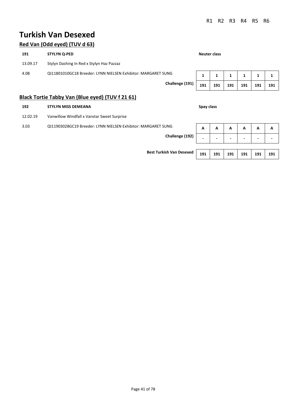# **Turkish Van Desexed**

### **Red Van (Odd eyed) (TUV d 63)**

| 191                                                                   | <b>STYLYN Q-PED</b>                                                                                                                                                                                                                                                                                                                   |     |     | <b>Neuter class</b> |     |     |     |  |  |  |
|-----------------------------------------------------------------------|---------------------------------------------------------------------------------------------------------------------------------------------------------------------------------------------------------------------------------------------------------------------------------------------------------------------------------------|-----|-----|---------------------|-----|-----|-----|--|--|--|
| 13.09.17                                                              | Stylyn Dashing In Red x Stylyn Haz Pazzaz                                                                                                                                                                                                                                                                                             |     |     |                     |     |     |     |  |  |  |
| QI11801010GC18 Breeder: LYNN NIELSEN Exhibitor: MARGARET SUNG<br>4.08 |                                                                                                                                                                                                                                                                                                                                       |     |     |                     |     |     |     |  |  |  |
|                                                                       | Challenge (191)                                                                                                                                                                                                                                                                                                                       | 191 | 191 | 191                 | 191 | 191 | 191 |  |  |  |
|                                                                       | $D_{\text{total}}$ , $T_{\text{c}}$ , $t_{\text{c}}$ , $T_{\text{c}}$ , $l_{\text{total}}$ , $l_{\text{C}}$ , $l_{\text{C}}$ , $l_{\text{C}}$ , $l_{\text{C}}$ , $l_{\text{C}}$ , $l_{\text{C}}$ , $l_{\text{C}}$ , $l_{\text{C}}$ , $l_{\text{C}}$ , $l_{\text{C}}$ , $l_{\text{C}}$ , $l_{\text{C}}$ , $l_{\text{C}}$ , $l_{\text{$ |     |     |                     |     |     |     |  |  |  |

### **Black Tortie Tabby Van (Blue eyed) (TUV f 21 61)**

| 192                                                                   | <b>STYLYN MISS DEMEANA</b>                  | Spay class               |                          |                          |                          |     |                          |
|-----------------------------------------------------------------------|---------------------------------------------|--------------------------|--------------------------|--------------------------|--------------------------|-----|--------------------------|
| 12.02.19                                                              | Vanwillow Windfall x Vanstar Sweet Surprise |                          |                          |                          |                          |     |                          |
| 3.03<br>QI11903028GC19 Breeder: LYNN NIELSEN Exhibitor: MARGARET SUNG |                                             |                          |                          | A                        | A                        | A   | A                        |
| Challenge (192)                                                       |                                             | $\overline{\phantom{0}}$ | $\overline{\phantom{0}}$ | $\overline{\phantom{0}}$ | $\overline{\phantom{a}}$ | -   | $\overline{\phantom{0}}$ |
|                                                                       |                                             |                          |                          |                          |                          |     |                          |
|                                                                       | <b>Best Turkish Van Desexed</b>             | 191                      | 191                      | 191                      | 191                      | 191 | 191                      |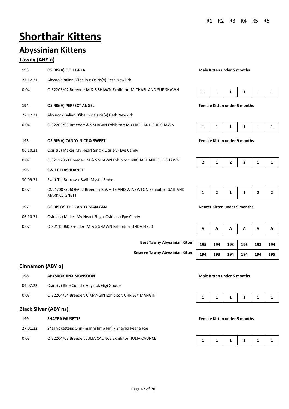# **Shorthair Kittens**

# **Abyssinian Kittens**

### **Tawny (ABY n)**

| 193      | OSIRIS(V) OOH LA LA                                                                        | <b>Male Kitten under 5 months</b>   |   |              |              |                |   |
|----------|--------------------------------------------------------------------------------------------|-------------------------------------|---|--------------|--------------|----------------|---|
| 27.12.21 | Abysrok Balian D'ibelin x Osiris(v) Beth Newkirk                                           |                                     |   |              |              |                |   |
| 0.04     | QI32203/02 Breeder: M & S SHAWN Exhibitor: MICHAEL AND SUE SHAWN                           | 1                                   | 1 | 1            | 1            | 1              | 1 |
| 194      | <b>OSIRIS(V) PERFECT ANGEL</b>                                                             | <b>Female Kitten under 5 months</b> |   |              |              |                |   |
| 27.12.21 | Abysrock Balian D'ibelin x Osiris(v) Beth Newkirk                                          |                                     |   |              |              |                |   |
| 0.04     | QI32203/03 Breeder: & S SHAWN Exhibitor: MICHAEL AND SUE SHAWN                             | 1                                   | 1 | 1            | 1            | 1              | 1 |
| 195      | <b>OSIRIS(V) CANDY NICE &amp; SWEET</b>                                                    | <b>Female Kitten under 9 months</b> |   |              |              |                |   |
| 06.10.21 | Osiris(v) Makes My Heart Sing x Osiris(v) Eye Candy                                        |                                     |   |              |              |                |   |
| 0.07     | Qi32112063 Breeder: M & S SHAWN Exhibitor: MICHAEL AND SUE SHAWN                           | 2                                   | 1 | $\mathbf{2}$ | $\mathbf{2}$ | 1              | 1 |
| 196      | <b>SWIFT FLASHDANCE</b>                                                                    |                                     |   |              |              |                |   |
| 30.09.21 | Swift Taj Burrow x Swift Mystic Ember                                                      |                                     |   |              |              |                |   |
| 0.07     | CN21/007526QFA22 Breeder: B.WHITE AND W.NEWTON Exhibitor: GAIL AND<br><b>MARK CLIGNETT</b> | 1                                   | 2 | 1            | 1            | $\overline{2}$ | 2 |
| 197      | <b>OSIRIS (V) THE CANDY MAN CAN</b>                                                        | <b>Neuter Kitten under 9 months</b> |   |              |              |                |   |
| 06.10.21 | Osiris (v) Makes My Heart Sing x Osiris (v) Eye Candy                                      |                                     |   |              |              |                |   |
| 0.07     | QI32112060 Breeder: M & S SHAWN Exhibitor: LINDA FIELD                                     | Α<br>Α<br>А<br>А<br>А               |   |              | Α            |                |   |

#### **Male Kitten under 5 months**



#### **1942 1943 Pemale Kitten under 5 months**

|--|--|--|--|--|--|

#### **1959 1955 Pemale Kitten under 9 months**

| А   | Α   | A   | А   | А   | А   |
|-----|-----|-----|-----|-----|-----|
|     |     |     |     |     |     |
| 195 | 194 | 193 | 196 | 193 | 194 |
| 194 | 193 | 194 | 194 | 194 | 195 |

### **Cinnamon (ABY o)**

| 198      | <b>ABYSROK JINX MONSOON</b>                            |  |  | Male Kitten under 5 months |  |                                        |  |  |  |  |
|----------|--------------------------------------------------------|--|--|----------------------------|--|----------------------------------------|--|--|--|--|
| 04.02.22 | Osiris(v) Blue Cupid x Abysrok Gigi Goode              |  |  |                            |  |                                        |  |  |  |  |
| 0.03     | QI32204/54 Breeder: C MANGIN Exhibitor: CHRISSY MANGIN |  |  |                            |  | $1 \mid 1 \mid 1 \mid 1 \mid 1 \mid 1$ |  |  |  |  |

#### **Black Silver (ABY ns)**

| 199      | <b>SHAYBA MUSETTE</b>                                    | <b>Female Kitten under 5 months</b> |  |  |                 |  |
|----------|----------------------------------------------------------|-------------------------------------|--|--|-----------------|--|
| 27.01.22 | S*saivokattens Onni-manni (imp Fin) x Shayba Feana Fae   |                                     |  |  |                 |  |
| 0.03     | QI32204/03 Breeder: JULIA CAUNCE Exhibitor: JULIA CAUNCE |                                     |  |  | 1 1 1 1 1 1 1 1 |  |

**Best Tawny Abyssinian Kitten** 

**Reserve Tawny Abyssinian Kitten**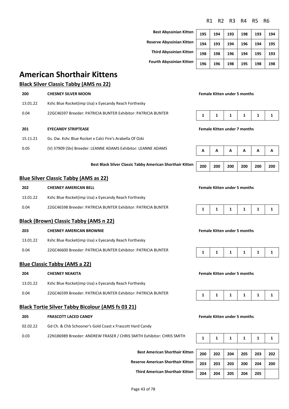**Best Abyssinian Kitter Reserve Abyssinian Kitter Third Abyssinian Kitten 198 198 196 194 195 193 Fourth Abyssinian Kitter** 

| n | 195 | 194 | 193 | 198 | 193 | 194 |
|---|-----|-----|-----|-----|-----|-----|
| n | 194 | 193 | 194 | 196 | 194 | 195 |
| n | 198 | 198 | 196 | 194 | 195 | 193 |
| n | 196 | 196 | 198 | 195 | 198 | 198 |

## **American Shorthair Kittens**

### **Black Silver Classic Tabby (AMS ns 22)**

| 200      | <b>CHESNEY SILVER MOON</b>                                    | <b>Female Kitten under 5 months</b> |  |  |                                     |  |  |
|----------|---------------------------------------------------------------|-------------------------------------|--|--|-------------------------------------|--|--|
| 13.01.22 | Kshc Blue Rocket(imp Usa) x Eyecandy Reach Forthesky          |                                     |  |  |                                     |  |  |
| 0.04     | 22GC46597 Breeder: PATRICIA BUNTER Exhibitor: PATRICIA BUNTER | 1                                   |  |  |                                     |  |  |
| 201      | <b>EYECANDY STRIPTEASE</b>                                    |                                     |  |  | <b>Female Kitten under 7 months</b> |  |  |
| 15.11.21 | Gs. Dw. Kshc Blue Rocket x Calci Fire's Arabella Of Ozki      |                                     |  |  |                                     |  |  |
|          |                                                               |                                     |  |  |                                     |  |  |

0.05 (V) 37909 (Slv) Breeder: LEANNE ADAMS Exhibitor: LEANNE ADAMS

**Best Black Silver Classic Tabby American Shorthair Kitten** 

### **Blue Silver Classic Tabby (AMS as 22)**

| 202      | <b>CHESNEY AMERICAN BELL</b>                                  | <b>Female Kitten under 5 months</b> |  |  |  |               |  |  |
|----------|---------------------------------------------------------------|-------------------------------------|--|--|--|---------------|--|--|
| 13.01.22 | Kshc Blue Rocket(imp Usa) x Eyecandy Reach Forthesky          |                                     |  |  |  |               |  |  |
| 0.04     | 22GC46598 Breeder: PATRICIA BUNTER Exhibitor: PATRICIA BUNTER |                                     |  |  |  | 1 1 1 1 1 1 1 |  |  |

#### **Black (Brown) Classic Tabby (AMS n 22)**

#### **203 CHESNEY AMERICAN BROWNIE Female Kitten under 5 months**

- 13.01.22 Kshc Blue Rocket(imp Usa) x Eyecandy Reach Forthesky
- 0.04 22GC46600 Breeder: PATRICIA BUNTER Exhibitor: PATRICIA BUNTER **1** 1 1 1 1 1 1 1 1 1 1

#### **Blue Classic Tabby (AMS a 22)**

- **204 CHESNEY NEAKITA Female Kitten under 5 months**
- 13.01.22 Kshc Blue Rocket(imp Usa) x Eyecandy Reach Forthesky
- 0.04 22GC46599 Breeder: PATRICIA BUNTER Exhibitor: PATRICIA BUNTER

#### **Black Tortie Silver Tabby Bicolour (AMS fs 03 21)**

#### **205 FRASCOTT LACED CANDY Female Kitten under 5 months**

- 02.02.22 Gd Ch. & Chb Schooner's Gold Coast x Frascott Hard Candy
- 0.03 22N186989 Breeder: ANDREW FRASER / CHRIS SMITH Exhibitor: CHRIS SMITH

**Best American Shorthair Kitten** 

**Reserve American Shorthair Kitten 203 203 203 200 204 200** 

**Third American Shorthair Kitten 204 204 205 204 205** 

| А   | А   | А   | А   | А   | А   |
|-----|-----|-----|-----|-----|-----|
|     |     |     |     |     |     |
| 200 | 200 | 200 | 200 | 200 | 200 |

**Female Kitten under 5 months** 





|--|--|--|--|--|--|

|--|

| 200 | 202 | 204 | 205 | 203 | 202 |
|-----|-----|-----|-----|-----|-----|
| 203 | 203 | 203 | 200 | 204 | 200 |
| 204 | 204 | 205 | 204 | 205 |     |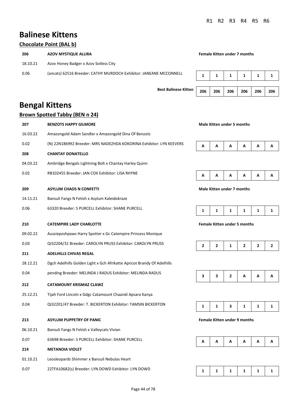# **Balinese Kittens**

### **Chocolate Point (BAL b)**

| 206      | AZOV MYSTIQUE ALLIRA                                               | <b>Female Kitten under 7 months</b> |  |  |  |  |
|----------|--------------------------------------------------------------------|-------------------------------------|--|--|--|--|
| 18.10.21 | Azov Honey Badger x Azov Sotless City                              |                                     |  |  |  |  |
| 0.06     | (ancats) 62516 Breeder: CATHY MURDOCH Exhibitor: JANEANE MCCONNELL |                                     |  |  |  |  |

**Best Balinese Kitten** 206

|  | 206   206   206   206   206 |  |
|--|-----------------------------|--|

# **Bengal Kittens**

### **Brown Spotted Tabby (BEN n 24)**

| 207      | <b>BENZOTS HAPPY GILMORE</b>                                            | <b>Male Kitten under 5 months</b> |                                     |   |              |                |              |
|----------|-------------------------------------------------------------------------|-----------------------------------|-------------------------------------|---|--------------|----------------|--------------|
| 16.03.22 | Amazongold Adam Sandler x Amazongold Dina Of Benzots                    |                                   |                                     |   |              |                |              |
| 0.02     | (N) 22N186992 Breeder: MRS NADEZHDA KOKORINA Exhibitor: LYN KEEVERS     | А                                 | А                                   | А | Α            | Α              | Α            |
| 208      | <b>CHANTAY DONATELLO</b>                                                |                                   |                                     |   |              |                |              |
| 04.03.22 | Ambridge Bengals Lightning Bolt x Chantay Harley Quinn                  |                                   |                                     |   |              |                |              |
| 0.02     | RB102455 Breeder: JAN COX Exhibitor: LISA RHYNE                         | А                                 | А                                   | А | Α            | A              | Α            |
| 209      | <b>ASYLUM CHAOS N CONFETTI</b>                                          |                                   | Male Kitten under 7 months          |   |              |                |              |
| 14.11.21 | Bansuli Fangs N Fetish x Asylum Kaleidokraze                            |                                   |                                     |   |              |                |              |
| 0.06     | 63320 Breeder: S PURCELL Exhibitor: SHANE PURCELL                       | 1                                 | 1                                   | 1 | 1            | 1              | 1            |
| 210      | <b>CATEMPIRE LADY CHARLOTTE</b>                                         |                                   | <b>Female Kitten under 5 months</b> |   |              |                |              |
| 09.02.22 | Aussieposhpaws Harry Spotter x Gc Catempire Princess Monique            |                                   |                                     |   |              |                |              |
| 0.03     | QI32204/31 Breeder: CAROLYN PRUSS Exhibitor: CAROLYN PRUSS              | $\mathbf{2}$                      | $\mathbf{2}$                        | 1 | $\mathbf{2}$ | $\overline{2}$ | $\mathbf{2}$ |
| 211      | <b>ADELHILLS CHIVAS REGAL</b>                                           |                                   |                                     |   |              |                |              |
| 28.12.21 | Dgch Adelhills Golden Light x Gch Afrikatte Apricot Brandy Of Adelhills |                                   |                                     |   |              |                |              |
| 0.04     | pending Breeder: MELINDA J RADUS Exhibitor: MELINDA RADUS               | 3                                 | 3                                   | 2 | A            | A              | Α            |
| 212      | <b>CATAMOUNT KRISMAZ CLAWZ</b>                                          |                                   |                                     |   |              |                |              |
| 25.12.21 | Tijah Ford Lincoln x Gdgc Catamount Chaandi Apsara Kanya                |                                   |                                     |   |              |                |              |
| 0.04     | QI32201/47 Breeder: T. BICKERTON Exhibitor: TAMSIN BICKERTON            | $\mathbf{1}$                      | $\mathbf{1}$                        | 3 | 1            | $\mathbf{1}$   | 1            |
| 213      | <b>ASYLUM PUPPETRY OF PANIC</b>                                         |                                   | <b>Female Kitten under 9 months</b> |   |              |                |              |
| 06.10.21 | Bansuli Fangs N Fetish x Valleycats Vivian                              |                                   |                                     |   |              |                |              |
| 0.07     | 63698 Breeder: S PURCELL Exhibitor: SHANE PURCELL                       | А                                 | А                                   | А | Α            | A              | Α            |
| 214      | <b>METANOIA VIOLET</b>                                                  |                                   |                                     |   |              |                |              |
| 01.10.21 | Leosleopards Shimmer x Bansuli Nebulas Heart                            |                                   |                                     |   |              |                |              |
| 0.07     | 22TFA10682(s) Breeder: LYN DOWD Exhibitor: LYN DOWD                     | 1                                 | 1                                   | 1 | 1            | 1              | 1            |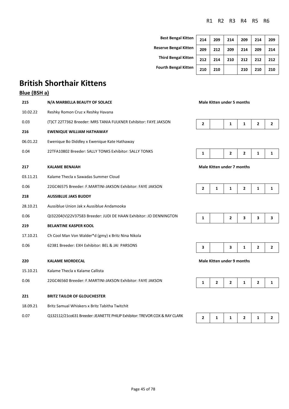**Best Bengal Kitt Reserve Bengal Kitt Third Bengal Kitt Fourth Bengal Kitt** 

| en | 214 | 209 | 214 | 209 | 214 | 209 |
|----|-----|-----|-----|-----|-----|-----|
| en | 209 | 212 | 209 | 214 | 209 | 214 |
| en | 212 | 214 | 210 | 212 | 212 | 212 |
| en | 210 | 210 |     | 210 | 210 | 210 |
|    |     |     |     |     |     |     |

# **British Shorthair Kittens**

### **Blue (BSH a)**

| 215      | N/A MARBELLA BEAUTY OF SOLACE                                     | <b>Male Kitten under 5 months</b> |              |                                   |              |                |                         |
|----------|-------------------------------------------------------------------|-----------------------------------|--------------|-----------------------------------|--------------|----------------|-------------------------|
| 10.02.22 | Reshky Romon Cruz x Reshky Havana                                 |                                   |              |                                   |              |                |                         |
| 0.03     | (T)CT 22T7362 Breeder: MRS TANIA FULKNER Exhibitor: FAYE JAKSON   | $\mathbf{2}$                      |              | 1                                 | 1            | $\overline{2}$ | $\overline{2}$          |
| 216      | <b>EWENIQUE WILLIAM HATHAWAY</b>                                  |                                   |              |                                   |              |                |                         |
| 06.01.22 | Ewenique Bo Diddley x Ewenique Kate Hathaway                      |                                   |              |                                   |              |                |                         |
| 0.04     | 22TFA10802 Breeder: SALLY TONKS Exhibitor: SALLY TONKS            | 1                                 |              | 2                                 | $\mathbf{2}$ | 1              | 1                       |
| 217      | <b>KALAME BENAIAH</b>                                             |                                   |              | <b>Male Kitten under 7 months</b> |              |                |                         |
| 03.11.21 | Kalame Thecla x Sawadas Summer Cloud                              |                                   |              |                                   |              |                |                         |
| 0.06     | 22GC46575 Breeder: F.MARTINI-JAKSON Exhibitor: FAYE JAKSON        | 2                                 | 1            | 1                                 | 2            | 1              | 1                       |
| 218      | <b>AUSSIBLUE JAKS BUDDY</b>                                       |                                   |              |                                   |              |                |                         |
| 28.10.21 | Aussiblue Union Jak x Aussiblue Andamooka                         |                                   |              |                                   |              |                |                         |
| 0.06     | QI32204(V)22V37583 Breeder: JUDI DE HAAN Exhibitor: JO DENNINGTON | 1                                 |              | $\mathbf{2}$                      | 3            | 3              | 3                       |
| 219      | <b>BELANTINE KASPER KOOL</b>                                      |                                   |              |                                   |              |                |                         |
| 17.10.21 | Ch Cool Man Von Walder*d (gmy) x Britz Nina Nikola                |                                   |              |                                   |              |                |                         |
| 0.06     | 62381 Breeder: EXH Exhibitor: BEL & JAI PARSONS                   | 3                                 |              | 3                                 | 1            | $\mathbf{2}$   | $\overline{\mathbf{c}}$ |
| 220      | <b>KALAME MORDECAL</b>                                            |                                   |              | <b>Male Kitten under 9 months</b> |              |                |                         |
| 15.10.21 | Kalame Thecla x Kalame Callista                                   |                                   |              |                                   |              |                |                         |
| 0.06     | 22GC46560 Breeder: F.MARTINI-JAKSON Exhibitor: FAYE JAKSON        | $\mathbf{1}$                      | $\mathbf{2}$ | 2                                 | 1            | $\mathbf{2}$   | 1                       |
| 221      | <b>BRITZ TAILOR OF GLOUCHESTER</b>                                |                                   |              |                                   |              |                |                         |
| 18.09.21 | Britz Samual Whiskers x Britz Tabitha Twitchit                    |                                   |              |                                   |              |                |                         |
|          |                                                                   |                                   |              |                                   |              |                |                         |

0.07 Q132112/21co631 Breeder: JEANETTE PHILIP Exhibitor: TREVOR COX & RAY CLARK **2** 1 1 2 1 2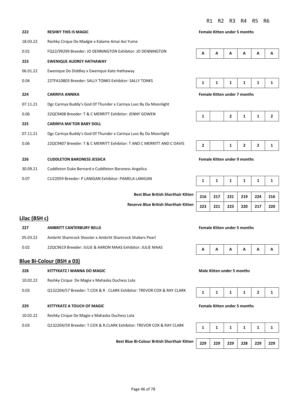**222 RESHKY THIS IS MAGIC Female Kitten under 5 months**

|--|

**224 CARINYA ANNIKA Female Kitten under 7 months**

**226 CUDDLETON BARONESS JESSICA Female Kitten under 9 months**

|  |  | 216   217   221   219   224   216 |  |
|--|--|-----------------------------------|--|
|  |  | 223 221 223 220 217 220           |  |

#### **Lilac (BSH c)**

| -227     | <b>AMBRITT CANTERBURY BELLE</b>                            |  |  | <b>Female Kitten under 5 months</b> |              |   |                |  |  |  |  |
|----------|------------------------------------------------------------|--|--|-------------------------------------|--------------|---|----------------|--|--|--|--|
| 05.03.22 | Ambritt Shamrock Shooter x Ambritt Shamrock Shakers Pearl  |  |  |                                     |              |   |                |  |  |  |  |
| 0.02     | 220C9619 Breeder: JULIE & AARON MAAS Exhibitor: JULIE MAAS |  |  | $A \mid A \mid$                     | $\mathbf{A}$ | A | $\overline{A}$ |  |  |  |  |

18.03.22 Reshky Cirque De Madgie x Kalame Amai Aoi Yume

06.01.22 Ewenique Do Diddley x Ewenique Kate Hathaway

0.04 22TFA10803 Breeder: SALLY TONKS Exhibitor: SALLY TONKS

0.06 22QC9408 Breeder: T & C MERRITT Exhibitor: JENNY GOWEN

30.09.21 Cuddleton Duke Bernard x Cuddleton Baroness Angelica

0.07 CU22059 Breeder: P LANIGAN Exhibitor: PAMELA LANIGAN

**223 EWENIQUE AUDREY HATHAWAY**

**225 CARINYA MA'TOR BABY DOLL**

0.01 FQ22/99299 Breeder: JO DENNINGTON Exhibitor: JO DENNINGTON

07.11.21 Dgc Carinya Buddy's God Of Thunder x Carinya Luvz By Da Moonlight

07.11.21 Dgc Carinya Buddy's God Of Thunder x Carinya Luvz By Da Moonlight

0.06 22QC9407 Breeder: T & C MERRITT Exhibitor: T AND C MERRITT AND C DAVIS

#### **Blue Bi-Colour (BSH a 03)**

| 228      | KITTYKATZ I WANNA DO MAGIC                                                  |  | Male Kitten under 5 months |    |                                     |  |  |
|----------|-----------------------------------------------------------------------------|--|----------------------------|----|-------------------------------------|--|--|
| 10.02.22 | Reshky Cirque De Magie x Mahaska Duchess Lola                               |  |                            |    |                                     |  |  |
| 0.03     | Q132204/57 Breeder: T.COX & R. CLARK Exhibitor: TREVOR COX & RAY CLARK<br>1 |  |                            |    | 2                                   |  |  |
| 229      | KITTYKATZ A TOUCH OF MAGIC                                                  |  |                            |    | <b>Female Kitten under 5 months</b> |  |  |
| 10.02.22 | Reshky Cirque De Magie x Mahaska Duchess Lola                               |  |                            |    |                                     |  |  |
| 0.03     | Q132204/59 Breeder: T.COX & R.CLARK Exhibitor: TREVOR COX & RAY CLARK       |  |                            | 1. |                                     |  |  |

**Best Blue Bi-Colour British Shorthair Kitten** 

**Best Blue British Shorthair Kitten** 

**Reserve Blue British Shorthair Kitten 223 221 223 220 217 220** 

| . . |
|-----|
|-----|

#### **228 KITTYKATZ I WANNA DO MAGIC Male Kitten under 5 months**

|  | 229 229 229 229 228 229 229 |  |
|--|-----------------------------|--|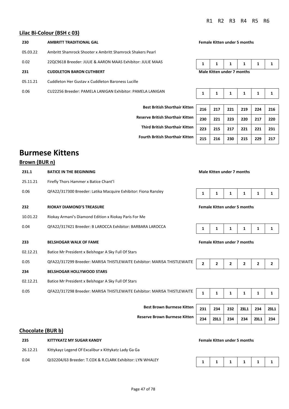### **Lilac Bi-Colour (BSH c 03)**

| 230      | AMBRITT TRADITIONAL GAL                                    | <b>Female Kitten under 5 months</b> |  |  |  |  |  |
|----------|------------------------------------------------------------|-------------------------------------|--|--|--|--|--|
| 05.03.22 | Ambritt Shamrock Shooter x Ambritt Shamrock Shakers Pearl  |                                     |  |  |  |  |  |
| 0.02     | 22QC9618 Breeder: JULIE & AARON MAAS Exhibitor: JULIE MAAS |                                     |  |  |  |  |  |
| 231      | <b>CUDDLETON BARON CUTHBERT</b>                            | Male Kitten under 7 months          |  |  |  |  |  |
| 05.11.21 | Cuddleton Her Gustav x Cuddleton Baroness Lucille          |                                     |  |  |  |  |  |
| 0.06     | CU22256 Breeder: PAMELA LANIGAN Exhibitor: PAMELA LANIGAN  | 1                                   |  |  |  |  |  |

| <b>Female Kitten under 5 months</b> |  |  |  |  |  |  |
|-------------------------------------|--|--|--|--|--|--|
|-------------------------------------|--|--|--|--|--|--|

| Male Vitton under 7 months |  |  |  |  |  |  |  |
|----------------------------|--|--|--|--|--|--|--|

| MELA LANIGAN                            | 1   | 1   | 1   | 1   | 1   |     |
|-----------------------------------------|-----|-----|-----|-----|-----|-----|
|                                         |     |     |     |     |     |     |
| <b>Best British Shorthair Kitten</b>    | 216 | 217 | 221 | 219 | 224 | 216 |
| <b>leserve British Shorthair Kitten</b> | 230 | 221 | 223 | 220 | 217 | 220 |
| <b>Third British Shorthair Kitten</b>   | 223 | 215 | 217 | 221 | 221 | 231 |
| <b>Fourth British Shorthair Kitten</b>  | 215 | 216 | 230 | 215 | 229 | 217 |

## **Burmese Kittens**

### **Brown (BUR n)**

| 231.1    | <b>BATICE IN THE BEGINNING</b>                                           |                                     | Male Kitten under 7 months          |              |              |                |              |
|----------|--------------------------------------------------------------------------|-------------------------------------|-------------------------------------|--------------|--------------|----------------|--------------|
| 25.11.21 | Firefly Thors Hammer x Batice Chant'l                                    |                                     |                                     |              |              |                |              |
| 0.06     | QFA22/317300 Breeder: Latika Macquire Exhibitor: Fiona Ransley           | 1                                   | 1                                   | 1            | 1            | 1              | 1            |
| 232      | <b>RIOKAY DIAMOND'S TREASURE</b>                                         |                                     | <b>Female Kitten under 5 months</b> |              |              |                |              |
| 10.01.22 | Riokay Armani's Diamond Edition x Riokay Paris For Me                    |                                     |                                     |              |              |                |              |
| 0.04     | QFA22/317421 Breeder: B LAROCCA Exhibitor: BARBARA LAROCCA               | 1                                   | 1                                   | 1            | 1            | 1              | 1            |
| 233      | <b>BELSHOGAR WALK OF FAME</b>                                            | <b>Female Kitten under 7 months</b> |                                     |              |              |                |              |
| 02.12.21 | Batice Mr President x Belshogar A Sky Full Of Stars                      |                                     |                                     |              |              |                |              |
| 0.05     | QFA22/317299 Breeder: MARISA THISTLEWAITE Exhibitor: MARISA THISTLEWAITE | 2                                   | $\mathbf{2}$                        | $\mathbf{2}$ | $\mathbf{2}$ | $\overline{2}$ | $\mathbf{2}$ |
| 234      | <b>BELSHOGAR HOLLYWOOD STARS</b>                                         |                                     |                                     |              |              |                |              |
| 02.12.21 | Batice Mr President x Belshogar A Sky Full Of Stars                      |                                     |                                     |              |              |                |              |
| 0.05     | QFA22/317298 Breeder: MARISA THISTLEWAITE Exhibitor: MARISA THISTLEWAITE | $\mathbf{1}$                        | 1                                   | 1            | 1            | 1              | 1            |
|          |                                                                          |                                     |                                     |              |              |                |              |
|          | <b>Best Brown Burmese Kitten</b>                                         | 231                                 | 234                                 | 232          | 231.1        | 234            | 231.1        |
|          | <b>Reserve Brown Burmese Kitten</b>                                      | 234                                 | 231.1                               | 234          | 234          | 231.1          | 234          |

### **Chocolate (BUR b)**

| 235      | KITTYKATZ MY SUGAR KANDY                                  |                   |  |  | <b>Female Kitten under 5 months</b> |  |  |  |  |  |  |
|----------|-----------------------------------------------------------|-------------------|--|--|-------------------------------------|--|--|--|--|--|--|
| 26.12.21 | Kittykayz Legend Of Excalibur x Kittykatz Lady Ga Ga      |                   |  |  |                                     |  |  |  |  |  |  |
| 0.04     | QI32204/63 Breeder: T.COX & R.CLARK Exhibitor: LYN WHALEY | 1 1 1 1 1 1 1 1 1 |  |  |                                     |  |  |  |  |  |  |

|--|--|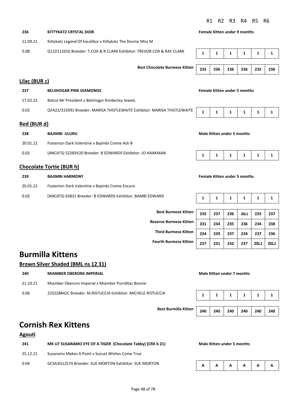#### **236 KITTYKATZ CRYSTAL DIOR Female Kitten under 9 months**

| 12.09.21      | Kittykatz Legend Of Excalibur x Kittykatz The Devine Miss M              |                                   |              |              |                                     |              |              |
|---------------|--------------------------------------------------------------------------|-----------------------------------|--------------|--------------|-------------------------------------|--------------|--------------|
| 0.08          | Q132111016 Breeder: T.COX & R CLARK Exhibitor: TREVOR COX & RAY CLARK    | 1                                 | 1            | $\mathbf{1}$ | 1                                   | 1            | $\mathbf{1}$ |
|               | <b>Best Chocolate Burmese Kitten</b>                                     | 235                               | 236          | 236          | 236                                 | 235          | 236          |
| Lilac (BUR c) |                                                                          |                                   |              |              |                                     |              |              |
| 237           | <b>BELSHOGAR PINK DIAMONDS</b>                                           |                                   |              |              | <b>Female Kitten under 5 months</b> |              |              |
| 17.02.22      | Batice Mr President x Belshogar Kimberley Jewels                         |                                   |              |              |                                     |              |              |
| 0.02          | QFA22/319391 Breeder: MARISA THISTLEWAITE Exhibitor: MARISA THISTLEWAITE | $\mathbf{1}$                      | $\mathbf{1}$ | $\mathbf{1}$ | $\mathbf{1}$                        | 1            | $\mathbf{1}$ |
| Red (BUR d)   |                                                                          |                                   |              |              |                                     |              |              |
| 238           | <b>BAJIMBI ULURU</b>                                                     | <b>Male Kitten under 5 months</b> |              |              |                                     |              |              |
| 20.01.22      | Fosterton Dark Valentine x Bajimbi Creme Ash B                           |                                   |              |              |                                     |              |              |
| 0.03          | (ANCATS) 52283V20 Breeder: B EDWARDS Exhibitor: JO HAAKMAN               | 1                                 | 1            | 1            | 1                                   | 1            | 1            |
|               | <b>Chocolate Tortie (BUR h)</b>                                          |                                   |              |              |                                     |              |              |
| 239           | <b>BAJIMBI HARMONY</b>                                                   |                                   |              |              | <b>Female Kitten under 5 months</b> |              |              |
| 20.01.22      | Fosterton Dark Valentine x Bajimbi Creme Encore                          |                                   |              |              |                                     |              |              |
| 0.03          | (ANCATS) 63831 Breeder: B EDWARDS Exhibitor: BAMBI EDWARD                | 1                                 | $\mathbf{1}$ | $\mathbf{1}$ | $\mathbf{1}$                        | $\mathbf{1}$ | 1            |
|               | <b>Best Burmese Kitten</b>                                               |                                   |              |              |                                     |              |              |
|               |                                                                          | 235                               | 237          | 236          | 231.1                               | 235          | 237          |
|               | <b>Reserve Burmese Kitten</b>                                            | 231                               | 234          | 235          | 236                                 | 234          | 238          |
|               | <b>Third Burmese Kitten</b>                                              | 234                               | 239          | 237          | 234                                 | 237          | 236          |

## **Burmilla Kittens**

### **Brown Silver Shaded (BML ns 12 31)**

| 240      | <b>MIAMBER OBERONS IMPERIAL</b>                              |  | Male Kitten under 7 months |                                        |  |
|----------|--------------------------------------------------------------|--|----------------------------|----------------------------------------|--|
| 21.10.21 | Miamber Oberons Imperial x Miamber Purrditas Bonnie          |  |                            |                                        |  |
| 0.06     | 22S228842C Breeder: M.RISTUCCIA Exhibitor: MICHELE RISTUCCIA |  |                            | $1 \mid 1 \mid 1 \mid 1 \mid 1 \mid 1$ |  |

**Best Burmilla Kitten 240 240 240 240 240 240** 

# **Cornish Rex Kittens**

### **Agouti**

| 241      | MK U7 SUSARAMO EYE OF A TIGER (Chocolate Tabby) (CRX b 21) |  |  | Male Kitten under 5 months |                                        |  |  |  |  |
|----------|------------------------------------------------------------|--|--|----------------------------|----------------------------------------|--|--|--|--|
| 25.12.21 | Susaramo Makes A Point x Sunset Wishes Come True           |  |  |                            |                                        |  |  |  |  |
| 0.04     | GCSA3G12574 Breeder: SUE MORTON Exhibitor: SUE MORTON      |  |  |                            | $A \mid A \mid A \mid A \mid A \mid A$ |  |  |  |  |

| <b>Best Burmese Kitten</b>    | 235 | 237 | 236 | 231.1 | 235   | 237   |
|-------------------------------|-----|-----|-----|-------|-------|-------|
| <b>Reserve Burmese Kitten</b> | 231 | 234 | 235 | 236   | 234   | 238   |
| <b>Third Burmese Kitten</b>   | 234 | 239 | 237 | 234   | 237   | 236   |
| <b>Fourth Burmese Kitten</b>  | 237 | 231 | 232 | 237   | 231.1 | 231.1 |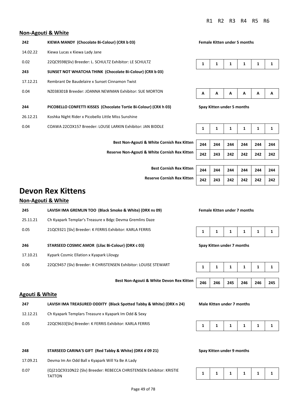#### **Non-Agouti & White**

| 242      | KIEWA MANDY (Chocolate Bi-Colour) (CRX b 03)                      | <b>Female Kitten under 5 months</b> |   |   |   |   |   |
|----------|-------------------------------------------------------------------|-------------------------------------|---|---|---|---|---|
| 14.02.22 | Kiewa Lucas x Kiewa Lady Jane                                     |                                     |   |   |   |   |   |
| 0.02     | 22QC9598(Slv) Breeder: L. SCHULTZ Exhibitor: LE SCHULTZ           | 1                                   | 1 | 1 | 1 | 1 |   |
| 243      | SUNSET NOT WHATCHA THINK (Chocolate Bi-Colour) (CRX b 03)         |                                     |   |   |   |   |   |
| 17.12.21 | Rembrant De Baudelaire x Sunset Cinnamon Twist                    |                                     |   |   |   |   |   |
| 0.04     | NZ038301B Breeder: JOANNA NEWMAN Exhibitor: SUE MORTON            | A                                   | A | A | A | A | А |
| 244      | PICOBELLO CONFETTI KISSES (Chocolate Tortie Bi-Colour) (CRX h 03) | Spay Kitten under 5 months          |   |   |   |   |   |
| 26.12.21 | Koshka Night Rider x Picobello Little Miss Sunshine               |                                     |   |   |   |   |   |
| 0.04     | COAWA 22COX157 Breeder: LOUSE LARKIN Exhibitor: JAN BIDDLE        | 1                                   | 1 | 1 | 1 | 1 |   |
|          |                                                                   |                                     |   |   |   |   |   |

**Best Non-Agouti & White Cornish Rex Kitten** 

**Reserve Non-Agouti & White Cornish Rex Kitten 242 243 242 242 242 242** 

|--|--|--|--|

|  | . . |  | . . |  |  |
|--|-----|--|-----|--|--|
|--|-----|--|-----|--|--|

|--|

|  | 244   244   244   244   244   244 |  |
|--|-----------------------------------|--|
|  | $242$ 243 242 242 242 242         |  |

| Best Cornish Rex Kitten   244   244   244   244   244          |  |  | 244 |
|----------------------------------------------------------------|--|--|-----|
| Reserve Cornish Rex Kitten   242   243   242   242   242   242 |  |  |     |

## **Devon Rex Kittens**

### **Non-Agouti & White**

| 245      | LAVISH IMA GREMLIN TOO (Black Smoke & White) (DRX ns 09)        |                            |     |              | <b>Female Kitten under 7 months</b> |     |     |
|----------|-----------------------------------------------------------------|----------------------------|-----|--------------|-------------------------------------|-----|-----|
| 25.11.21 | Ch Kyapark Templar's Treasure x Bdgc Devma Gremlins Daze        |                            |     |              |                                     |     |     |
| 0.05     | 21QC9321 [Slv] Breeder: K FERRIS Exhibitor: KARLA FERRIS        | 1                          | 1   | 1            | 1                                   | 1   | 1   |
| 246      | STARSEED COSMIC AMOR (Lilac Bi-Colour) (DRX c 03)               | Spay Kitten under 7 months |     |              |                                     |     |     |
| 17.10.21 | Kypark Cosmic Ellation x Kyapark Lilovgy                        |                            |     |              |                                     |     |     |
| 0.06     | 22QC9457 (Slv) Breeder: R CHRISTENSEN Exhibitor: LOUISE STEWART | 1                          | 1   | $\mathbf{1}$ | 1                                   | 1   | 1   |
|          |                                                                 |                            |     |              |                                     |     |     |
|          | <b>Best Non-Agouti &amp; White Devon Rex Kitten</b>             | 246                        | 246 | 245          | 246                                 | 246 | 245 |

#### **Agouti & White**

| 247      | LAVISH IMA TREASURED ODDITY (Black Spotted Tabby & White) (DRX n 24) |
|----------|----------------------------------------------------------------------|
| 12.12.21 | Ch Kyapark Templars Treasure x Kyapark Im Odd & Sexy                 |

0.05 22QC9633[Slv] Breeder: K FERRIS Exhibitor: KARLA FERRIS

#### **248 STARSEED CARINA'S GIFT (Red Tabby & White) (DRX d 09 21) Spay Kitten under 9 months**

- 17.09.21 Devma Im An Odd Ball x Kyapark Will Ya Be A Lady
- 0.07 (Q)21QC9310N22 (Slv) Breeder: REBECCA CHRISTENSEN Exhibitor: KRISTIE TATTON

| 246   246   245   246   246   245 |
|-----------------------------------|
|-----------------------------------|

**Male Kitten under 7 months** 

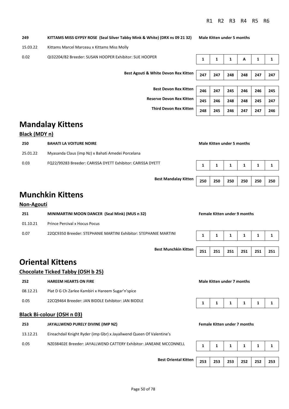**Third Devon Rex Kitten 248 245 246 247 247 246** 

**Best Mandalay Kitten 250 250 250 250 250 250** 

| 249      | KITTAMS MISS GYPSY ROSE (Seal Silver Tabby Mink & White) (DRX ns 09 21 32) | <b>Male Kitten under 5 months</b> |     |     |     |     |     |
|----------|----------------------------------------------------------------------------|-----------------------------------|-----|-----|-----|-----|-----|
| 15.03.22 | Kittams Marcel Marceau x Kittams Miss Molly                                |                                   |     |     |     |     |     |
| 0.02     | QI32204/82 Breeder: SUSAN HOOPER Exhibitor: SUE HOOPER                     | 1                                 | 1   | 1   | Α   | 1   | 1   |
|          |                                                                            |                                   |     |     |     |     |     |
|          | Best Agouti & White Devon Rex Kitten                                       |                                   | 247 | 248 | 248 | 247 | 247 |
|          |                                                                            |                                   |     |     |     |     |     |
|          | <b>Best Devon Rex Kitten</b>                                               | 246                               | 247 | 245 | 246 | 246 | 245 |
|          | <b>Reserve Devon Rex Kitten</b>                                            | 245                               | 246 | 248 | 248 | 245 | 247 |

# **Mandalay Kittens**

#### **Black (MDY n)**

| 250      | <b>BAHATI LA VOITURE NOIRE</b>                             | Male Kitten under 5 months |  |  |  |  |  |
|----------|------------------------------------------------------------|----------------------------|--|--|--|--|--|
| 25.01.22 | Myasanda Claus (imp Nz) x Bahati Amedei Porcelana          |                            |  |  |  |  |  |
| 0.03     | FQ22/99283 Breeder: CARISSA DYETT Exhibitor: CARISSA DYETT |                            |  |  |  |  |  |

### **Munchkin Kittens**

#### **Non-Agouti**

| 251      | MINIMARTINI MOON DANCER (Seal Mink) (MUS n 32)                   | <b>Female Kitten under 9 months</b> |  |  |  |  |  |
|----------|------------------------------------------------------------------|-------------------------------------|--|--|--|--|--|
| 01.10.21 | Prince Percival x Hocus Pocus                                    |                                     |  |  |  |  |  |
| 0.07     | 22QC9350 Breeder: STEPHANIE MARTINI Exhibitor: STEPHANIE MARTINI |                                     |  |  |  |  |  |

# **Best Munchkin Kitten** | 251 | 251 | 251 | 251 | 251 | 251

## **Oriental Kittens**

#### **Chocolate Ticked Tabby (OSH b 25)**

| 252                        | <b>HAREEM HEARTS ON FIRE</b>                       | Male Kitten under 7 months |  |  |  |  |  |
|----------------------------|----------------------------------------------------|----------------------------|--|--|--|--|--|
| 08.12.21                   | Plat D G Ch Zarlee Kambiri x Hareem Sugar'n'spice  |                            |  |  |  |  |  |
| 0.05                       | 22CQ9464 Breeder: JAN BIDDLE Exhibitor: JAN BIDDLE |                            |  |  |  |  |  |
| Black Bi-colour (OSH n 03) |                                                    |                            |  |  |  |  |  |

# **253 JAYALLWEND PURELY DIVINE (IMP NZ) Female Kitten under 7 months** 13.12.21 Eireachdail Knight Ryder (imp Gbr) x Jayallwend Queen Of Valentine's 0.05 NZ038402E Breeder: JAYALLWEND CATTERY Exhibitor: JANEANE MCCONNELL 1 1 1 1 1 1 1 1 1 1

**Best Oriental Kitten 253 253 253 252 252 253**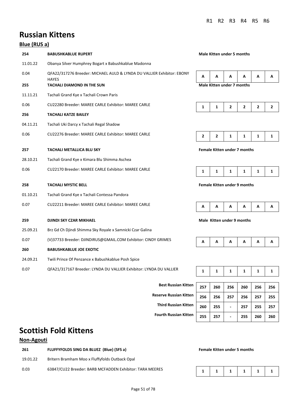# **Russian Kittens**

### **Blue (RUS a)**

| 254      | <b>BABUSHKABLUE RUPERT</b>                                                             |                                     |              | <b>Male Kitten under 5 months</b> |              |              |              |  |
|----------|----------------------------------------------------------------------------------------|-------------------------------------|--------------|-----------------------------------|--------------|--------------|--------------|--|
| 11.01.22 | Obanya Silver Humphrey Bogart x Babushkablue Madonna                                   |                                     |              |                                   |              |              |              |  |
| 0.04     | QFA22/317276 Breeder: MICHAEL AULD & LYNDA DU VALLIER Exhibitor: EBONY<br><b>HAYES</b> | Α                                   | A            | А                                 | A            | A            | Α            |  |
| 255      | <b>TACHALI DIAMOND IN THE SUN</b>                                                      |                                     |              | <b>Male Kitten under 7 months</b> |              |              |              |  |
| 11.11.21 | Tachali Grand Kye x Tachali Crown Paris                                                |                                     |              |                                   |              |              |              |  |
| 0.06     | CU22280 Breeder: MAREE CARLE Exhibitor: MAREE CARLE                                    | $\mathbf{1}$                        | 1            | $\mathbf{2}$                      | 2            | $\mathbf{2}$ | $\mathbf{2}$ |  |
| 256      | <b>TACHALI KATZE BAILEY</b>                                                            |                                     |              |                                   |              |              |              |  |
| 04.11.21 | Tachali Uki Darcy x Tachali Regal Shadow                                               |                                     |              |                                   |              |              |              |  |
| 0.06     | CU22276 Breeder: MAREE CARLE Exhibitor: MAREE CARLE                                    | $\mathbf{2}$                        | $\mathbf{2}$ | 1                                 | 1            | 1            | 1            |  |
| 257      | <b>TACHALI METALLICA BLU SKY</b>                                                       | <b>Female Kitten under 7 months</b> |              |                                   |              |              |              |  |
| 28.10.21 | Tachali Grand Kye x Kimara Blu Shimma Aschea                                           |                                     |              |                                   |              |              |              |  |
| 0.06     | CU22170 Breeder: MAREE CARLE Exhibitor: MAREE CARLE                                    | $\mathbf{1}$                        | 1            | 1                                 | 1            | 1            | 1            |  |
| 258      | <b>TACHALI MYSTIC BELL</b>                                                             | <b>Female Kitten under 9 months</b> |              |                                   |              |              |              |  |
| 01.10.21 | Tachali Grand Kye x Tachali Contessa Pandora                                           |                                     |              |                                   |              |              |              |  |
| 0.07     | CU22211 Breeder: MAREE CARLE Exhibitor: MAREE CARLE                                    | Α                                   | A            | A                                 | A            | A            | Α            |  |
| 259      | DJINDI SKY CZAR MIKHAEL                                                                |                                     |              | Male Kitten under 9 months        |              |              |              |  |
| 25.09.21 | Brz Gd Ch Djindi Shimma Sky Royale x Samnicki Czar Galina                              |                                     |              |                                   |              |              |              |  |
| 0.07     | (V)37733 Breeder: DJINDIRUS@GMAIL.COM Exhibitor: CINDY GRIMES                          | Α                                   | A            | A                                 | А            | A            | А            |  |
| 260      | <b>BABUSHKABLUE JOE EXOTIC</b>                                                         |                                     |              |                                   |              |              |              |  |
| 24.09.21 | Twili Prince Of Penzance x Babushkablue Posh Spice                                     |                                     |              |                                   |              |              |              |  |
| 0.07     | QFA21/317167 Breeder: LYNDA DU VALLIER Exhibitor: LYNDA DU VALLIER                     | $\mathbf{1}$                        | $\mathbf{1}$ | 1                                 | $\mathbf{1}$ | $\mathbf{1}$ | 1            |  |

| <b>Best Russian Kitten</b>    |  |
|-------------------------------|--|
| <b>Reserve Russian Kitten</b> |  |
| <b>Third Russian Kitten</b>   |  |
| <b>Fourth Russian Kitten</b>  |  |

| <b>Best Russian Kitten</b>    | 257 | 260 | 256 | 260 | 256 | 256 |
|-------------------------------|-----|-----|-----|-----|-----|-----|
| <b>Reserve Russian Kitten</b> | 256 | 256 | 257 | 256 | 257 | 255 |
| <b>Third Russian Kitten</b>   | 260 | 255 | -   | 257 | 255 | 257 |
| <b>Fourth Russian Kitten</b>  | 255 | 257 | -   | 255 | 260 | 260 |

# **Scottish Fold Kittens**

### **Non-Agouti**

| 261      | FLUFFYFOLDS SING DA BLUEZ (Blue) (SFS a)                 |  | <b>Female Kitten under 5 months</b> |                                        |  |
|----------|----------------------------------------------------------|--|-------------------------------------|----------------------------------------|--|
| 19.01.22 | Britern Bramham Moo x Fluffyfolds Outback Opal           |  |                                     |                                        |  |
| 0.03     | 63847/CU22 Breeder: BARB MCFADDEN Exhibitor: TARA MEERES |  |                                     | $1 \mid 1 \mid 1 \mid 1 \mid 1 \mid 1$ |  |

#### **Female Kitten under 5 months**

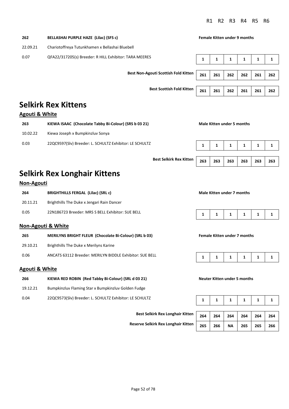| 262      | BELLASHAI PURPLE HAZE (Lilac) (SFS c)                  |     |     | <b>Female Kitten under 9 months</b> |     |     |     |
|----------|--------------------------------------------------------|-----|-----|-------------------------------------|-----|-----|-----|
| 22.09.21 | Chariotoffreya Tutunkhamen x Bellashai Bluebell        |     |     |                                     |     |     |     |
| 0.07     | QFA22/317205(s) Breeder: R HILL Exhibitor: TARA MEERES | 1   | 1   | 1                                   | 1   | 1   | 1   |
|          | <b>Best Non-Agouti Scottish Fold Kitten</b>            | 261 | 261 | 262                                 | 262 | 261 | 262 |
|          | <b>Best Scottish Fold Kitten</b>                       | 261 | 261 | 262                                 | 261 | 261 | 262 |

## **Selkirk Rex Kittens**

### **Agouti & White**

| 263      | KIEWA ISAAC (Chocolate Tabby Bi-Colour) (SRS b 03 21)   |  | Male Kitten under 5 months |  |  |
|----------|---------------------------------------------------------|--|----------------------------|--|--|
| 10.02.22 | Kiewa Joseph x Bumpkinzluv Sonya                        |  |                            |  |  |
| 0.03     | 22QC9597(Slv) Breeder: L. SCHULTZ Exhibitor: LE SCHULTZ |  |                            |  |  |

**Best Selkirk Rex Kitten 263 263 263 263 263 263** 

| 263 | 263   263   263   263 |  |
|-----|-----------------------|--|

# **Selkirk Rex Longhair Kittens**

### **Non-Agouti**

| 264      | <b>BRIGHTHILLS FERGAL (Lilac) (SRL c)</b>         |              | Male Kitten under 7 months |                         |              |                         |
|----------|---------------------------------------------------|--------------|----------------------------|-------------------------|--------------|-------------------------|
| 20.11.21 | Brighthills The Duke x Jengari Rain Dancer        |              |                            |                         |              |                         |
| 0.05     | 22N186723 Breeder: MRS S BELL Exhibitor: SUE BELL | $\mathbf{1}$ | $\mathbf{1}$               | $\overline{\mathbf{1}}$ | $\mathbf{1}$ | $\overline{\mathbf{1}}$ |

#### **Non-Agouti & White**

| 265      | MERILYNS BRIGHT FLEUR (Chocolate Bi-Colour) (SRL b 03)   |                 |  | <b>Female Kitten under 7 months</b> |  |
|----------|----------------------------------------------------------|-----------------|--|-------------------------------------|--|
| 29.10.21 | Brighthills The Duke x Merilyns Karine                   |                 |  |                                     |  |
| 0.06     | ANCATS 63112 Breeder: MERILYN BIDDLE Exhibitor: SUE BELL | 1 1 1 1 1 1 1 1 |  |                                     |  |

### **Agouti & White**

| -266 | KIEWA RED ROBIN (Red Tabby Bi-Colour) (SRL d 03 21) |  |
|------|-----------------------------------------------------|--|
|      |                                                     |  |

19.12.21 Bumpkinzluv Flaming Star x Bumpkinzluv Golden Fudge

0.04 22QC9573(Slv) Breeder: L. SCHULTZ Exhibitor: LE SCHULTZ

**Best Selkirk Rex Longhair Kitten** 

**Reserve Selkirk Rex Longhair Kitten 265 266 NA 265 265 266** 

# **Male Kitten under 7 months**

|--|

#### **266 Red Externe Table Red Transform Bi-Colours**

|  | 264 264 264 264 264 264          |  |  |
|--|----------------------------------|--|--|
|  | 265   266   NA   265   265   266 |  |  |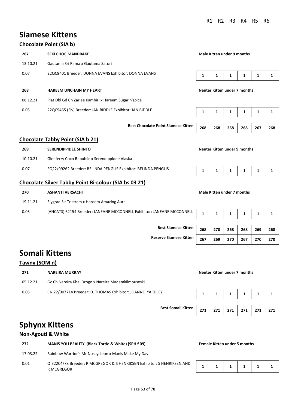# **Siamese Kittens**

### **Chocolate Point (SIA b)**

| 267      | <b>SEKI CHOC MANDRAKE</b>                                |                              | Male Kitten under 9 months |   |   |   |  |
|----------|----------------------------------------------------------|------------------------------|----------------------------|---|---|---|--|
| 13.10.21 | Gautama Sri Rama x Gautama Satori                        |                              |                            |   |   |   |  |
| 0.07     | 22QC9401 Breeder: DONNA EVANS Exhibitor: DONNA EVANS     | 1<br>1<br>1<br>1<br>1        |                            |   |   |   |  |
|          |                                                          | Neuter Kitten under 7 months |                            |   |   |   |  |
| 268      | <b>HAREEM UNCHAIN MY HEART</b>                           |                              |                            |   |   |   |  |
| 08.12.21 | Plat Dbl Gd Ch Zarlee Kambiri x Hareem Sugar'n'spice     |                              |                            |   |   |   |  |
| 0.05     | 22QC9465 (Slv) Breeder: JAN BIDDLE Exhibitor: JAN BIDDLE | 1                            | 1                          | 1 | 1 | 1 |  |

### **Best Chocolate Point Siamese Kitten 268 268 268 268 267 268**

#### **Chocolate Tabby Point (SIA b 21)**

| 269      | <b>SERENDIPPIDEE SHINTO</b>                                    |  |  | Neuter Kitten under 9 months |  |           |  |  |  |  |
|----------|----------------------------------------------------------------|--|--|------------------------------|--|-----------|--|--|--|--|
| 10.10.21 | Glenferry Coco Rebublic x Serendippidee Alaska                 |  |  |                              |  |           |  |  |  |  |
| 0.07     | FQ22/99262 Breeder: BELINDA PENGLIS Exhibitor: BELINDA PENGLIS |  |  |                              |  | 1 1 1 1 1 |  |  |  |  |

### **Chocolate Silver Tabby Point Bi-colour (SIA bs 03 21)**

| 270      | <b>ASHANTI VERSACHI</b>                                                |  |  | Male Kitten under 7 months |  |  |  |  |  |  |
|----------|------------------------------------------------------------------------|--|--|----------------------------|--|--|--|--|--|--|
| 19.11.21 | Elygrad Sir Tristram x Hareem Amazing Aura                             |  |  |                            |  |  |  |  |  |  |
| 0.05     | (ANCATS) 62154 Breeder: JANEANE MCCONNELL Exhibitor: JANEANE MCCONNELL |  |  |                            |  |  |  |  |  |  |

**Best Siamese Kitten Reserve Siamese Kitten 267 269 270 267 270 270** 

| 268 | 270 | 268 | 268 | 269 | 268 |
|-----|-----|-----|-----|-----|-----|
| 267 | 269 | 270 | 267 | 270 | 270 |

# **Somali Kittens**

### **Tawny (SOM n)**

| 271      | <b>NAREIRA MURRAY</b>                                     |  |  | Neuter Kitten under 7 months |                                        |  |  |  |  |
|----------|-----------------------------------------------------------|--|--|------------------------------|----------------------------------------|--|--|--|--|
| 05.12.21 | Gc Ch Nareira Khal Drogo x Nareira Madamkilmouseski       |  |  |                              |                                        |  |  |  |  |
| 0.05     | CN 22/007714 Breeder: D. THOMAS Exhibitor: JOANNE YARDLEY |  |  |                              | $1 \mid 1 \mid 1 \mid 1 \mid 1 \mid 1$ |  |  |  |  |

**Best Somali Kitten** 

|  | 271   271   271   271   271   271 |  |  |
|--|-----------------------------------|--|--|

## **Sphynx Kittens**

### **Non-Agouti & White**

| 272      | <b>MANIS YOU BEAUTY (Black Tortie &amp; White) (SPH f 09)</b>                         | <b>Female Kitten under 5 months</b> |  |  |              |  |  |  |
|----------|---------------------------------------------------------------------------------------|-------------------------------------|--|--|--------------|--|--|--|
| 17.03.22 | Rainbow Warrior's Mr Nosey Leon x Manis Make My Day                                   |                                     |  |  |              |  |  |  |
| 0.01     | QI32204/78 Breeder: R MCGREGOR & S HENRIKSEN Exhibitor: S HENRIKSEN AND<br>R MCGREGOR |                                     |  |  | $\mathbf{1}$ |  |  |  |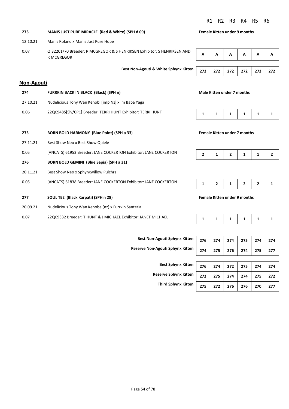**273 MANIS JUST PURE MIRACLE (Red & White) (SPH d 09) Female Kitten under 9 months** 

| A | A | A | A | <b>A</b> | A |
|---|---|---|---|----------|---|
|   |   |   |   |          |   |
|   |   |   |   |          |   |

### **Non-Agouti**

| 274                                                                 | FURRKIN BACK IN BLACK (Black) (SPH n)                            | Male Kitten under 7 months |                                     |              |   |   |  |
|---------------------------------------------------------------------|------------------------------------------------------------------|----------------------------|-------------------------------------|--------------|---|---|--|
| 27.10.21                                                            | Nudelicious Tony Wan Kenobi [imp Nz] x Im Baba Yaga              |                            |                                     |              |   |   |  |
| 22QC9485[Slv/CPC] Breeder: TERRI HUNT Exhibitor: TERRI HUNT<br>0.06 |                                                                  |                            | 1                                   | 1            | 1 | 1 |  |
|                                                                     |                                                                  |                            |                                     |              |   |   |  |
| 275                                                                 | <b>BORN BOLD HARMONY (Blue Point) (SPH a 33)</b>                 |                            | <b>Female Kitten under 7 months</b> |              |   |   |  |
| 27.11.21                                                            | Best Show Neo x Best Show Quiele                                 |                            |                                     |              |   |   |  |
| 0.05                                                                | (ANCATS) 61953 Breeder: JANE COCKERTON Exhibitor: JANE COCKERTON |                            |                                     | $\mathbf{z}$ |   |   |  |

- **276 BORN BOLD GEMINI (Blue Sepia) (SPH a 31)**
- 20.11.21 Best Show Neo x Sphynxwillow Pulchra
- 0.05 (ANCATS) 61838 Breeder: JANE COCKERTON Exhibitor: JANE COCKERTON
- **277 SOUL TEE (Black Karpati) (SPH n 28) Female Kitten under 9 months**
- 20.09.21 Nudelicious Tony Wan Kenobe (nz) x Furrkin Santeria
- 0.07 22QC9332 Breeder: T HUNT & J MICHAEL Exhibitor: JANET MICHAEL





|--|--|--|--|--|--|--|

| 276   274   274   275   274   274 |  |  |  |
|-----------------------------------|--|--|--|
| 274   275   276   274   275   277 |  |  |  |

**Best Sphynx Kitte Reserve Sphynx Kitte 7hird Sphynx Kitte** 

**Best Non-Agouti Sphynx Kitten 276 274 274 275 274 274** 

**Reserve Non-Agouti Sphynx Kitten 274 275 276 274 275 277** 

| 'n |     |  | 276 274 272 275 274               | -274 |
|----|-----|--|-----------------------------------|------|
| 'n |     |  | 272   275   274   274   275   272 |      |
| 'n | 275 |  | 272 276 276 270                   | 277  |

- 12.10.21 Manis Roland x Manis Just Pure Hope
- 0.07 QI32201/70 Breeder: R MCGREGOR & S HENRIKSEN Exhibitor: S HENRIKSEN AND R MCGREGOR

**Best Non-Agouti & White Sphynx Kitten 272 272 272 272 272 272**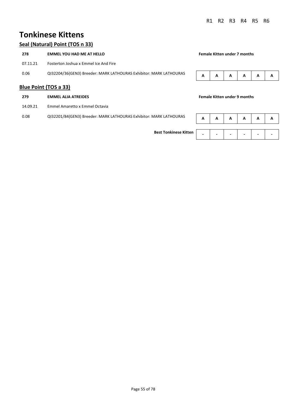## **Tonkinese Kittens**

### **Seal (Natural) Point (TOS n 33)**

| 278      | <b>EMMEL YOU HAD ME AT HELLO</b>                                   |  | <b>Female Kitten under 7 months</b> |   |   |   |   |
|----------|--------------------------------------------------------------------|--|-------------------------------------|---|---|---|---|
| 07.11.21 | Fosterton Joshua x Emmel Ice And Fire                              |  |                                     |   |   |   |   |
| 0.06     | QI32204/36(GEN3) Breeder: MARK LATHOURAS Exhibitor: MARK LATHOURAS |  | A                                   | A | A | A | A |
|          | <b>Blue Point (TOS a 33)</b>                                       |  |                                     |   |   |   |   |
| 279      | <b>EMMEL ALIA ATREIDES</b>                                         |  | <b>Female Kitten under 9 months</b> |   |   |   |   |
| 14.09.21 | Emmel Amaretto x Emmel Octavia                                     |  |                                     |   |   |   |   |

0.08 QI32201/84(GEN3) Breeder: MARK LATHOURAS Exhibitor: MARK LATHOURAS **A A A A A A A Best Tonkinese Kitten - - - - - -**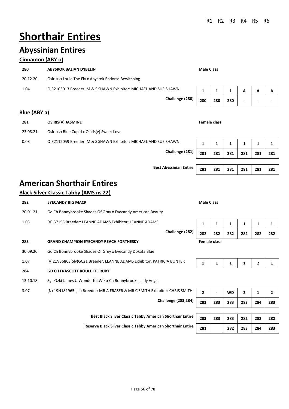# **Shorthair Entires**

# **Abyssinian Entires**

### **Cinnamon (ABY o)**

| 280      | <b>ABYSROK BALIAN D'IBELIN</b>                                   | <b>Male Class</b> |     |     |                          |   |   |
|----------|------------------------------------------------------------------|-------------------|-----|-----|--------------------------|---|---|
| 20.12.20 | Osiris(v) Louie The Fly x Abysrok Endoras Bewitching             |                   |     |     |                          |   |   |
| 1.04     | QI32103013 Breeder: M & S SHAWN Exhibitor: MICHAEL AND SUE SHAWN |                   |     |     | А                        | А | A |
|          | Challenge (280)                                                  | 280               | 280 | 280 | $\overline{\phantom{0}}$ | - |   |

### **Blue (ABY a)**

| 281      | <b>OSIRIS(V) JASMINE</b>                                         | Female class |     |     |     |     |     |
|----------|------------------------------------------------------------------|--------------|-----|-----|-----|-----|-----|
| 23.08.21 | Osiris(v) Blue Cupid x Osiris(v) Sweet Love                      |              |     |     |     |     |     |
| 0.08     | QI32112059 Breeder: M & S SHAWN Exhibitor: MICHAEL AND SUE SHAWN |              |     |     |     |     |     |
|          | Challenge (281)                                                  | 281          | 281 | 281 | 281 | 281 | 281 |

# **American Shorthair Entires**

### **Black Silver Classic Tabby (AMS ns 22)**

| 282      | <b>EYECANDY BIG MACK</b>                                                     | <b>Male Class</b> |                     |           |                |              |     |
|----------|------------------------------------------------------------------------------|-------------------|---------------------|-----------|----------------|--------------|-----|
| 20.01.21 | Gd Ch Bonnybrooke Shades Of Gray x Eyecandy American Beauty                  |                   |                     |           |                |              |     |
| 1.03     | (V) 37155 Breeder: LEANNE ADAMS Exhibitor: LEANNE ADAMS                      | 1                 | 1                   | 1         | 1              | 1            | 1   |
|          | Challenge (282)                                                              | 282               | 282                 | 282       | 282            | 282          | 282 |
| 283      | <b>GRAND CHAMPION EYECANDY REACH FORTHESKY</b>                               |                   | <b>Female class</b> |           |                |              |     |
| 30.09.20 | Gd Ch Bonnybrooke Shades Of Grey x Eyecandy Dokata Blue                      |                   |                     |           |                |              |     |
| 1.07     | (V)21V36863(Slv)GC21 Breeder: LEANNE ADAMS Exhibitor: PATRICIA BUNTER        | 1                 | 1                   | 1         | 1              | $\mathbf{z}$ | 1   |
| 284      | <b>GD CH FRASCOTT ROULETTE RUBY</b>                                          |                   |                     |           |                |              |     |
| 13.10.18 | Sgc Ozki James U Wonderful Wiz x Ch Bonnybrooke Lady Vegas                   |                   |                     |           |                |              |     |
| 3.07     | (N) 19N181965 (sil) Breeder: MR A FRASER & MR C SMITH Exhibitor: CHRIS SMITH | $\overline{2}$    |                     | <b>WD</b> | $\overline{2}$ | 1            | 2   |
|          | <b>Challenge (283,284)</b>                                                   | 283               | 283                 | 283       | 283            | 284          | 283 |
|          |                                                                              |                   |                     |           |                |              |     |
|          | <b>Best Black Silver Classic Tabby American Shorthair Entire</b>             | 283               | 283                 | 283       | 282            | 282          | 282 |

**Reserve Black Silver Classic Tabby American Shorthair Entire 281 282 283 284 283** 

**Best Abyssinian Entire 281 281 281 281 281 281** 

| Challenge (282) | 282 | 282                 | 282 | 282 | 282 | 282 |
|-----------------|-----|---------------------|-----|-----|-----|-----|
|                 |     | <b>Female class</b> |     |     |     |     |

|--|--|--|--|--|--|

| ibitor: CHRIS SMITH         | -   | WD  |     |     |     |
|-----------------------------|-----|-----|-----|-----|-----|
| Challenge (283,284)   $283$ | 283 | 283 | 283 | 284 | 283 |

|     |  | 283 283 283 282 282 282 |  |
|-----|--|-------------------------|--|
| 281 |  | 282   283   284   283   |  |

Page 56 of 78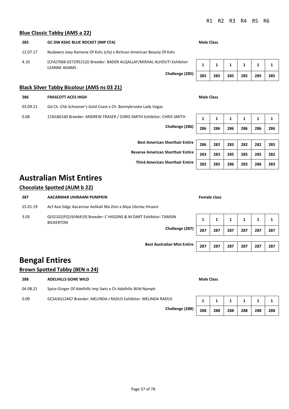#### **Blue Classic Tabby (AMS a 22)**

### **285 GC DW KSHC BLUE ROCKET (IMP CFA) Male Class** 12.07.17 Nudawnz Joey Ramone Of Kshc (cfa) x Richson American Beauty Of Kshc 4.10 (CFA)7068-02729521(S) Breeder: BADER ALQALLAF/MISHAL ALHOUTI Exhibitor: LEANNE ADAMS  $Challenge (285)$

### **Black Silver Tabby Bicolour (AMS ns 03 21)**

## **286 FRASCOTT ACES HIGH Male Class**

- 03.09.21 Gd Ch. Chb Schooner's Gold Coast x Ch. Bonnybrooke Lady Vegas
- 0.08 21N186160 Breeder: ANDREW FRASER / CHRIS SMITH Exhibitor: CHRIS SMITH **1 1 1 1 1 1**

**Challenge (286) 286 286 286 286 286 286** 

**Best American Shorthair Entire 286 282 283 282 282 285** 

**Reserve American Shorthair Entire 283 283 285 285 285 282** 

**Third American Shorthair Entire 282 285 286 283 286 283** 

# **Australian Mist Entires**

### **Chocolate Spotted (AUM b 22)**

| 287      | AACARMAR UHIRAANI PUMPKIN                                                             | Female class |     |     |     |     |     |  |
|----------|---------------------------------------------------------------------------------------|--------------|-----|-----|-----|-----|-----|--|
| 25.01.19 | Acf Aoe Gdgc Aacarmar Aelikali Ma Zion x Aliya Uterlaz Hiraani                        |              |     |     |     |     |     |  |
| 3.03     | QI32102(FQ19/46419) Breeder: C HIGGINS & M DART Exhibitor: TAMSIN<br><b>BICKERTON</b> |              |     | 1   | 1   |     | 1   |  |
|          | Challenge (287)<br>287                                                                |              | 287 | 287 | 287 | 287 | 287 |  |
|          |                                                                                       |              |     |     |     |     |     |  |
|          | <b>Best Australian Mist Entire</b>                                                    | 287          | 287 | 287 | 287 | 287 | 287 |  |

# **Bengal Entires**

### **Brown Spotted Tabby (BEN n 24)**

| 288      | <b>Male Class</b><br><b>ADELHILLS GONE WILD</b>               |     |     |     |     |     |     |
|----------|---------------------------------------------------------------|-----|-----|-----|-----|-----|-----|
| 04.08.21 | Spice Ginger Of Adelhills Imp Swtz x Ch Adelhills Wild Nymph  |     |     |     |     |     |     |
| 0.09     | GCSA3G12467 Breeder: MELINDA J RADUS Exhibitor: MELINDA RADUS |     |     |     |     |     |     |
|          | Challenge (288)                                               | 288 | 288 | 288 | 288 | 288 | 288 |

|  |  | 285   285   285   285   285   285 |  |
|--|--|-----------------------------------|--|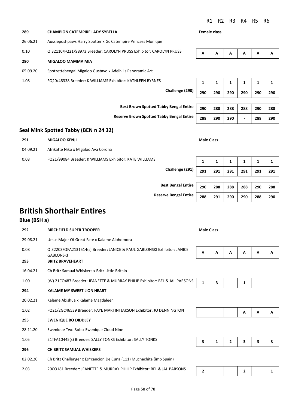| 289      | <b>CHAMPION CATEMPIRE LADY SYBELLA</b>                             |                 | Female class |     |     |     |     |     |
|----------|--------------------------------------------------------------------|-----------------|--------------|-----|-----|-----|-----|-----|
| 26.06.21 | Aussieposhpaws Harry Spotter x Gc Catempire Princess Monique       |                 |              |     |     |     |     |     |
| 0.10     | QI32110/FQ21/98973 Breeder: CAROLYN PRUSS Exhibitor: CAROLYN PRUSS |                 | A            | A   | A   | A   | A   | A   |
| 290      | <b>MIGALOO MAMMA MIA</b>                                           |                 |              |     |     |     |     |     |
| 05.09.20 | Spotzettebengal Migaloo Gustavo x Adelhills Panoramic Art          |                 |              |     |     |     |     |     |
| 1.08     | FQ20/48338 Breeder: K WILLIAMS Exhibitor: KATHLEEN BYRNES          |                 | 1            | 1   | 1   | 1   | 1   |     |
|          |                                                                    | Challenge (290) | 290          | 290 | 290 | 290 | 290 | 290 |
|          |                                                                    |                 |              |     |     |     |     |     |

**Reserve Brown Spotted Tabby Bengal Entire** 288 290 290 - 288 290

### **Seal Mink Spotted Tabby (BEN n 24 32)**

| 291      | <b>MIGALOO KENJI</b>                                    |                 |     | <b>Male Class</b> |     |     |     |     |  |  |  |
|----------|---------------------------------------------------------|-----------------|-----|-------------------|-----|-----|-----|-----|--|--|--|
| 04.09.21 | Afrikatte Niko x Migaloo Ava Corona                     |                 |     |                   |     |     |     |     |  |  |  |
| 0.08     | FQ21/99084 Breeder: K WILLIAMS Exhibitor: KATE WILLIAMS |                 |     |                   | ٠.  |     |     |     |  |  |  |
|          |                                                         | Challenge (291) | 291 | 291               | 291 | 291 | 291 | 291 |  |  |  |

**Best Brown Spotted Tabby Bengal Entire** 290 288 288 288 290 288

| <b>Best Bengal Entire</b>    | 290 | 288 | 288 | 288 | 290 | 288 |
|------------------------------|-----|-----|-----|-----|-----|-----|
| <b>Reserve Bengal Entire</b> | 288 | 291 | 290 | 290 | 288 | 290 |

# **British Shorthair Entires**

#### **Blue (BSH a)**

| 292      | <b>BIRCHFIELD SUPER TROOPER</b>                                                              | <b>Male Class</b> |   |   |                |   |   |
|----------|----------------------------------------------------------------------------------------------|-------------------|---|---|----------------|---|---|
| 29.08.21 | Ursus Major Of Great Fate x Kalame Alohomora                                                 |                   |   |   |                |   |   |
| 0.08     | QI32203/QFA2131514(s) Breeder: JANICE & PAUL GABLONSKI Exhibitor: JANICE<br><b>GABLONSKI</b> | A                 | A | A | А              | A | A |
| 293      | <b>BRITZ BRAVEHEART</b>                                                                      |                   |   |   |                |   |   |
| 16.04.21 | Ch Britz Samual Whiskers x Britz Little Britain                                              |                   |   |   |                |   |   |
| 1.00     | (W) 21CO487 Breeder: JEANETTE & MURRAY PHILIP Exhibitor: BEL & JAI PARSONS                   |                   | 3 |   | 1              |   |   |
| 294      | <b>KALAME MY SWEET LION HEART</b>                                                            |                   |   |   |                |   |   |
| 20.02.21 | Kalame Abishua x Kalame Magdaleen                                                            |                   |   |   |                |   |   |
| 1.02     | FQ21/2GC46539 Breeder: FAYE MARTINI JAKSON Exhibitor: JO DENNINGTON                          |                   |   |   | А              | A | A |
| 295      | <b>EWENIQUE BO DIDDLEY</b>                                                                   |                   |   |   |                |   |   |
| 28.11.20 | Ewenique Two Bob x Ewenique Cloud Nine                                                       |                   |   |   |                |   |   |
| 1.05     | 21TFA10445(s) Breeder: SALLY TONKS Exhibitor: SALLY TONKS                                    | 3                 | 1 | 2 | 3              | 3 | 3 |
| 296      | <b>CH BRITZ SAMUAL WHISKERS</b>                                                              |                   |   |   |                |   |   |
| 02.02.20 | Ch Britz Challenger x Es*cancion De Cuna (111) Muchachita (imp Spain)                        |                   |   |   |                |   |   |
| 2.03     | 20CO181 Breeder: JEANETTE & MURRAY PHILIP Exhibitor: BEL & JAI PARSONS                       | $\mathbf{z}$      |   |   | $\overline{2}$ |   | 1 |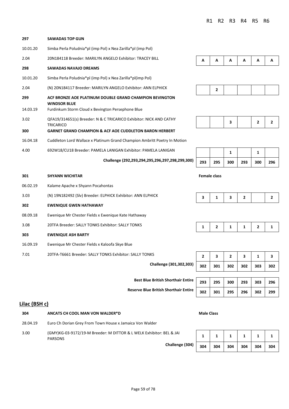| 297             | <b>SAWADAS TOP GUN</b>                                                                                                              |     |                     |     |                |              |              |
|-----------------|-------------------------------------------------------------------------------------------------------------------------------------|-----|---------------------|-----|----------------|--------------|--------------|
| 10.01.20        | Simba Perla Poludnia*pl (imp Pol) x Nea Zarilla*pl (imp Pol)                                                                        |     |                     |     |                |              |              |
| 2.04            | 20N184118 Breeder: MARILYN ANGELO Exhibitor: TRACEY BILL                                                                            | A   | A                   | A   | A              | A            | A            |
| 298             | <b>SAWADAS NAVAJO DREAMS</b>                                                                                                        |     |                     |     |                |              |              |
| 10.01.20        | Simba Perla Poludnia*pl (imp Pol) x Nea Zarilla*pl(imp Pol)                                                                         |     |                     |     |                |              |              |
| 2.04            | (N) 20N184117 Breeder: MARILYN ANGELO Exhibitor: ANN ELPHICK                                                                        |     | 2                   |     |                |              |              |
| 299<br>14.03.19 | ACF BRONZE AOE PLATINUM DOUBLE GRAND CHAMPION BEVINGTON<br><b>WINDSOR BLUE</b><br>Furdinkum Storm Cloud x Bevington Persephone Blue |     |                     |     |                |              |              |
| 3.02            | QFA19/314651(s) Breeder: N & C TRICARICO Exhibitor: NICK AND CATHY<br><b>TRICARICO</b>                                              |     |                     | 3   |                | 2            | $\mathbf{2}$ |
| 300             | <b>GARNET GRAND CHAMPION &amp; ACF AOE CUDDLETON BARON HERBERT</b>                                                                  |     |                     |     |                |              |              |
| 16.04.18        | Cuddleton Lord Wallace x Platinum Grand Champion Ambritt Poetry In Motion                                                           |     |                     |     |                |              |              |
| 4.00            | 692W18/CU18 Breeder: PAMELA LANIGAN Exhibitor: PAMELA LANIGAN                                                                       |     |                     | 1   |                | 1            |              |
|                 | Challenge (292,293,294,295,296,297,298,299,300)                                                                                     | 293 | 295                 | 300 | 293            | 300          | 296          |
| 301             | <b>SHYANN WICHITAR</b>                                                                                                              |     | <b>Female class</b> |     |                |              |              |
| 06.02.19        | Kalame Apache x Shyann Pocahontas                                                                                                   |     |                     |     |                |              |              |
| 3.03            | (N) 19N182492 (Slv) Breeder: ELPHICK Exhibitor: ANN ELPHICK                                                                         | 3   | $\mathbf{1}$        | 3   | $\overline{2}$ |              | $\mathbf{2}$ |
| 302             | <b>EWENIQUE GWEN HATHAWAY</b>                                                                                                       |     |                     |     |                |              |              |
| 08.09.18        | Ewenique Mr Chester Fields x Ewenique Kate Hathaway                                                                                 |     |                     |     |                |              |              |
| 3.08            | 20TFA Breeder: SALLY TONKS Exhibitor: SALLY TONKS                                                                                   | 1   | 2                   | 1   | 1              | $\mathbf{z}$ | 1            |
| 303             | <b>EWENIQUE ASH BARTY</b>                                                                                                           |     |                     |     |                |              |              |

- 16.09.19 Ewenique Mr Chester Fields x Kaloofa Skye Blue
- 7.01 20TFA-T6661 Breeder: SALLY TONKS Exhibitor: SALLY TONKS **2 3 2 3 1 3**

**Challenge (301,302,303) 302 301 302 302 303 302** 

**Best Blue British Shorthair Entire** 

**Reserve Blue British Shorthair Entire 302 301 295 296 302 299** 



|  | 293 295 300 293 300 296 |  |  |
|--|-------------------------|--|--|

|  | 302 301 302 302 303 302 |  |  |
|--|-------------------------|--|--|

|  |  | 293   295   300   293   303   296 |  |
|--|--|-----------------------------------|--|
|  |  | 302   301   295   296   302   299 |  |

### **Lilac (BSH c)**

| 304      | ANCATS CH COOL MAN VON WALDER*D                                                        | <b>Male Class</b> |     |     |     |     |     |  |  |
|----------|----------------------------------------------------------------------------------------|-------------------|-----|-----|-----|-----|-----|--|--|
| 28.04.19 | Euro Ch Dorian Grey From Town House x Jamaica Von Walder                               |                   |     |     |     |     |     |  |  |
| 3.00     | (GMY)KG-03-9172/19-M Breeder: M DITTOR & L WELK Exhibitor: BEL & JAI<br><b>PARSONS</b> |                   |     |     |     |     |     |  |  |
|          | Challenge (304)                                                                        | 304               | 304 | 304 | 304 | 304 | 304 |  |  |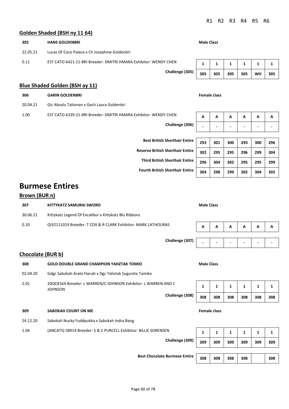#### **Golden Shaded (BSH ny 11 64)**

| 305                                   | <b>HANS GOLDENBRI</b>                                            |                 | <b>Male Class</b>   |     |     |     |           |         |  |  |
|---------------------------------------|------------------------------------------------------------------|-----------------|---------------------|-----|-----|-----|-----------|---------|--|--|
| 22.05.21                              | Lucas Of Coco Palace x Ch Josephine Goldenbri                    |                 |                     |     |     |     |           |         |  |  |
| 0.11                                  | EST CATO 6421-21-BRI Breeder: DMITRI HMARA Exhibitor: WENDY CHEN |                 |                     | 1   | 1   | 1   |           | п<br>J. |  |  |
|                                       |                                                                  | Challenge (305) | 305                 | 305 | 305 | 305 | <b>WH</b> | 305     |  |  |
| <b>Blue Shaded Golden (BSH ay 11)</b> |                                                                  |                 |                     |     |     |     |           |         |  |  |
| 306                                   | <b>GARIN GOLDENBRI</b>                                           |                 | <b>Female class</b> |     |     |     |           |         |  |  |

20.04.21 Gic Absolu Talisman x Gech Laura Goldenbri

1.00 EST CATO 6339-21-BRI Breeder: DMITRI HMARA Exhibitor: WENDY CHEN **A A A A A A A A A** 

**Challenge (306) - - - - - -** 

| A              | А                        | A                        | A                        | A                        | $\mathbf{A}$ |
|----------------|--------------------------|--------------------------|--------------------------|--------------------------|--------------|
| $\blacksquare$ | $\overline{\phantom{a}}$ | $\overline{\phantom{a}}$ | $\overline{\phantom{0}}$ | $\overline{\phantom{0}}$ |              |
|                |                          |                          |                          |                          |              |

# **Best British Shorthair Entire 293 301 300 293 300 296 Reserve British Shorthair Entire 302 295 295 296 299 304 Third British Shorthair Entire 296 304 302 295 295 299 Fourth British Shorthair Entire 304 298 299 302 304 302**

## **Burmese Entires**

#### **Brown (BUR n)**

| 307      | KITTYKATZ SAMURAI SWORD                                       | <b>Male Class</b> |   |   |   |                          |   |  |  |  |
|----------|---------------------------------------------------------------|-------------------|---|---|---|--------------------------|---|--|--|--|
| 30.06.21 | Kittykatz Legend Of Excalibur x Kittykatz Blu Ribbons         |                   |   |   |   |                          |   |  |  |  |
| 0.10     | QI32111019 Breeder: T COX & R CLARK Exhibitor: MARK LATHOURAS | A                 | A | Α | A | A                        | A |  |  |  |
|          |                                                               |                   |   |   |   |                          |   |  |  |  |
|          | Challenge (307)                                               |                   |   |   |   | $\overline{\phantom{0}}$ |   |  |  |  |
|          | <b>Chocolate (BUR b)</b>                                      |                   |   |   |   |                          |   |  |  |  |
| 308      | <b>GOLD DOUBLE GRAND CHAMPION YAHZTAK TOMIO</b>               | <b>Male Class</b> |   |   |   |                          |   |  |  |  |
| 02.04.20 | Gdgc Sabokah Arata Haruki x Dgc Yahztak Sugureta Tamiko       |                   |   |   |   |                          |   |  |  |  |

2.01 20QC8164 Breeder: L WARREN/C JOHNSON Exhibitor: L WARREN AND C **JOHNSON** 

### **309 SABOKAH COUNT ON ME Female class**

- 24.12.20 Sabokah Nucky Fuddpukka x Sabokah Indra Bang
- 1.04 (ANCATS) 58914 Breeder: S & C PURCELL Exhibitor: BILLIE SORENSEN **1** 1 1 1 1 1 1 1

**1** | **1** | **1** | **1** | **1** | **1 Challenge (308) 308 308 308 308 308 308** 

**Challenge (309) 309 309 309 309 309 309 Best Chocolate Burmese Entire 308 308 308 308 308**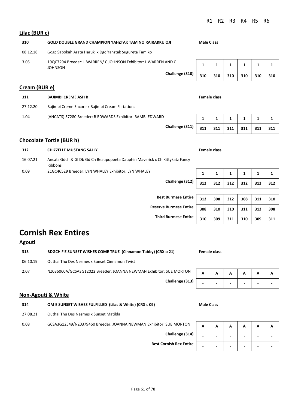08.12.18 Gdgc Sabokah Arata Haruki x Dgc Yahztak Sugureta Tamiko 3.05 19QC7294 Breeder: L WARREN/ C JOHNSON Exhibitor: L WARREN AND C JOHNSON **1** | **1** | **1** | **1** | **1** | **1 Challenge (310) 310 310 310 310 310 310 Cream (BUR e) 311 BAJIMBI CREME ASH B Female class** 27.12.20 Bajimbi Creme Encore x Bajimbi Cream Flirtations 1.04 (ANCATS) 57280 Breeder: B EDWARDS Exhibitor: BAMBI EDWARD **1** 1 1 1 1 1 1 1 **Challenge (311) 311 311 311 311 311 311** 

### **Chocolate Tortie (BUR h)**

**Lilac (BUR c)**

| 312      | <b>CHIZZELLE MUSTANG SALLY</b>                                                                |     | <b>Female class</b> |              |     |     |     |
|----------|-----------------------------------------------------------------------------------------------|-----|---------------------|--------------|-----|-----|-----|
| 16.07.21 | Ancats Gdch & Gl Db Gd Ch Beaupoppeta Dauphin Maverick x Ch Kittykatz Fancy<br><b>Ribbons</b> |     |                     |              |     |     |     |
| 0.09     | 21GC46529 Breeder: LYN WHALEY Exhibitor: LYN WHALEY                                           |     |                     | $\mathbf{1}$ |     |     |     |
|          | Challenge (312)                                                                               | 312 | 312                 | 312          | 312 | 312 | 312 |

**310 GOLD DOUBLE GRAND CHAMPION YAHZTAK TAM NO RAIRAKKU OJI Male Class**

| Best Burmese Entire   312   |     |     | 308 312 308 |                                                  | 311 | 310 |
|-----------------------------|-----|-----|-------------|--------------------------------------------------|-----|-----|
| serve Burmese Entire        | 308 | 310 | 310         | $\begin{array}{c} \end{array}$<br>$\blacksquare$ | 312 | 308 |
| <b>Third Burmese Entire</b> | 310 | 309 | 311         | 310                                              | 309 | 311 |

# **Cornish Rex Entires**

| <b>Agouti</b> |                                                                    |   |              |   |   |   |   |
|---------------|--------------------------------------------------------------------|---|--------------|---|---|---|---|
| 313           | BDGCH F E SUNSET WISHES COME TRUE (Cinnamon Tabby) (CRX o 21)      |   | Female class |   |   |   |   |
| 06.10.19      | Outhai Thu Des Nesmes x Sunset Cinnamon Twist                      |   |              |   |   |   |   |
| 2.07          | NZ036060A/GCSA3G12022 Breeder: JOANNA NEWMAN Exhibitor: SUE MORTON | A | A            | А | А | А | A |
|               | Challenge (313)                                                    |   | -            |   |   |   |   |

#### **Non-Agouti & White**

| 314 | OM E SUNSET WISHES FULFILLED (Lilac & White) (CRX c 09) | <b>Male Class</b> |
|-----|---------------------------------------------------------|-------------------|
|     |                                                         |                   |

27.08.21 Outhai Thu Des Nesmes x Sunset Matilda

0.08 GCSA3G12549/NZ0379460 Breeder: JOANNA NEWMAN Exhibitor: SUE MORTON

**Challenge (314) - - - - - -** 

**Best Cornish Rex Entire** 

**Reserve Burmese** 

|    | Α | Α | Α | Α | Α | А |
|----|---|---|---|---|---|---|
| l) |   |   |   |   |   |   |
| е  |   |   |   |   |   |   |

**Challenge (313) - - - - - -**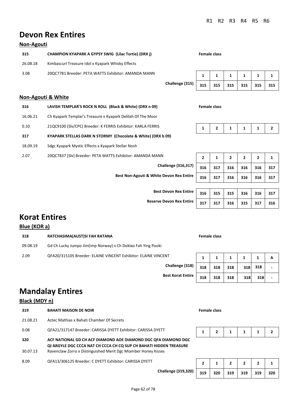# **Devon Rex Entires**

### **Non-Agouti**

| 315      | <b>CHAMPION KYAPARK A GYPSY SWIG (Lilac Tortie) (DRX j)</b> |                 |     | <b>Female class</b> |     |     |     |     |  |  |
|----------|-------------------------------------------------------------|-----------------|-----|---------------------|-----|-----|-----|-----|--|--|
| 26.08.18 | Kimbascurl Treasure Idol x Kyapark Whisky Effects           |                 |     |                     |     |     |     |     |  |  |
| 3.08     | 20QC7781 Breeder: PETA WATTS Exhibitor: AMANDA MANN         |                 |     |                     |     |     |     |     |  |  |
|          |                                                             | Challenge (315) | 315 | 315                 | 315 | 315 | 315 | 315 |  |  |

### **Non-Agouti & White**

| 316      | LAVISH TEMPLAR'S ROCK N ROLL (Black & White) (DRX n 09)      | <b>Female class</b> |     |                |                |              |    |
|----------|--------------------------------------------------------------|---------------------|-----|----------------|----------------|--------------|----|
| 16.06.21 | Ch Kyapark Templar's Treasure x Kyapark Delilah Of The Moor  |                     |     |                |                |              |    |
| 0.10     | 21QC9100 (Slv/CPC) Breeder: K FERRIS Exhibitor: KARLA FERRIS |                     | 2   |                | 1              |              |    |
| 317      | KYAPARK STELLAS DARK N STORMY (Chocolate & White) (DRX b 09) |                     |     |                |                |              |    |
| 18.09.19 | Sdgc Kyapark Mystic Effects x Kyapark Stellar Nosh           |                     |     |                |                |              |    |
| 2.07     | 20QC7837 [Slv] Breeder: PETA WATTS Exhibitor: AMANDA MANN    | $\overline{2}$      | 1   | $\overline{2}$ | $\overline{2}$ | $\mathbf{2}$ |    |
|          | <b>Challenge (316,317)</b>                                   | 316                 | 317 | 21 G           | 316            | <b>216</b>   | 31 |

**Best Non-Agouti & White Devon Rex Entire** 

|  | $1 \mid 2 \mid 1 \mid 1 \mid 1 \mid 2$ |  |  |
|--|----------------------------------------|--|--|

| $\overline{2}$ | 1   | $\overline{2}$ | 2   | 2   |     |
|----------------|-----|----------------|-----|-----|-----|
| 316            | 317 | 316            | 316 | 316 | 317 |
| 316            | 317 | 316            | 316 | 316 | 317 |
|                |     |                |     |     |     |

**Best Devon Rex Entire Reserve Devon Rex Entire** 

|     |  | 316 315 315 316 316 317 |  |
|-----|--|-------------------------|--|
| 317 |  | $317$ 316 315 317 316   |  |

# **Korat Entires**

### **Blue (KOR a)**

| 318      | RATCHASIMA(AUST)SI FAH RATANA                                  | Female class |     |     |     |     |  |
|----------|----------------------------------------------------------------|--------------|-----|-----|-----|-----|--|
| 09.08.19 | Gd Ch Lucky Jumpo Jim(imp Norway) x Ch Doklao Fah Ying Pooki   |              |     |     |     |     |  |
| 2.09     | QFA20/315105 Breeder: ELAINE VINCENT Exhibitor: ELAINE VINCENT |              |     |     |     |     |  |
|          | Challenge (318)                                                | 318          | 318 | 318 | 318 | 318 |  |

**Best Korat Entire 318 318 318 <sup>318</sup> <sup>318</sup> -** 

|   |     |     |     |     |     | А                        |
|---|-----|-----|-----|-----|-----|--------------------------|
|   | 318 | 318 | 318 | 318 | 318 | $\overline{\phantom{a}}$ |
| е | 318 | 318 | 318 | 318 | 318 |                          |

# **Mandalay Entires**

### **Black (MDY n)**

| 319             | <b>BAHATI MAISON DE NOIR</b>                                                                                                                                                                           | Female class |   |              |  |  |
|-----------------|--------------------------------------------------------------------------------------------------------------------------------------------------------------------------------------------------------|--------------|---|--------------|--|--|
| 21.08.21        | Aztec Mathias x Bahati Chamber Of Secrets                                                                                                                                                              |              |   |              |  |  |
| 0.08            | QFA21/317147 Breeder: CARISSA DYETT Exhibitor: CARISSA DYETT                                                                                                                                           |              | 2 |              |  |  |
| 320<br>30.07.13 | ACF NATIONAL GD CH ACF DIAMOND AOE DIAMOND DGC QFA DIAMOND DGC<br>QI ARGYLE DGC CCCA NAT CH CCCA CH CQ SUP CH BAHATI HIDDEN TREASURE<br>Ravenclaw Zorro x Distinguished Merit Dgc Miamber Honey Kisses |              |   |              |  |  |
| 8.09            | QFA13/306125 Breeder: C DYETT Exhibitor: CARISSA DYETT                                                                                                                                                 | -            |   | $\mathbf{2}$ |  |  |

**Challenge (319,320) 319 320 319 319 319 320** 

| 319 | $320$ | 319 319 | $\begin{array}{c} \end{array}$ | $\vert$ 320 |
|-----|-------|---------|--------------------------------|-------------|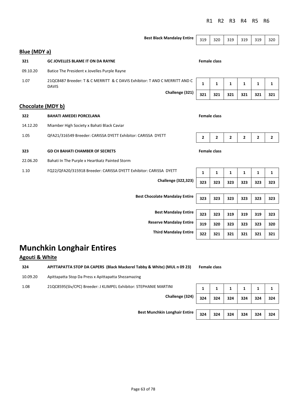|                          | <b>Best Black Mandalay Entire</b>                                                          | 319          | 320                 | 319          | 319          | 319          | 320          |  |  |
|--------------------------|--------------------------------------------------------------------------------------------|--------------|---------------------|--------------|--------------|--------------|--------------|--|--|
| Blue (MDY a)             |                                                                                            |              |                     |              |              |              |              |  |  |
| 321                      | <b>GC JOVELLES BLAME IT ON DA RAYNE</b>                                                    |              | <b>Female class</b> |              |              |              |              |  |  |
| 09.10.20                 | Batice The President x Jovelles Purple Rayne                                               |              |                     |              |              |              |              |  |  |
| 1.07                     | 21QC8487 Breeder: T & C MERRITT & C DAVIS Exhibitor: T AND C MERRITT AND C<br><b>DAVIS</b> | $\mathbf{1}$ | $\mathbf{1}$        | $\mathbf{1}$ | $\mathbf{1}$ | $\mathbf{1}$ | $\mathbf{1}$ |  |  |
|                          | Challenge (321)                                                                            | 321          | 321                 | 321          | 321          | 321          | 321          |  |  |
| <b>Chocolate (MDY b)</b> |                                                                                            |              |                     |              |              |              |              |  |  |
| 322                      | <b>BAHATI AMEDEI PORCELANA</b>                                                             |              | <b>Female class</b> |              |              |              |              |  |  |
| 14.12.20                 | Miamber High Society x Bahati Black Caviar                                                 |              |                     |              |              |              |              |  |  |
| 1.05                     | QFA21/316549 Breeder: CARISSA DYETT Exhibitor: CARISSA DYETT                               | $\mathbf{2}$ | 2                   | 2            | $\mathbf{2}$ | 2            | 2            |  |  |
| 323                      | <b>GD CH BAHATI CHAMBER OF SECRETS</b>                                                     |              | <b>Female class</b> |              |              |              |              |  |  |
| 22.06.20                 | Bahati In The Purple x Heartkatz Painted Storm                                             |              |                     |              |              |              |              |  |  |
| 1.10                     | FQ22/QFA20/315918 Breeder: CARISSA DYETT Exhibitor: CARISSA DYETT                          | $\mathbf{1}$ | $\mathbf{1}$        | $\mathbf{1}$ | $\mathbf{1}$ | $\mathbf{1}$ | $\mathbf{1}$ |  |  |
|                          | <b>Challenge (322,323)</b>                                                                 | 323          | 323                 | 323          | 323          | 323          | 323          |  |  |
|                          | <b>Best Chocolate Mandalay Entire</b>                                                      |              |                     |              |              |              |              |  |  |
|                          |                                                                                            | 323          | 323                 | 323          | 323          | 323          | 323          |  |  |
|                          | <b>Best Mandalay Entire</b>                                                                | 323          | 323                 | 319          | 319          | 319          | 323          |  |  |
|                          | <b>Reserve Mandalay Entire</b>                                                             | 319          | 320                 | 323          | 323          | 323          | 320          |  |  |
|                          | <b>Third Mandalay Entire</b>                                                               | 322          | 321                 | 321          | 321          | 321          | 321          |  |  |

# **Munchkin Longhair Entires**

### **Agouti & White**

**324 APITTAPATTA STOP DA CAPERS (Black Mackerel Tabby & White) (MUL n 09 23) Female class** 10.09.20 Apittapatta Stop Da Press x Apittapatta Shezamazing 1.08 21QC8595(Slv/CPC) Breeder: J KLIMPEL Exhibitor: STEPHANIE MARTINI **Challenge (324) 324 324 324 324 324 324** 

**Best Munchkin Longhair Entire 324 324 324 324 324 324** 

|     | 1   |     |     |     |     |
|-----|-----|-----|-----|-----|-----|
| 324 | 324 | 324 | 324 | 324 | 324 |
|     |     |     |     |     |     |
| 324 | 324 | 324 | 324 | 324 | 324 |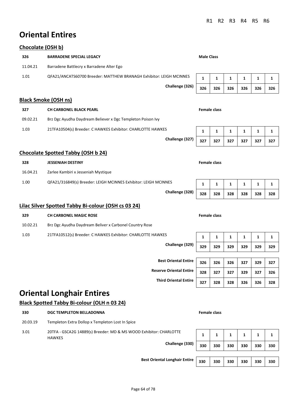# **Oriental Entires**

### **Chocolate (OSH b)**

| 326<br><b>BARRADENE SPECIAL LEGACY</b>                                      |                                |              |                     |              |     |              |     |
|-----------------------------------------------------------------------------|--------------------------------|--------------|---------------------|--------------|-----|--------------|-----|
|                                                                             |                                |              | <b>Male Class</b>   |              |     |              |     |
| 11.04.21<br>Barradene Battlecry x Barradene Alter Ego                       |                                |              |                     |              |     |              |     |
| 1.01<br>QFA21/ANCATS60700 Breeder: MATTHEW BRANAGH Exhibitor: LEIGH MCINNES |                                | 1            | 1                   | 1            | 1   | $\mathbf 1$  | 1   |
|                                                                             | Challenge (326)                | 326          | 326                 | 326          | 326 | 326          | 326 |
| <b>Black Smoke (OSH ns)</b>                                                 |                                |              |                     |              |     |              |     |
| 327<br><b>CH CARBONEL BLACK PEARL</b>                                       |                                |              | <b>Female class</b> |              |     |              |     |
| 09.02.21<br>Brz Dgc Ayudha Daydream Believer x Dgc Templeton Poison Ivy     |                                |              |                     |              |     |              |     |
| 21TFA10504(s) Breeder: C HAWKES Exhibitor: CHARLOTTE HAWKES<br>1.03         |                                | 1            | 1                   | 1            | 1   | 1            | 1   |
|                                                                             | Challenge (327)                | 327          | 327                 | 327          | 327 | 327          | 327 |
| <b>Chocolate Spotted Tabby (OSH b 24)</b>                                   |                                |              |                     |              |     |              |     |
| 328<br><b>JESSENIAH DESTINY</b>                                             |                                |              | <b>Female class</b> |              |     |              |     |
| 16.04.21<br>Zarlee Kambiri x Jesseniah Mystique                             |                                |              |                     |              |     |              |     |
| 1.00<br>QFA21/316849(s) Breeder: LEIGH MCINNES Exhibitor: LEIGH MCINNES     |                                | $\mathbf{1}$ | 1                   | 1            | 1   | $\mathbf{1}$ | 1   |
|                                                                             | Challenge (328)                | 328          | 328                 | 328          | 328 | 328          | 328 |
| Lilac Silver Spotted Tabby Bi-colour (OSH cs 03 24)                         |                                |              |                     |              |     |              |     |
| 329<br><b>CH CARBONEL MAGIC ROSE</b>                                        |                                |              | <b>Female class</b> |              |     |              |     |
| Brz Dgc Ayudha Daydream Beliver x Carbonel Country Rose<br>10.02.21         |                                |              |                     |              |     |              |     |
| 1.03<br>21TFA10512(s) Breeder: C HAWKES Exhibitor: CHARLOTTE HAWKES         |                                | $\mathbf{1}$ | 1                   | $\mathbf{1}$ | 1   | $\mathbf{1}$ | 1   |
|                                                                             | Challenge (329)                | 329          | 329                 | 329          | 329 | 329          | 329 |
|                                                                             |                                |              |                     |              |     |              |     |
|                                                                             | <b>Best Oriental Entire</b>    | 326          | 326                 | 326          | 327 | 329          | 327 |
|                                                                             | <b>Reserve Oriental Entire</b> | 328          | 327                 | 327          | 329 | 327          | 326 |
|                                                                             | <b>Third Oriental Entire</b>   | 327          | 328                 | 328          | 326 | 326          | 328 |

# **Oriental Longhair Entires**

### **Black Spotted Tabby Bi-colour (OLH n 03 24)**

| 330      | <b>DGC TEMPLETON BELLADONNA</b>                                                                        |     | <b>Female class</b> |     |     |     |     |  |
|----------|--------------------------------------------------------------------------------------------------------|-----|---------------------|-----|-----|-----|-----|--|
| 20.03.19 | Templeton Extra Dollop x Templeton Lost In Spice                                                       |     |                     |     |     |     |     |  |
| 3.01     | 20TFA - GSCA2G 14889(s) Breeder: MD & MS WOOD Exhibitor: CHARLOTTE<br><b>HAWKES</b><br>Challenge (330) |     |                     |     | 1   | 1   |     |  |
|          |                                                                                                        | 330 | 330                 | 330 | 330 | 330 | 330 |  |
|          | <b>Best Oriental Longhair Entire</b>                                                                   | 330 | 330                 | 330 | 330 | 330 | 330 |  |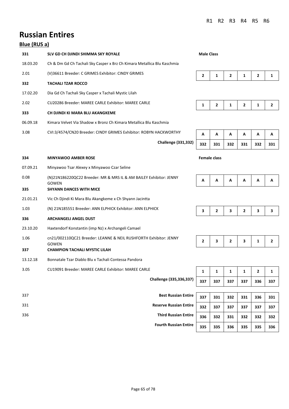**Fourth Russian Entire 335 335 336 335 335 336** 

# **Russian Entires**

### **Blue (RUS a)**

| 331      | SLV GD CH DJINDI SHIMMA SKY ROYALE                                      | <b>Male Class</b> |                     |                |                |                |                |
|----------|-------------------------------------------------------------------------|-------------------|---------------------|----------------|----------------|----------------|----------------|
| 18.03.20 | Ch & Dm Gd Ch Tachali Sky Casper x Brz Ch Kimara Metallica Blu Kaschmia |                   |                     |                |                |                |                |
| 2.01     | (V)36611 Breeder: C GRIMES Exhibitor: CINDY GRIMES                      | $\mathbf{2}$      | $\mathbf{1}$        | $\overline{2}$ | $\mathbf{1}$   | $\overline{2}$ | 1              |
| 332      | <b>TACHALI TZAR ROCCO</b>                                               |                   |                     |                |                |                |                |
| 17.02.20 | Dia Gd Ch Tachali Sky Casper x Tachali Mystic Lilah                     |                   |                     |                |                |                |                |
| 2.02     | CU20286 Breeder: MAREE CARLE Exhibitor: MAREE CARLE                     | 1                 | $\overline{2}$      | $\mathbf{1}$   | $\overline{2}$ | $\mathbf{1}$   | $\overline{2}$ |
| 333      | CH DJINDI KI MARA BLU AKANGKEME                                         |                   |                     |                |                |                |                |
| 06.09.18 | Kimara Velvet Via Shadow x Bronz Ch Kimara Metallica Blu Kaschmia       |                   |                     |                |                |                |                |
| 3.08     | CVI:3/4574/CN20 Breeder: CINDY GRIMES Exhibitor: ROBYN HACKWORTHY       | А                 | A                   | A              | A              | A              | Α              |
|          | <b>Challenge (331,332)</b>                                              | 332               | 331                 | 332            | 331            | 332            | 331            |
| 334      | <b>MINYAWOO AMBER ROSE</b>                                              |                   | <b>Female class</b> |                |                |                |                |
| 07.09.21 | Minyawoo Tsar Alexey x Minyawoo Czar Seline                             |                   |                     |                |                |                |                |
| 0.08     | (N)21N186220QC22 Breeder: MR & MRS IL & AM BAILEY Exhibitor: JENNY      |                   |                     |                |                |                |                |
|          | <b>GOWEN</b>                                                            | Α                 | А                   | А              | А              | А              | Α              |
| 335      | <b>SHYANN DANCES WITH MICE</b>                                          |                   |                     |                |                |                |                |
| 21.01.21 | Vic Ch Djindi Ki Mara Blu Akangkeme x Ch Shyann Jacintta                |                   |                     |                |                |                |                |
| 1.03     | (N) 21N185551 Breeder: ANN ELPHICK Exhibitor: ANN ELPHICK               | 3                 | $\mathbf{2}$        | 3              | $\overline{2}$ | 3              | 3              |
| 336      | <b>ARCHANGELI ANGEL DUST</b>                                            |                   |                     |                |                |                |                |
| 23.10.20 | Haxtendorf Konstantin (imp Nz) x Archangeli Camael                      |                   |                     |                |                |                |                |
| 1.06     | cn21/002110QC21 Breeder: LEANNE & NEIL RUSHFORTH Exhibitor: JENNY       | $\mathbf{2}$      | 3                   | $\overline{2}$ | 3              | 1              | 2              |
| 337      | <b>GOWEN</b><br><b>CHAMPION TACHALI MYSTIC LILAH</b>                    |                   |                     |                |                |                |                |
| 13.12.18 | Bonnatale Tzar Diablo Blu x Tachali Contessa Pandora                    |                   |                     |                |                |                |                |
| 3.05     | CU19091 Breeder: MAREE CARLE Exhibitor: MAREE CARLE                     | 1                 | 1                   | 1              | 1              | 2              | 1              |
|          | Challenge (335,336,337)                                                 | 337               | 337                 | 337            | 337            | 336            | 337            |
|          |                                                                         |                   |                     |                |                |                |                |
| 337      | <b>Best Russian Entire</b>                                              | 337               | 331                 | 332            | 331            | 336            | 331            |
| 331      | <b>Reserve Russian Entire</b>                                           | 332               | 337                 | 337            | 337            | 337            | 337            |
| 336      | <b>Third Russian Entire</b>                                             | 336               | 332                 | 331            | 332            | 332            | 332            |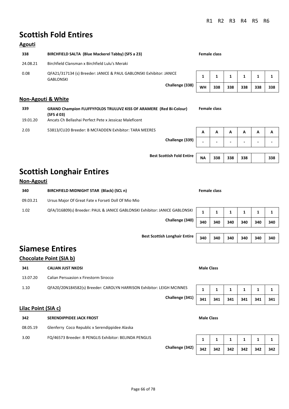# **Scottish Fold Entires**

### **Agouti**

| 338      | BIRCHFIELD SALTA (Blue Mackerel Tabby) (SFS a 23)                                       | Female class |     |              |              |     |     |
|----------|-----------------------------------------------------------------------------------------|--------------|-----|--------------|--------------|-----|-----|
| 24.08.21 | Birchfield Clansman x Birchfield Lulu's Meraki                                          |              |     |              |              |     |     |
| 0.08     | QFA21/317134 (s) Breeder: JANICE & PAUL GABLONSKI Exhibitor: JANICE<br><b>GABLONSKI</b> |              |     | $\mathbf{1}$ | $\mathbf{1}$ |     |     |
|          | Challenge (338)                                                                         | WН           | 338 | 338          | 338          | 338 | 338 |

### **Non-Agouti & White**

| 339      | <b>GRAND Champion FLUFFYFOLDS TRULUVZ KISS OF ARAMERE (Red Bi-Colour)</b><br>(SFS d 03) |   | Female class |                          |   |   |   |
|----------|-----------------------------------------------------------------------------------------|---|--------------|--------------------------|---|---|---|
| 19.01.20 | Ancats Ch Bellashai Perfect Pete x Jessicaz Maleficent                                  |   |              |                          |   |   |   |
| 2.03     | 53813/CU20 Breeder: B MCFADDEN Exhibitor: TARA MEERES                                   | A |              | А                        | А | А | A |
|          | Challenge (339)                                                                         |   |              | $\overline{\phantom{0}}$ | - |   |   |

**Best Scottish Fold Entire NA** 

| ۹ | 338 338 338 |  | 338 |
|---|-------------|--|-----|
|   |             |  |     |

# **Scottish Longhair Entires**

### **Non-Agouti**

| 340      | BIRCHFIELD MIDNIGHT STAR (Black) (SCL n)                                   |     | Female class |     |     |     |     |
|----------|----------------------------------------------------------------------------|-----|--------------|-----|-----|-----|-----|
| 09.03.21 | Ursus Major Of Great Fate x Forseti Doll Of Mio Mio                        |     |              |     |     |     |     |
| 1.02     | QFA/316809(s) Breeder: PAUL & JANICE GABLONSKI Exhibitor: JANICE GABLONSKI |     |              |     |     |     |     |
|          | Challenge (340)                                                            | 340 | 340          | 340 | 340 | 340 | 340 |

## **Siamese Entires**

### **Chocolate Point (SIA b)**

| 341      | <b>CALIAN JUST NKOSI</b>                                              | <b>Male Class</b> |     |     |     |     |     |
|----------|-----------------------------------------------------------------------|-------------------|-----|-----|-----|-----|-----|
| 13.07.20 | <b>Calian Persuasion x Firestorm Sirocco</b>                          |                   |     |     |     |     |     |
| 1.10     | QFA20/20N184582(s) Breeder: CAROLYN HARRISON Exhibitor: LEIGH MCINNES |                   |     |     |     |     |     |
|          | Challenge (341)                                                       | 341               | 341 | 341 | 341 | 341 | 341 |

### **Lilac Point (SIA c)**

| 342<br><b>SERENDIPPIDEE JACK FROST</b>                         | <b>Male Class</b> |                 |                         |                |                         |
|----------------------------------------------------------------|-------------------|-----------------|-------------------------|----------------|-------------------------|
| Glenferry Coco Republic x Serendippidee Alaska<br>08.05.19     |                   |                 |                         |                |                         |
| FQ/46573 Breeder: B PENGLIS Exhibitor: BELINDA PENGLIS<br>3.00 |                   | $1 \mid 1 \mid$ | $\overline{\mathbf{1}}$ | $\blacksquare$ | $\overline{\mathbf{1}}$ |

**Challenge (342) 342 342 342 342 342 342** 

|  | $\overline{1}$ | $\overline{1}$ | 1. |
|--|----------------|----------------|----|

**Best Scottish Longhair Entire 340 340 340 340 340 340**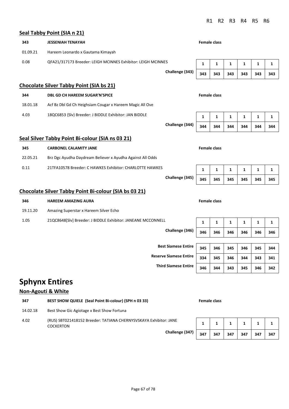### **Seal Tabby Point (SIA n 21)**

|          | Sear Tabby Politt (SIA II Z1)                                |                               |              |                     |              |              |              |              |
|----------|--------------------------------------------------------------|-------------------------------|--------------|---------------------|--------------|--------------|--------------|--------------|
| 343      | <b>JESSENIAH TENAYAH</b>                                     |                               |              | <b>Female class</b> |              |              |              |              |
| 01.09.21 | Hareem Leonardo x Gautama Kimayah                            |                               |              |                     |              |              |              |              |
| 0.08     | QFA21/317173 Breeder: LEIGH MCINNES Exhibitor: LEIGH MCINNES |                               | $\mathbf{1}$ | $\mathbf{1}$        | $\mathbf{1}$ | $\mathbf 1$  | $\mathbf{1}$ | 1            |
|          |                                                              | Challenge (343)               | 343          | 343                 | 343          | 343          | 343          | 343          |
|          | <b>Chocolate Silver Tabby Point (SIA bs 21)</b>              |                               |              |                     |              |              |              |              |
| 344      | <b>DBL GD CH HAREEM SUGAR'N'SPICE</b>                        |                               |              | <b>Female class</b> |              |              |              |              |
| 18.01.18 | Acf Bz Dbl Gd Ch Heighsiam Cougar x Hareem Magic All Ove     |                               |              |                     |              |              |              |              |
| 4.03     | 18QC6853 {Slv} Breeder: J BIDDLE Exhibitor: JAN BIDDLE       |                               | 1            | 1                   | 1            | 1            | 1            | 1            |
|          |                                                              | Challenge (344)               | 344          | 344                 | 344          | 344          | 344          | 344          |
|          | Seal Silver Tabby Point Bi-colour (SIA ns 03 21)             |                               |              |                     |              |              |              |              |
| 345      | <b>CARBONEL CALAMITY JANE</b>                                |                               |              | <b>Female class</b> |              |              |              |              |
| 22.05.21 | Brz Dgc Ayudha Daydream Believer x Ayudha Against All Odds   |                               |              |                     |              |              |              |              |
| 0.11     | 21TFA10578 Breeder: C HAWKES Exhibitor: CHARLOTTE HAWKES     |                               | $\mathbf{1}$ | $\mathbf{1}$        | $\mathbf{1}$ | $\mathbf{1}$ | $\mathbf{1}$ | $\mathbf{1}$ |
|          |                                                              | Challenge (345)               | 345          | 345                 | 345          | 345          | 345          | 345          |
|          | <b>Chocolate Silver Tabby Point Bi-colour (SIA bs 03 21)</b> |                               |              |                     |              |              |              |              |
| 346      | <b>HAREEM AMAZING AURA</b>                                   |                               |              | <b>Female class</b> |              |              |              |              |
| 19.11.20 | Amazing Superstar x Hareem Silver Echo                       |                               |              |                     |              |              |              |              |
| 1.05     | 21QC8648[Slv] Breeder: J BIDDLE Exhibitor: JANEANE MCCONNELL |                               | $\mathbf{1}$ | $\mathbf{1}$        | $\mathbf{1}$ | 1            | $\mathbf{1}$ | 1            |
|          |                                                              | Challenge (346)               | 346          | 346                 | 346          | 346          | 346          | 346          |
|          |                                                              |                               |              |                     |              |              |              |              |
|          |                                                              | <b>Best Siamese Entire</b>    | 345          | 346                 | 345          | 346          | 345          | 344          |
|          |                                                              | <b>Reserve Siamese Entire</b> | 334          | 345                 | 346          | 344          | 343          | 341          |
|          |                                                              | <b>Third Siamese Entire</b>   | 346          | 344                 | 343          | 345          | 346          | 342          |

# **Sphynx Entires**

### **Non-Agouti & White**

| 347      | BEST SHOW QUIELE (Seal Point Bi-colour) (SPH n 03 33)                                 |     | <b>Female class</b> |     |     |     |     |
|----------|---------------------------------------------------------------------------------------|-----|---------------------|-----|-----|-----|-----|
| 14.02.18 | Best Show Gic Agiotage x Best Show Fortuna                                            |     |                     |     |     |     |     |
| 4.02     | (RUS) SBT021418152 Breeder: TATIANA CHERNYSVSKAYA Exhibitor: JANE<br><b>COCKERTON</b> |     |                     |     |     |     |     |
|          | Challenge (347)                                                                       | 347 | 347                 | 347 | 347 | 347 | 347 |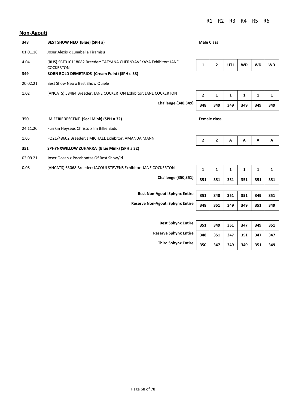#### **Non-Agouti**

| 348      | <b>BEST SHOW NEO (Blue) (SPH a)</b>                                                   | <b>Male Class</b>   |                |            |           |           |           |
|----------|---------------------------------------------------------------------------------------|---------------------|----------------|------------|-----------|-----------|-----------|
| 01.01.18 | Joser Alexis x Lunabella Tiramisu                                                     |                     |                |            |           |           |           |
| 4.04     | (RUS) SBT010118082 Breeder: TATYANA CHERNYAVSKAYA Exhibitor: JANE<br><b>COCKERTON</b> | 1                   | $\overline{2}$ | <b>UTJ</b> | <b>WD</b> | <b>WD</b> | <b>WD</b> |
| 349      | <b>BORN BOLD DEMETRIOS (Cream Point) (SPH e 33)</b>                                   |                     |                |            |           |           |           |
| 20.02.21 | Best Show Neo x Best Show Quiele                                                      |                     |                |            |           |           |           |
| 1.02     | (ANCATS) 58484 Breeder: JANE COCKERTON Exhibitor: JANE COCKERTON                      | 2                   | 1              | 1          | 1         | 1         | 1         |
|          | <b>Challenge (348,349)</b>                                                            | 348                 | 349            | 349        | 349       | 349       | 349       |
| 350      | IM EERIEDESCENT (Seal Mink) (SPH n 32)                                                | <b>Female class</b> |                |            |           |           |           |
| 24.11.20 | Furrkin Heyseus Christo x Im Billie Bads                                              |                     |                |            |           |           |           |
| 1.05     | FQ21/48602 Breeder: J MICHAEL Exhibitor: AMANDA MANN                                  | $\overline{2}$      | $\mathbf{2}$   | Α          | А         | Α         | Α         |
| 351      | SPHYNXWILLOW ZUHARRA (Blue Mink) (SPH a 32)                                           |                     |                |            |           |           |           |
| 02.09.21 | Joser Ocean x Pocahontas Of Best Show/id                                              |                     |                |            |           |           |           |
| 0.08     | (ANCATS) 63068 Breeder: JACQUI STEVENS Exhibitor: JANE COCKERTON                      | 1                   | 1              | 1          | 1         | 1         | 1         |
|          | <b>Challenge (350,351)</b>                                                            | 351                 | 351            | 351        | 351       | 351       | 351       |
|          |                                                                                       |                     |                |            |           |           |           |
|          | <b>Best Non-Agouti Sphynx Entire</b>                                                  | 351                 | 348            | 351        | 351       | 349       | 351       |

**Reserve Non-Agouti Sphynx Entire 348 351 349 349 351 349** 

**Best Sphynx Enti Reserve Sphynx Ent Third Sphynx Enti** 

| ire  | 351 | 349 | 351 | 347 | 349 | 351 |
|------|-----|-----|-----|-----|-----|-----|
| ire: | 348 | 351 | 347 | 351 | 347 | 347 |
| ire  | 350 | 347 | 349 | 349 | 351 | 349 |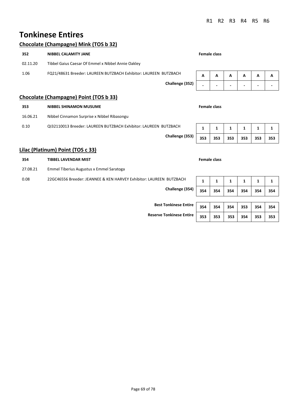# **Tonkinese Entires**

### **Chocolate (Champagne) Mink (TOS b 32)**

| 352      | <b>NIBBEL CALAMITY JANE</b>                                      |   | Female class |   |   |   |   |
|----------|------------------------------------------------------------------|---|--------------|---|---|---|---|
| 02.11.20 | Tibbel Gaius Caesar Of Emmel x Nibbel Annie Oakley               |   |              |   |   |   |   |
| 1.06     | FQ21/48631 Breeder: LAUREEN BUTZBACH Exhibitor: LAUREEN BUTZBACH | A | A            | A | A | А | A |
|          | Challenge (352)                                                  |   |              |   | - |   |   |
|          | Chocolate (Champagne) Point (TOS b 33)                           |   |              |   |   |   |   |

| 353      | <b>NIBBEL SHINAMON MUSUME</b>                                    | <b>Female class</b> |     |     |     |     |     |
|----------|------------------------------------------------------------------|---------------------|-----|-----|-----|-----|-----|
| 16.06.21 | Nibbel Cinnamon Surprise x Nibbel Ribasongu                      |                     |     |     |     |     |     |
| 0.10     | QI32110013 Breeder: LAUREEN BUTZBACH Exhibitor: LAUREEN BUTZBACH |                     |     |     |     |     |     |
|          | Challenge (353)                                                  | 353                 | 353 | 353 | 353 | 353 | 353 |

### **Lilac (Platinum) Point (TOS c 33)**

| 354      | <b>TIBBEL LAVENDAR MIST</b>                                         |     | <b>Female class</b> |     |     |     |     |
|----------|---------------------------------------------------------------------|-----|---------------------|-----|-----|-----|-----|
| 27.08.21 | Emmel Tiberius Augustus x Emmel Saratoga                            |     |                     |     |     |     |     |
| 0.08     | 22GC46556 Breeder: JEANNEE & KEN HARVEY Exhibitor: LAUREEN BUTZBACH | 1   | 1                   | 1   | 1   |     | 1   |
|          | Challenge (354)                                                     | 354 | 354                 | 354 | 354 | 354 | 354 |
|          |                                                                     |     |                     |     |     |     |     |
|          | <b>Best Tonkinese Entire</b>                                        | 354 | 354                 | 354 | 353 | 354 | 354 |
|          | <b>Reserve Tonkinese Entire</b>                                     | 353 | 353                 | 353 | 354 | 353 | 353 |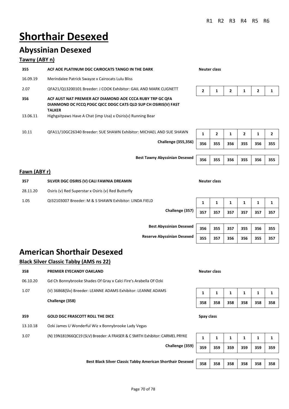# **Shorthair Desexed**

# **Abyssinian Desexed**

### **Tawny (ABY n)**

| 355             | ACF AOE PLATINUM DGC CAIROCATS TANGO IN THE DARK                                                                                                                                                            |     | Neuter class   |     |                |     |                |
|-----------------|-------------------------------------------------------------------------------------------------------------------------------------------------------------------------------------------------------------|-----|----------------|-----|----------------|-----|----------------|
| 16.09.19        | Merindalee Patrick Swayze x Cairocats Lulu Bliss                                                                                                                                                            |     |                |     |                |     |                |
| 2.07            | QFA21/Q13200101 Breeder: J COOK Exhibitor: GAIL AND MARK CLIGNETT                                                                                                                                           | 2   | 1              | 2   |                | 2   |                |
| 356<br>13.06.11 | ACF AUST NAT PREMIER ACF DIAMOND AOE CCCA RUBY TRP GC QFA<br>DIANMOND DC FCCQ PDGC QICC DDGC CATS QLD SUP CH OSIRIS(V) FAST<br><b>TALKER</b><br>Highgaitpaws Have A Chat (imp Usa) x Osiris(v) Running Bear |     |                |     |                |     |                |
| 10.11           | QFA11/10GC26340 Breeder: SUE SHAWN Exhibitor: MICHAEL AND SUE SHAWN                                                                                                                                         | 1   | $\overline{2}$ | 1   | $\overline{2}$ | 1   | $\overline{2}$ |
|                 | <b>Challenge (355,356)</b>                                                                                                                                                                                  | 356 | 355            | 356 | 355            | 356 | 355            |
|                 |                                                                                                                                                                                                             |     |                |     |                |     |                |

**Best Tawny Abyssinian Desexed 356 355 356 355 356 355** 

| 356 | 355 | 356 | 355 | 356 | 355 |
|-----|-----|-----|-----|-----|-----|
|     |     |     |     |     |     |
| 356 | 355 | 356 | 355 | 356 | 355 |

### **Fawn (ABY r)**

| 357      | SILVER DGC OSIRIS (V) CALI FAWNIA DREAMIN              |                 | Neuter class |     |     |     |     |     |
|----------|--------------------------------------------------------|-----------------|--------------|-----|-----|-----|-----|-----|
| 28.11.20 | Osiris (v) Red Superstar x Osiris (v) Red Butterfly    |                 |              |     |     |     |     |     |
| 1.05     | QI32103007 Breeder: M & S SHAWN Exhibitor: LINDA FIELD |                 |              |     |     |     |     |     |
|          |                                                        | Challenge (357) | 357          | 357 | 357 | 357 | 357 | 357 |

**Best Abyssinian Desexed 356 355 357 355 356 355** 

**Reserve Abyssinian Desexed 355 357 356 356 355 357** 

| 356 | 355 | 357 | 355 356 1 | 355 |
|-----|-----|-----|-----------|-----|
| 355 | 357 | 356 | 356 355   | 357 |

# **American Shorthair Desexed**

### **Black Silver Classic Tabby (AMS ns 22)**

| 358<br><b>PREMIER EYECANDY OAKLAND</b>                                              |            | <b>Neuter class</b> |     |     |     |     |
|-------------------------------------------------------------------------------------|------------|---------------------|-----|-----|-----|-----|
| 06.10.20<br>Gd Ch Bonnybrooke Shades Of Gray x Calci Fire's Arabella Of Ozki        |            |                     |     |     |     |     |
| 1.07<br>(V) 36868(Slv) Breeder: LEANNE ADAMS Exhibitor: LEANNE ADAMS                | 1          | 1                   | 1   | 1   | 1   | 1   |
| Challenge (358)                                                                     | 358        | 358                 | 358 | 358 | 358 | 358 |
| 359<br><b>GOLD DGC FRASCOTT ROLL THE DICE</b>                                       | Spay class |                     |     |     |     |     |
| Ozki James U Wonderful Wiz x Bonnybrooke Lady Vegas<br>13.10.18                     |            |                     |     |     |     |     |
| (N) 19N181966QC19 (SLV) Breeder: A FRASER & C SMITH Exhibitor: CARMEL PRYKE<br>3.07 | 1          | $\mathbf{1}$        | 1   | 1   | 1   | 1   |
| Challenge (359)                                                                     | 359        | 359                 | 359 | 359 | 359 | 359 |

**Best Black Silver Classic Tabby American Shorthair Desexed 358 358 358 358 358 358 358** 

Page 70 of 78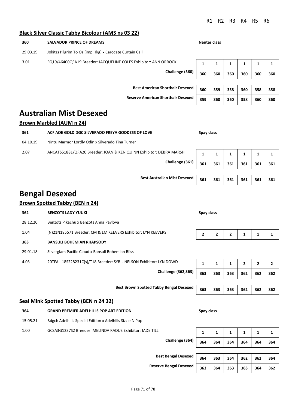# $\frac{1}{2}$

|          | <b>Black Silver Classic Tabby Bicolour (AMS ns 03 22)</b>           |            |                     |                |              |              |              |
|----------|---------------------------------------------------------------------|------------|---------------------|----------------|--------------|--------------|--------------|
| 360      | <b>SALVADOR PRINCE OF DREAMS</b>                                    |            | <b>Neuter class</b> |                |              |              |              |
| 29.03.19 | Jokitzs Pilgrim To Oz (imp Hkg) x Carocate Curtain Call             |            |                     |                |              |              |              |
| 3.01     | FQ19/46400QFA19 Breeder: JACQUELINE COLES Exhibitor: ANN ORROCK     | 1          | 1                   | 1              | 1            | 1            | 1            |
|          | Challenge (360)                                                     | 360        | 360                 | 360            | 360          | 360          | 360          |
|          | <b>Best American Shorthair Desexed</b>                              | 360        | 359                 | 358            | 360          | 358          | 358          |
|          | <b>Reserve American Shorthair Desexed</b>                           | 359        | 360                 | 360            | 358          | 360          | 360          |
|          | <b>Australian Mist Desexed</b>                                      |            |                     |                |              |              |              |
|          | <b>Brown Marbled (AUM n 24)</b>                                     |            |                     |                |              |              |              |
| 361      | ACF AOE GOLD DGC SILVERADO FREYA GODDESS OF LOVE                    | Spay class |                     |                |              |              |              |
| 04.10.19 | Nintu Marmor Lordly Odin x Silverado Tina Turner                    |            |                     |                |              |              |              |
| 2.07     | ANCATS51881/QFA20 Breeder: JOAN & KEN QUINN Exhibitor: DEBRA MARSH  | 1          | 1                   | 1              | 1            | 1            | 1            |
|          | Challenge (361)                                                     | 361        | 361                 | 361            | 361          | 361          | 361          |
|          | <b>Best Australian Mist Desexed</b>                                 | 361        | 361                 | 361            | 361          | 361          | 361          |
|          |                                                                     |            |                     |                |              |              |              |
|          | <b>Bengal Desexed</b>                                               |            |                     |                |              |              |              |
|          | <b>Brown Spotted Tabby (BEN n 24)</b>                               |            |                     |                |              |              |              |
| 362      | <b>BENZOTS LADY YUUKI</b>                                           | Spay class |                     |                |              |              |              |
| 28.12.20 | Benzots Pikachu x Benzots Anna Pavlova                              |            |                     |                |              |              |              |
| 1.04     | (N)21N185571 Breeder: CM & LM KEEVERS Exhibitor: LYN KEEVERS        | 2          | $\mathbf{2}$        | $\overline{2}$ | 1            | 1            | 1            |
| 363      | <b>BANSULI BOHEMIAN RHAPSODY</b>                                    |            |                     |                |              |              |              |
| 29.01.18 | Silverglam Pacific Cloud x Bansuli Bohemian Bliss                   |            |                     |                |              |              |              |
| 4.03     | 20TFA - 18S228231C(s)/T18 Breeder: SYBIL NELSON Exhibitor: LYN DOWD | 1          | $\mathbf{1}$        | $\mathbf{1}$   | $\mathbf{2}$ | $\mathbf{2}$ | $\mathbf{2}$ |
|          | <b>Challenge (362,363)</b>                                          | 363        | 363                 | 363            | 362          | 362          | 362          |
|          | <b>Best Brown Spotted Tabby Bengal Desexed</b>                      | 363        | 363                 | 363            | 362          | 362          | 362          |
|          | <b>Seal Mink Spotted Tabby (BEN n 24 32)</b>                        |            |                     |                |              |              |              |
| 364      | <b>GRAND PREMIER ADELHILLS POP ART EDITION</b>                      | Spay class |                     |                |              |              |              |
| 15.05.21 | Bdgch Adelhills Special Edition x Adelhills Sizzle N Pop            |            |                     |                |              |              |              |
| 1.00     | GCSA3G1237S2 Breeder: MELINDA RADUS Exhibitor: JADE TILL            | 1          | 1                   | 1              | 1            | 1            | 1            |
|          | Challenge (364)                                                     | 364        | 364                 | 364            | 364          | 364          | 364          |
|          | <b>Best Bengal Desexed</b>                                          |            |                     |                |              |              |              |
|          |                                                                     | 364        | 363                 | 364            | 362          | 362          | 364          |

**Reserve Bengal Desexed 363 364 363 363 364 362** 

Page 71 of 78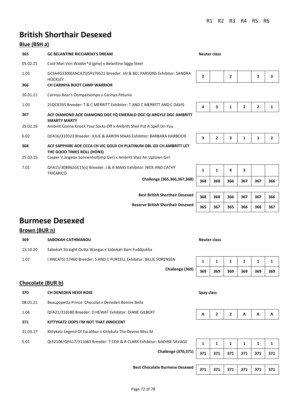# **British Shorthair Desexed**

### **Blue (BSH a)**

| 365      | <b>GC BELANTINE RICCIARDO'S DREAM</b>                                                             |     | <b>Neuter class</b> |     |              |              |                |
|----------|---------------------------------------------------------------------------------------------------|-----|---------------------|-----|--------------|--------------|----------------|
| 05.02.21 | Cool Man Von Walder*d (gmy) x Belantine Siggy Steel                                               |     |                     |     |              |              |                |
| 1.03     | GCSA4G3300(ANCATS)59176S21 Breeder: JAI & BEL PARSONS Exhibitor: SANDRA<br><b>HOCKLEY</b>         | 2   |                     | 2   |              | 3            | 3              |
| 366      | CH CARINYA BOOT CAMP WARRIOR                                                                      |     |                     |     |              |              |                |
| 20.01.21 | Carinya Bear's Oompaloompa x Carinya Petunia                                                      |     |                     |     |              |              |                |
| 1.03     | 21QC8765 Breeder: T & C MERRITT Exhibitor: T AND C MERRITT AND C DAVIS                            | 4   | 3                   | 1   | $\mathbf{2}$ | $\mathbf{2}$ | 1              |
| 367      | ACF DIAMOND AOE DIAMOND DGC FQ EMERALD DGC QI ARGYLE DGC AMBRITT<br><b>SMARTY MARTY</b>           |     |                     |     |              |              |                |
| 25.02.16 | Ambritt Gonna Knock Your Socks Off x Ambritt Sheil Put A Spell On You                             |     |                     |     |              |              |                |
| 6.02     | QFA16/310323 Breeder: JULIE & AARON MAAS Exhibitor: BARBARA HARBOUR                               | 3   | $\overline{2}$      | 3   | 1            | 1            | $\overline{2}$ |
| 368      | ACF SAPPHIRE AOE CCCA CH VIC GOLD CH PLATINUM DBL GD CH AMBRITT LET<br>THE GOOD TIMES ROLL (HONS) |     |                     |     |              |              |                |
| 25.03.15 | Casper V.angelas Sonnenhof(imp Ger) x Ambritt Shez An Uptown Girl                                 |     |                     |     |              |              |                |
| 7.01     | QFA15/308962GC15(s) Breeder: J & A MAAS Exhibitor: NICK AND CATHY<br>TRICARICO                    | 1   | 1                   | 4   | 3            |              |                |
|          | Challenge (365,366,367,368)                                                                       | 368 | 368                 | 366 | 367          | 367          | 366            |
|          |                                                                                                   |     |                     |     |              |              |                |

# **Best British Shorthair Desexed 368 368 366 367 367 366 Reserve British Shorthair Desexed 365 367 365 366 366 367**

## **Burmese Desexed**

### **Brown (BUR n)**

| 369      | SABOKAH CATHMANDU                                                 | Neuter class |     |     |     |     |     |
|----------|-------------------------------------------------------------------|--------------|-----|-----|-----|-----|-----|
| 13.10.20 | Sabokah Straight Outta Wangas x Sabokah Bam Fuddpukka             |              |     |     |     |     |     |
| 1.07     | ANCATS) 57460 Breeder: S AND C PURCELL Exhibitor: BILLIE SORENSEN |              |     |     |     |     |     |
|          | Challenge (369)                                                   | 369          | 369 | 369 | 369 | 369 | 369 |

### **Chocolate (BUR b)**

| 370      | CH DENEDEN HEIDI ROSE                                                  | Spay class |              |     |     |     |     |
|----------|------------------------------------------------------------------------|------------|--------------|-----|-----|-----|-----|
| 08.01.21 | Beaupopetta Prince Chocolat x Deneden Bonnie Bella                     |            |              |     |     |     |     |
| 1.04     | QFA21/316580 Breeder: D HEWAT Exhibitor: DIANE GILBERT                 | A          | $\mathbf{2}$ | 2   | A   | A   | A   |
| 371      | KITTYKATZ OOPS I'M NOT THAT INNOCENT                                   |            |              |     |     |     |     |
| 31.03.17 | Kittykatz Legend Of Excalibur x Kittykatz The Devine Miss M            |            |              |     |     |     |     |
| 5.01     | QI32106/QFA17/311683 Breeder: T COX & R CLARK Exhibitor: NADINE SAVAGE | 1          | 1            | 1   | 1   | 1   |     |
|          | <b>Challenge (370,371)</b>                                             | 371        | 371          | 371 | 371 | 371 | 371 |

**Best Chocolate Burmese Desexed** 371 371 371 371 371 371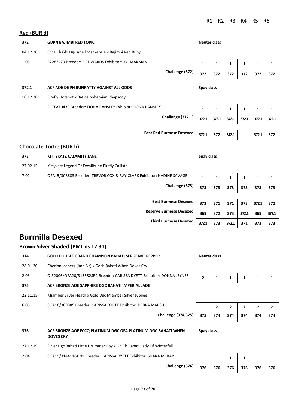# **Red (BUR d) 372 GDPN BAJIMBI RED TOPIC Neuter class** 04.12.20 Ccca Ch Gld Dgc Anell Mackenzie x Bajimbi Red Ruby 1.05 52283v20 Breeder: B EDWARDS Exhibitor: JO HAAKMAN **1** 1 1 1 1 1 1 1 1 1 1 1 **Challenge (372) 372 372 372 372 372 372 372.1 ACF AOE DGPN BUNRATTY AGAINST ALL ODDS Spay class** 10.12.20 Firefly Hotshot x Batice bohemian Rhapsody 21TFA10430 Breeder: FIONA RANSLEY Exhibior: FIONA RANSLEY **1** 1 1 1 1 1 1 1 1 1 1 **Challenge (372.1) 372.1 372.1 372.1 372.1 372.1 372.1 Best Red Burmese Desexed 372.1 372 372.1 372.1 <sup>372</sup> Chocolate Tortie (BUR h) 373 KITTYKATZ CALAMITY JANE Spay class** 27.02.15 Kittykatz Legend Of Excalibur x Firefly Callisto 7.02 QFA15/308683 Breeder: TREVOR COX & RAY CLARK Exhibitor: NADINE SAVAGE **1 1 1 1 1 1 Challenge (373) 373 373 373 373 373 373 Best Burmese Desexed** | 373 | 371 | 371 | 373 | 372.1 | 372 **Reserve Burmese Desexed** 369 372 373 372.1 369 372.1

**Burmilla Desexed**

**Brown Silver Shaded (BML ns 12 31)** 

### **374 GOLD DOUBLE GRAND CHAMPION BAHATI SERGEANT PEPPER Neuter class** 28.01.20 Cherjon Iceberg (imp Nz) x Gdch Bahati When Doves Cry 2.03 QI32006/QFA20/315582SR2 Breeder: CARISSA DYETT Exhibitor: DONNA JEYNES 2 1 1 1 1 1 1 **375 ACF BRONZE AOE SAPPHIRE DGC BAHATI IMPERIAL JADE** 22.11.15 Miamber Silver Heath x Gold Dgc Miamber Silver Jubilee 6.05 QFA16/309885 Breeder: CARISSA DYETT Exhibitor: DEBRA MARSH **12 2 2 2 2** 2 **Challenge (374,375) 375 374 374 374 374 374 376 ACF BRONZE AOE FCCQ PLATINUM DGC QFA PLATINUM DGC BAHATI WHEN DOVES CRY Spay class** 27.12.19 Silver Dgc Bahati Little Drummer Boy x Gd Ch Bahati Lady Of Winterfell 2.04 QFA19/314411GEN1 Breeder: CARISSA DYETT Exhibitor: SHARA MCKAY **1** 1 1 1 1 1 1 1 1 1

**Third Burmese Desexed 372.1 373 372.1 371 373 373**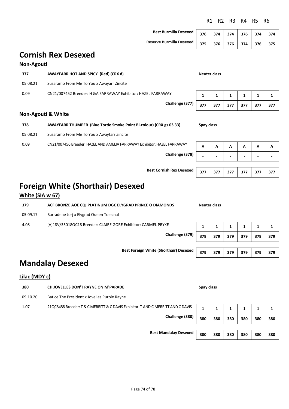# **Cornish Rex Desexed Non-Agouti 377 AWAYFARR HOT AND SPICY (Red) (CRX d) Neuter class** 05.08.21 Susaramo From Me To You x Awayarr Zincite 0.09 CN21/007452 Breeder: H &A FARRAWAY Exhibitor: HAZEL FARRAWAY **1 1 1 1 1 1 Challenge (377) 377 377 377 377 377 377 Non-Agouti & White 378 AWAYFARR THUMPER (Blue Tortie Smoke Point Bi-colour) (CRX gs 03 33) Spay class** 05.08.21 Susaramo From Me To You x Awayfarr Zincite 0.09 CN21/007456 Breeder: HAZEL AND AMELIA FARRAWAY Exhibitor: HAZEL FARRAWAY **A A A A A A A A Challenge (378) - - - - - -**

## **Foreign White (Shorthair) Desexed**

### **White (SIA w 67)**

| 379      | ACF BRONZE AOE CQI PLATINUM DGC ELYGRAD PRINCE O DIAMONDS     |     | Neuter class |     |     |     |     |
|----------|---------------------------------------------------------------|-----|--------------|-----|-----|-----|-----|
| 05.09.17 | Barradene Jorj x Elygrad Queen Tolecnal                       |     |              |     |     |     |     |
| 4.08     | (V)18V/35018QC18 Breeder: CLAIRE GORE Exhibitor: CARMEL PRYKE |     |              |     |     |     |     |
|          | Challenge (379)                                               | 379 | 379          | 379 | 379 | 379 | 379 |
|          |                                                               |     |              |     |     |     |     |
|          | <b>Boot Founiou White (Chauthaiu) Boonyed</b>                 |     |              |     |     |     |     |

## **Mandalay Desexed**

### **Lilac (MDY c)**

| 380      | CH JOVELLES DON'T RAYNE ON M'PARADE                                              | Spay class |     |     |     |     |     |
|----------|----------------------------------------------------------------------------------|------------|-----|-----|-----|-----|-----|
| 09.10.20 | Batice The President x Jovelles Purple Rayne                                     |            |     |     |     |     |     |
| 1.07     | 21QC8488 Breeder: T & C MERRITT & C DAVIS Exhibitor: T AND C MERRITT AND C DAVIS |            |     |     |     |     |     |
|          | Challenge (380)                                                                  | 380        | 380 | 380 | 380 | 380 | 380 |

| Chanelige (300)   380   380   380   380   380   380       |  |  |  |
|-----------------------------------------------------------|--|--|--|
|                                                           |  |  |  |
| Best Mandalay Desexed   380   380   380   380   380   380 |  |  |  |

**Best Cornish Rex Desexed <sup>377</sup> 377 377 377 377 377** 

**Best Foreign White (Shorthair) Desexed 379 379 379 379 379 379** 

### R1 R2 R3 R4 R5 R6

| Best Burmilla Desexed 37    |  |
|-----------------------------|--|
| Reserve Burmilla Desexed 37 |  |

**Best Burmilla Desexed 376 374 374 376 374 374 Reserve Burmilla Desexed 375 376 376 374 376 375**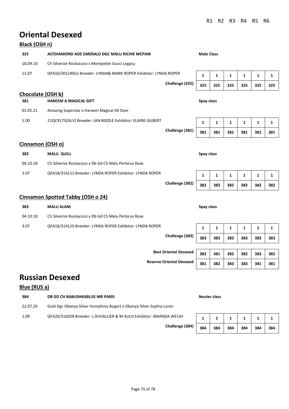## **Oriental Desexed**

| Black (OSH n)     |                                                                   |                                 |                   |              |     |     |     |     |
|-------------------|-------------------------------------------------------------------|---------------------------------|-------------------|--------------|-----|-----|-----|-----|
| 325               | ACFDIAMOND AOE EMERALD DGC MALU RICHIE MCPAW                      |                                 | <b>Male Class</b> |              |     |     |     |     |
| 18.09.10          | Ch Silverize Rockacoco x Montpelier Gucci Legacy                  |                                 |                   |              |     |     |     |     |
| 11.07             | QFA10/301240(s) Breeder: LYNDA& MARK ROPER Exhibitor: LYNDA ROPER |                                 | 1                 | 1            | 1   | 1   | 1   | 1   |
|                   |                                                                   | Challenge (325)                 | 325               | 325          | 325 | 325 | 325 | 325 |
| Chocolate (OSH b) |                                                                   |                                 |                   |              |     |     |     |     |
| 381               | <b>HAREEM A MAGICAL GIFT</b>                                      |                                 | Spay class        |              |     |     |     |     |
| 01.05.21          | Amazing Superstar x Hareem Magical All Over                       |                                 |                   |              |     |     |     |     |
| 1.00              | 21QC9175(SILV) Breeder: JAN BIDDLE Exhibitor: ELAINE GILBERT      |                                 | 1                 | 1            | 1   | 1   | 1   | 1   |
|                   |                                                                   | Challenge (381)                 | 381               | 381          | 381 | 381 | 381 | 381 |
| Cinnamon (OSH o)  |                                                                   |                                 |                   |              |     |     |     |     |
| 382               | <b>MALU QUILL</b>                                                 |                                 | Spay class        |              |     |     |     |     |
| 04.10.18          | Ch Silverize Rockacoco x Db Gd Ch Malu Perlorus Rose              |                                 |                   |              |     |     |     |     |
| 3.07              | QFA18/314111 Breeder: LYNDA ROPER Exhibitor: LYNDA ROPER          |                                 | 1                 | $\mathbf{1}$ | 1   | 1   | 1   | 1   |
|                   |                                                                   | Challenge (382)                 | 382               | 382          | 382 | 382 | 382 | 382 |
|                   | <b>Cinnamon Spotted Tabby (OSH o 24)</b>                          |                                 |                   |              |     |     |     |     |
| 383               | <b>MALU ALANI</b>                                                 |                                 | Spay class        |              |     |     |     |     |
| 04.10.18          | Ch Silverize Rockacoco x Db Gd Ch Malu Perlorus Rose              |                                 |                   |              |     |     |     |     |
| 3.07              | QFA18/314110 Breeder: LYNDA ROPER Exhibitor: LYNDA ROPER          |                                 | 1                 | 1            | 1   | 1   | 1   | 1   |
|                   |                                                                   | Challenge (383)                 | 383               | 383          | 383 | 383 | 383 | 383 |
|                   |                                                                   |                                 |                   |              |     |     |     |     |
|                   |                                                                   | <b>Best Oriental Desexed</b>    | 382               | 381          | 382 | 382 | 383 | 382 |
|                   |                                                                   | <b>Reserve Oriental Desexed</b> | 381               | 382          | 383 | 383 | 381 | 381 |

## **Russian Desexed**

### **Blue (RUS a)**

| 384      | DB GD CH BABUSHKABLUE MR PARIS                                      | Neuter class |     |     |     |     |     |
|----------|---------------------------------------------------------------------|--------------|-----|-----|-----|-----|-----|
| 22.07.20 | Gold Dgc Obanya Silver Humphrey Bogart x Obanya Silver Sophia Loren |              |     |     |     |     |     |
| 1.09     | QFA20/316028 Breeder: L DUVALLIER & M AULD Exhibitor: AMANDA WELSH  |              |     |     |     |     |     |
|          | Challenge (384)                                                     | 384          | 384 | 384 | 384 | 384 | 384 |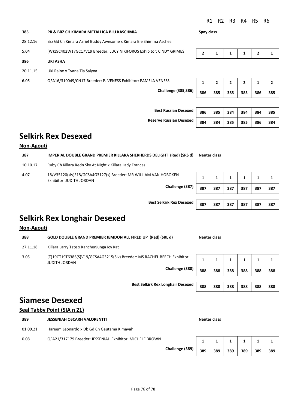R1 R2 R3 R4 R5 R6

| 385      | PR & BRZ CH KIMARA METALLICA BLU KASCHMIA                           | Spay class     |                |                |              |              |     |
|----------|---------------------------------------------------------------------|----------------|----------------|----------------|--------------|--------------|-----|
| 28.12.16 | Brz Gd Ch Kimara Azriel Buddy Awesome x Kimara Ble Shimma Aschea    |                |                |                |              |              |     |
| 5.04     | (W)19C402W17GC17V19 Breeder: LUCY NIKIFOROS Exhibitor: CINDY GRIMES | $\overline{2}$ | 1              | 1              | 1            | $\mathbf{2}$ | 1   |
| 386      | <b>UKI ASHA</b>                                                     |                |                |                |              |              |     |
| 20.11.15 | Uki Raine x Tyana Tia Salyna                                        |                |                |                |              |              |     |
| 6.05     | QFA16/310049/CN17 Breeder: P. VENESS Exhibitor: PAMELA VENESS       | 1              | $\overline{2}$ | $\overline{2}$ | $\mathbf{2}$ | 1            | 2   |
|          | <b>Challenge (385,386)</b>                                          | 386            | 385            | 385            | 385          | 386          | 385 |
|          |                                                                     |                |                |                |              |              |     |

**Reserve Russian Desex** 

| <b>Best Russian Desexed</b> | 386 | 385 L | 384 l | 384   | 384 | 385 |  |
|-----------------------------|-----|-------|-------|-------|-----|-----|--|
| erve Russian Desexed        | 384 | 384 L | 385   | 385 l | 386 | 384 |  |

### **Selkirk Rex Desexed**

#### **Non-Agouti**

| 387      | IMPERIAL DOUBLE GRAND PREMIER KILLARA SHERHERDS DELIGHT (Red) (SRS d)                       |     |     | Neuter class |     |     |     |  |  |  |  |
|----------|---------------------------------------------------------------------------------------------|-----|-----|--------------|-----|-----|-----|--|--|--|--|
| 10.10.17 | Ruby Ch Killara Redn Sky At Night x Killara Lady Frances                                    |     |     |              |     |     |     |  |  |  |  |
| 4.07     | 18/V35120(slv)S18/GCSA4G3127(s) Breeder: MR WILLIAM VAN HOBOKEN<br>Exhibitor: JUDITH JORDAN |     |     |              |     |     |     |  |  |  |  |
|          | Challenge (387)                                                                             | 387 | 387 | 387          | 387 | 387 | 387 |  |  |  |  |

**Best Selkirk Rex Desexed** 

|  | 387   387   387   387   387   387 |  |
|--|-----------------------------------|--|

## **Selkirk Rex Longhair Desexed**

### **Non-Agouti**

| 388      | <b>GOLD DOUBLE GRAND PREMIER JEMDON ALL FIRED UP (Red) (SRL d)</b>                                                  |                                                                                                                                              |  |  |  |
|----------|---------------------------------------------------------------------------------------------------------------------|----------------------------------------------------------------------------------------------------------------------------------------------|--|--|--|
| 27.11.18 | Killara Larry Tate x Kanchenjunga Icy Kat                                                                           |                                                                                                                                              |  |  |  |
| 3.05     | (T)19CT19T6386(S)V19/GCSA4G3215(Slv) Breeder: MS RACHEL BEECH Exhibitor:<br><b>JUDITH JORDAN</b><br>Challenge (388) | Neuter class<br>388<br>388<br>388<br>388<br>388<br>388<br><b>Best Selkirk Rex Longhair Desexed</b><br>388<br>388<br>388<br>388<br>388<br>388 |  |  |  |
|          |                                                                                                                     |                                                                                                                                              |  |  |  |

### **Siamese Desexed**

#### **Seal Tabby Point (SIA n 21)**

| 389      | <b>JESSENIAH OSCARH VALORENTTI</b>                       |                 | Neuter class |     |     |     |     |     |
|----------|----------------------------------------------------------|-----------------|--------------|-----|-----|-----|-----|-----|
| 01.09.21 | Hareem Leonardo x Db Gd Ch Gautama Kimayah               |                 |              |     |     |     |     |     |
| 0.08     | QFA21/317179 Breeder: JESSENIAH Exhibitor: MICHELE BROWN |                 |              |     |     |     |     |     |
|          |                                                          | Challenge (389) | 389          | 389 | 389 | 389 | 389 | 389 |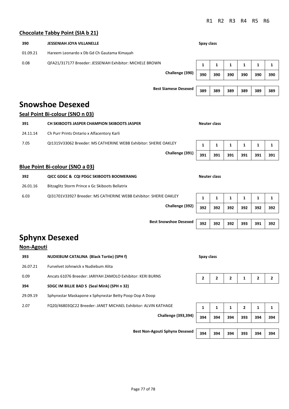**Best Snowshoe Desexed** 392 392 392 393 391 392

#### **Chocolate Tabby Point (SIA b 21)**

| 390      | <b>JESSENIAH JOYA VILLANELLE</b>                         | Spay class       |     |     |     |     |     |
|----------|----------------------------------------------------------|------------------|-----|-----|-----|-----|-----|
| 01.09.21 | Hareem Leonardo x Db Gd Ch Gautama Kimayah               |                  |     |     |     |     |     |
| 0.08     | QFA21/317177 Breeder: JESSENIAH Exhibitor: MICHELE BROWN | 1<br>1<br>1<br>1 |     |     | 1   | 1   |     |
|          | Challenge (390)                                          | 390              | 390 | 390 | 390 | 390 | 390 |
|          |                                                          |                  |     |     |     |     |     |
|          | <b>Best Siamese Desexed</b>                              | 389              | 389 | 389 | 389 | 389 | 389 |

### **Snowshoe Desexed**

#### **Seal Point Bi-colour (SNO n 03)**

| 391      | CH SKIBOOTS JASPER CHAMPION SKIBOOTS JASPER                      | Neuter class |     |     |     |     |     |
|----------|------------------------------------------------------------------|--------------|-----|-----|-----|-----|-----|
| 24.11.14 | Ch Purr Prints Ontario x Alfacentory Karli                       |              |     |     |     |     |     |
| 7.05     | QI1315V33062 Breeder: MS CATHERINE WEBB Exhibitor: SHERIE OAKLEY |              |     |     |     |     |     |
|          | Challenge (391)                                                  | 391          | 391 | 391 | 391 | 391 | 391 |

#### **Blue Point Bi-colour (SNO a 03)**

| 392      | QICC GDGC & CQI PDGC SKIBOOTS BOOMERANG                           | Neuter class |     |     |     |     |     |
|----------|-------------------------------------------------------------------|--------------|-----|-----|-----|-----|-----|
| 26.01.16 | Bitzaglitz Storm Prince x Gc Skiboots Bellatrix                   |              |     |     |     |     |     |
| 6.03     | QI31701V33927 Breeder: MS CATHERINE WEBB Exhibitor: SHERIE OAKLEY | J.           |     | 1   | ц   | 1   | 1   |
|          | Challenge (392)                                                   | 392          | 392 | 392 | 392 | 392 | 392 |
|          |                                                                   |              |     |     |     |     |     |

### **Sphynx Desexed**

| Non-Agouti |                                                                |            |              |                |                |     |                |
|------------|----------------------------------------------------------------|------------|--------------|----------------|----------------|-----|----------------|
| 393        | NUDIEBUM CATALINA (Black Tortie) (SPH f)                       | Spay class |              |                |                |     |                |
| 26.07.21   | Furvelvet Johnwick x Nudiebum Alita                            |            |              |                |                |     |                |
| 0.09       | Ancats 61076 Breeder: JARIYAH ZAMOLO Exhibitor: KERI BURNS     |            |              | $\overline{2}$ | 1              | 2   | $\overline{2}$ |
| 394        | SDGC IM BILLIE BAD S (Seal Mink) (SPH n 32)                    |            |              |                |                |     |                |
| 29.09.19   | Sphynxstar Maskapone x Sphynxstar Betty Poop Oop A Doop        |            |              |                |                |     |                |
| 2.07       | FQ20/46803QC22 Breeder: JANET MICHAEL Exhibitor: ALVIN KATHAGE |            | $\mathbf{1}$ | 1              | $\overline{2}$ | 1   | 1              |
|            | <b>Challenge (393,394)</b>                                     | 394        | 394          | 394            | 393            | 394 | 394            |
|            | <b>Best Non-Agouti Sphynx Desexed</b>                          |            |              |                |                |     |                |
|            |                                                                | 394        | 394          | 394            | 393            | 394 | 394            |